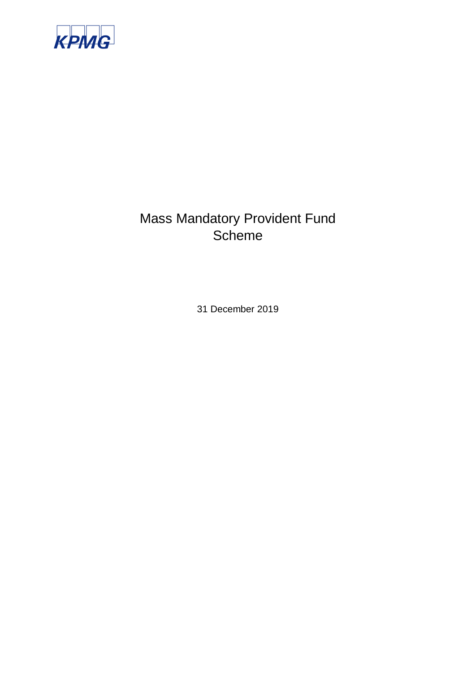

# Mass Mandatory Provident Fund **Scheme**

31 December 2019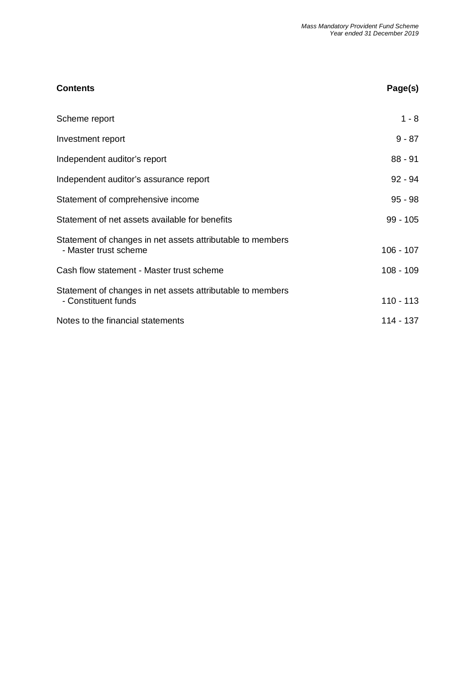| <b>Contents</b>                                                                     | Page(s)     |
|-------------------------------------------------------------------------------------|-------------|
| Scheme report                                                                       | $1 - 8$     |
| Investment report                                                                   | $9 - 87$    |
| Independent auditor's report                                                        | $88 - 91$   |
| Independent auditor's assurance report                                              | $92 - 94$   |
| Statement of comprehensive income                                                   | $95 - 98$   |
| Statement of net assets available for benefits                                      | $99 - 105$  |
| Statement of changes in net assets attributable to members<br>- Master trust scheme | $106 - 107$ |
| Cash flow statement - Master trust scheme                                           | $108 - 109$ |
| Statement of changes in net assets attributable to members<br>- Constituent funds   | $110 - 113$ |
| Notes to the financial statements                                                   | 114 - 137   |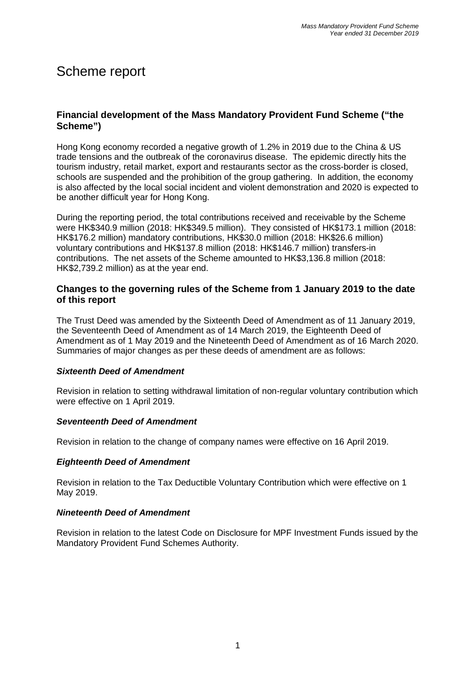# Scheme report

### **Financial development of the Mass Mandatory Provident Fund Scheme ("the Scheme")**

Hong Kong economy recorded a negative growth of 1.2% in 2019 due to the China & US trade tensions and the outbreak of the coronavirus disease. The epidemic directly hits the tourism industry, retail market, export and restaurants sector as the cross-border is closed, schools are suspended and the prohibition of the group gathering. In addition, the economy is also affected by the local social incident and violent demonstration and 2020 is expected to be another difficult year for Hong Kong.

During the reporting period, the total contributions received and receivable by the Scheme were HK\$340.9 million (2018: HK\$349.5 million). They consisted of HK\$173.1 million (2018: HK\$176.2 million) mandatory contributions, HK\$30.0 million (2018: HK\$26.6 million) voluntary contributions and HK\$137.8 million (2018: HK\$146.7 million) transfers-in contributions. The net assets of the Scheme amounted to HK\$3,136.8 million (2018: HK\$2,739.2 million) as at the year end.

#### **Changes to the governing rules of the Scheme from 1 January 2019 to the date of this report**

The Trust Deed was amended by the Sixteenth Deed of Amendment as of 11 January 2019, the Seventeenth Deed of Amendment as of 14 March 2019, the Eighteenth Deed of Amendment as of 1 May 2019 and the Nineteenth Deed of Amendment as of 16 March 2020. Summaries of major changes as per these deeds of amendment are as follows:

#### *Sixteenth Deed of Amendment*

Revision in relation to setting withdrawal limitation of non-regular voluntary contribution which were effective on 1 April 2019.

#### *Seventeenth Deed of Amendment*

Revision in relation to the change of company names were effective on 16 April 2019.

#### *Eighteenth Deed of Amendment*

Revision in relation to the Tax Deductible Voluntary Contribution which were effective on 1 May 2019.

#### *Nineteenth Deed of Amendment*

Revision in relation to the latest Code on Disclosure for MPF Investment Funds issued by the Mandatory Provident Fund Schemes Authority.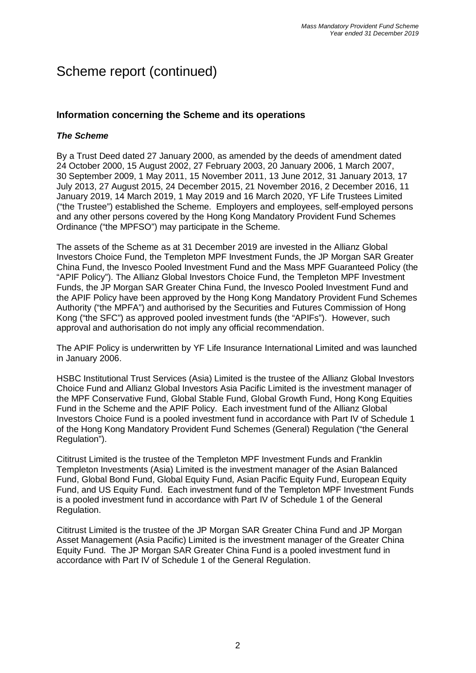### **Information concerning the Scheme and its operations**

#### *The Scheme*

By a Trust Deed dated 27 January 2000, as amended by the deeds of amendment dated 24 October 2000, 15 August 2002, 27 February 2003, 20 January 2006, 1 March 2007, 30 September 2009, 1 May 2011, 15 November 2011, 13 June 2012, 31 January 2013, 17 July 2013, 27 August 2015, 24 December 2015, 21 November 2016, 2 December 2016, 11 January 2019, 14 March 2019, 1 May 2019 and 16 March 2020, YF Life Trustees Limited ("the Trustee") established the Scheme. Employers and employees, self-employed persons and any other persons covered by the Hong Kong Mandatory Provident Fund Schemes Ordinance ("the MPFSO") may participate in the Scheme.

The assets of the Scheme as at 31 December 2019 are invested in the Allianz Global Investors Choice Fund, the Templeton MPF Investment Funds, the JP Morgan SAR Greater China Fund, the Invesco Pooled Investment Fund and the Mass MPF Guaranteed Policy (the "APIF Policy"). The Allianz Global Investors Choice Fund, the Templeton MPF Investment Funds, the JP Morgan SAR Greater China Fund, the Invesco Pooled Investment Fund and the APIF Policy have been approved by the Hong Kong Mandatory Provident Fund Schemes Authority ("the MPFA") and authorised by the Securities and Futures Commission of Hong Kong ("the SFC") as approved pooled investment funds (the "APIFs"). However, such approval and authorisation do not imply any official recommendation.

The APIF Policy is underwritten by YF Life Insurance International Limited and was launched in January 2006.

HSBC Institutional Trust Services (Asia) Limited is the trustee of the Allianz Global Investors Choice Fund and Allianz Global Investors Asia Pacific Limited is the investment manager of the MPF Conservative Fund, Global Stable Fund, Global Growth Fund, Hong Kong Equities Fund in the Scheme and the APIF Policy. Each investment fund of the Allianz Global Investors Choice Fund is a pooled investment fund in accordance with Part IV of Schedule 1 of the Hong Kong Mandatory Provident Fund Schemes (General) Regulation ("the General Regulation").

Cititrust Limited is the trustee of the Templeton MPF Investment Funds and Franklin Templeton Investments (Asia) Limited is the investment manager of the Asian Balanced Fund, Global Bond Fund, Global Equity Fund, Asian Pacific Equity Fund, European Equity Fund, and US Equity Fund. Each investment fund of the Templeton MPF Investment Funds is a pooled investment fund in accordance with Part IV of Schedule 1 of the General Regulation.

Cititrust Limited is the trustee of the JP Morgan SAR Greater China Fund and JP Morgan Asset Management (Asia Pacific) Limited is the investment manager of the Greater China Equity Fund. The JP Morgan SAR Greater China Fund is a pooled investment fund in accordance with Part IV of Schedule 1 of the General Regulation.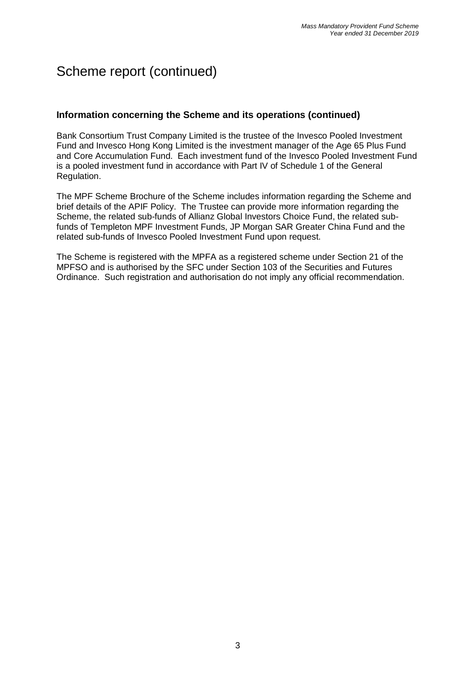### **Information concerning the Scheme and its operations (continued)**

Bank Consortium Trust Company Limited is the trustee of the Invesco Pooled Investment Fund and Invesco Hong Kong Limited is the investment manager of the Age 65 Plus Fund and Core Accumulation Fund. Each investment fund of the Invesco Pooled Investment Fund is a pooled investment fund in accordance with Part IV of Schedule 1 of the General Regulation.

The MPF Scheme Brochure of the Scheme includes information regarding the Scheme and brief details of the APIF Policy. The Trustee can provide more information regarding the Scheme, the related sub-funds of Allianz Global Investors Choice Fund, the related subfunds of Templeton MPF Investment Funds, JP Morgan SAR Greater China Fund and the related sub-funds of Invesco Pooled Investment Fund upon request.

The Scheme is registered with the MPFA as a registered scheme under Section 21 of the MPFSO and is authorised by the SFC under Section 103 of the Securities and Futures Ordinance. Such registration and authorisation do not imply any official recommendation.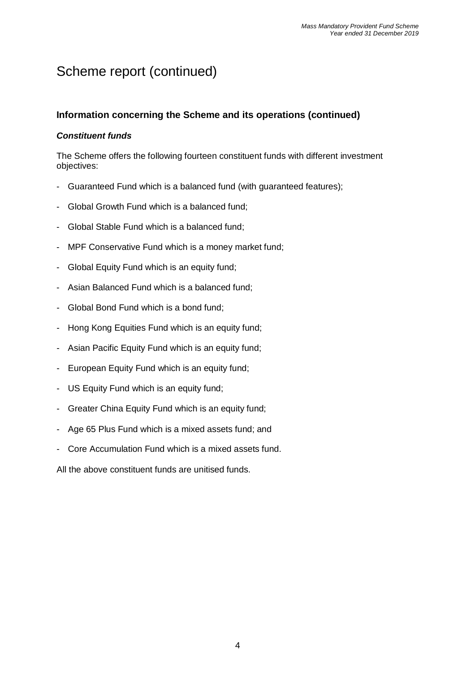### **Information concerning the Scheme and its operations (continued)**

### *Constituent funds*

The Scheme offers the following fourteen constituent funds with different investment objectives:

- Guaranteed Fund which is a balanced fund (with guaranteed features);
- Global Growth Fund which is a balanced fund;
- Global Stable Fund which is a balanced fund;
- MPF Conservative Fund which is a money market fund;
- Global Equity Fund which is an equity fund;
- Asian Balanced Fund which is a balanced fund;
- Global Bond Fund which is a bond fund;
- Hong Kong Equities Fund which is an equity fund;
- Asian Pacific Equity Fund which is an equity fund;
- European Equity Fund which is an equity fund;
- US Equity Fund which is an equity fund;
- Greater China Equity Fund which is an equity fund;
- Age 65 Plus Fund which is a mixed assets fund; and
- Core Accumulation Fund which is a mixed assets fund.

All the above constituent funds are unitised funds.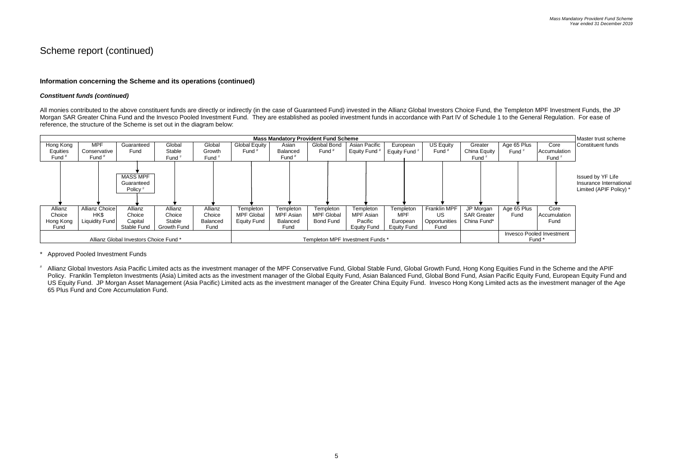### **Information concerning the Scheme and its operations (continued)**

#### *Constituent funds (continued)*

All monies contributed to the above constituent funds are directly or indirectly (in the case of Guaranteed Fund) invested in the Allianz Global Investors Choice Fund, the Templeton MPF Investment Funds, the JP Morgan SAR Greater China Fund and the Invesco Pooled Investment Fund. They are established as pooled investment funds in accordance with Part IV of Schedule 1 to the General Regulation. For ease of reference, the structure of the Scheme is set out in the diagram below:



Approved Pooled Investment Funds

Allianz Global Investors Asia Pacific Limited acts as the investment manager of the MPF Conservative Fund, Global Stable Fund, Global Growth Fund, Hong Kong Equities Fund in the Scheme and the APIF Policy. Franklin Templeton Investments (Asia) Limited acts as the investment manager of the Global Equity Fund, Asian Balanced Fund, Global Bond Fund, Asian Pacific Equity Fund, European Equity Fund and US Equity Fund. JP Morgan Asset Management (Asia Pacific) Limited acts as the investment manager of the Greater China Equity Fund. Invesco Hong Kong Limited acts as the investment manager of the Age 65 Plus Fund and Core Accumulation Fund.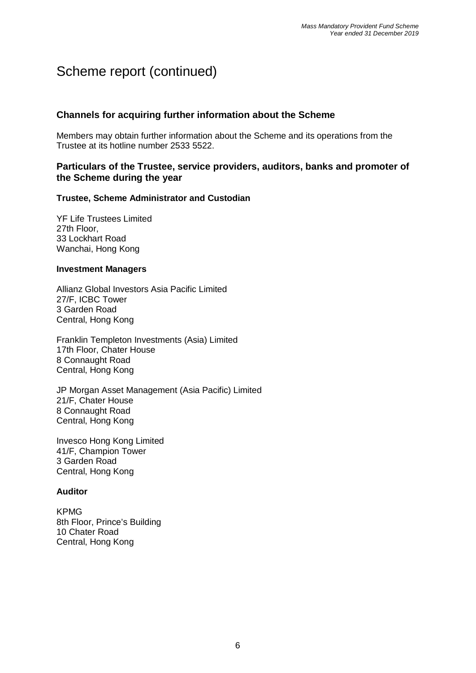### **Channels for acquiring further information about the Scheme**

Members may obtain further information about the Scheme and its operations from the Trustee at its hotline number 2533 5522.

### **Particulars of the Trustee, service providers, auditors, banks and promoter of the Scheme during the year**

#### **Trustee, Scheme Administrator and Custodian**

YF Life Trustees Limited 27th Floor, 33 Lockhart Road Wanchai, Hong Kong

#### **Investment Managers**

Allianz Global Investors Asia Pacific Limited 27/F, ICBC Tower 3 Garden Road Central, Hong Kong

Franklin Templeton Investments (Asia) Limited 17th Floor, Chater House 8 Connaught Road Central, Hong Kong

JP Morgan Asset Management (Asia Pacific) Limited 21/F, Chater House 8 Connaught Road Central, Hong Kong

Invesco Hong Kong Limited 41/F, Champion Tower 3 Garden Road Central, Hong Kong

### **Auditor**

KPMG 8th Floor, Prince's Building 10 Chater Road Central, Hong Kong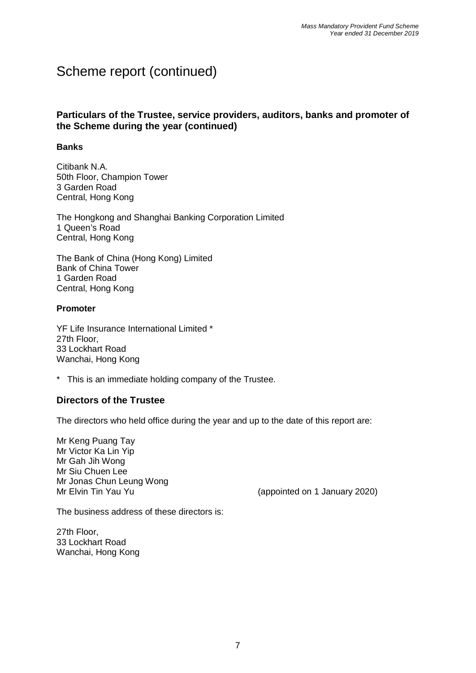### **Particulars of the Trustee, service providers, auditors, banks and promoter of the Scheme during the year (continued)**

#### **Banks**

Citibank N.A. 50th Floor, Champion Tower 3 Garden Road Central, Hong Kong

The Hongkong and Shanghai Banking Corporation Limited 1 Queen's Road Central, Hong Kong

The Bank of China (Hong Kong) Limited Bank of China Tower 1 Garden Road Central, Hong Kong

#### **Promoter**

YF Life Insurance International Limited \* 27th Floor, 33 Lockhart Road Wanchai, Hong Kong

\* This is an immediate holding company of the Trustee.

### **Directors of the Trustee**

The directors who held office during the year and up to the date of this report are:

Mr Keng Puang Tay Mr Victor Ka Lin Yip Mr Gah Jih Wong Mr Siu Chuen Lee Mr Jonas Chun Leung Wong

Mr Elvin Tin Yau Yu (appointed on 1 January 2020)

The business address of these directors is:

27th Floor, 33 Lockhart Road Wanchai, Hong Kong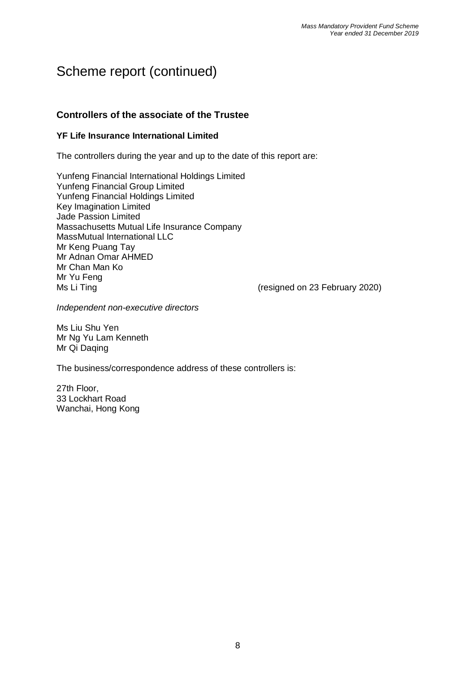### **Controllers of the associate of the Trustee**

### **YF Life Insurance International Limited**

The controllers during the year and up to the date of this report are:

Yunfeng Financial International Holdings Limited Yunfeng Financial Group Limited Yunfeng Financial Holdings Limited Key Imagination Limited Jade Passion Limited Massachusetts Mutual Life Insurance Company MassMutual International LLC Mr Keng Puang Tay Mr Adnan Omar AHMED Mr Chan Man Ko Mr Yu Feng Ms Li Ting **Ms** Li Ting **Ms** Li Ting **Ms** Li Ting **Ms** Li Ting **Ms** (resigned on 23 February 2020)

*Independent non-executive directors*

Ms Liu Shu Yen Mr Ng Yu Lam Kenneth Mr Qi Daqing

The business/correspondence address of these controllers is:

27th Floor, 33 Lockhart Road Wanchai, Hong Kong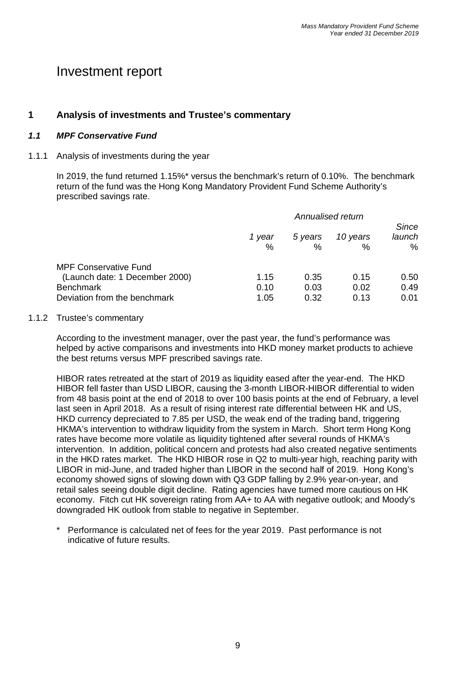# Investment report

### **1 Analysis of investments and Trustee's commentary**

#### *1.1 MPF Conservative Fund*

#### 1.1.1 Analysis of investments during the year

In 2019, the fund returned 1.15%\* versus the benchmark's return of 0.10%. The benchmark return of the fund was the Hong Kong Mandatory Provident Fund Scheme Authority's prescribed savings rate.

|                                | Annualised return |              |               | Since          |
|--------------------------------|-------------------|--------------|---------------|----------------|
|                                | 1 year<br>%       | 5 years<br>% | 10 years<br>% | launch<br>$\%$ |
| <b>MPF Conservative Fund</b>   |                   |              |               |                |
| (Launch date: 1 December 2000) | 1.15              | 0.35         | 0.15          | 0.50           |
| <b>Benchmark</b>               | 0.10              | 0.03         | 0.02          | 0.49           |
| Deviation from the benchmark   | 1.05              | 0.32         | 0.13          | 0.01           |

#### 1.1.2 Trustee's commentary

According to the investment manager, over the past year, the fund's performance was helped by active comparisons and investments into HKD money market products to achieve the best returns versus MPF prescribed savings rate.

HIBOR rates retreated at the start of 2019 as liquidity eased after the year-end. The HKD HIBOR fell faster than USD LIBOR, causing the 3-month LIBOR-HIBOR differential to widen from 48 basis point at the end of 2018 to over 100 basis points at the end of February, a level last seen in April 2018. As a result of rising interest rate differential between HK and US, HKD currency depreciated to 7.85 per USD, the weak end of the trading band, triggering HKMA's intervention to withdraw liquidity from the system in March. Short term Hong Kong rates have become more volatile as liquidity tightened after several rounds of HKMA's intervention. In addition, political concern and protests had also created negative sentiments in the HKD rates market. The HKD HIBOR rose in Q2 to multi-year high, reaching parity with LIBOR in mid-June, and traded higher than LIBOR in the second half of 2019. Hong Kong's economy showed signs of slowing down with Q3 GDP falling by 2.9% year-on-year, and retail sales seeing double digit decline. Rating agencies have turned more cautious on HK economy. Fitch cut HK sovereign rating from AA+ to AA with negative outlook; and Moody's downgraded HK outlook from stable to negative in September.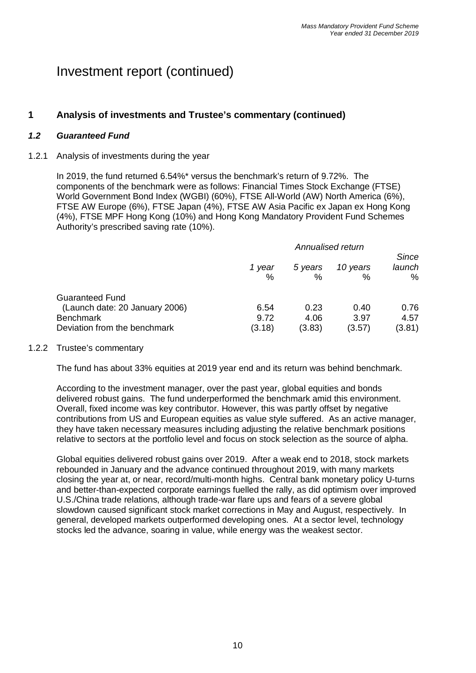# **1 Analysis of investments and Trustee's commentary (continued)**

#### *1.2 Guaranteed Fund*

#### 1.2.1 Analysis of investments during the year

In 2019, the fund returned 6.54%\* versus the benchmark's return of 9.72%. The components of the benchmark were as follows: Financial Times Stock Exchange (FTSE) World Government Bond Index (WGBI) (60%), FTSE All-World (AW) North America (6%), FTSE AW Europe (6%), FTSE Japan (4%), FTSE AW Asia Pacific ex Japan ex Hong Kong (4%), FTSE MPF Hong Kong (10%) and Hong Kong Mandatory Provident Fund Schemes Authority's prescribed saving rate (10%).

|                                | Annualised return<br><b>Since</b> |                 |               |                |
|--------------------------------|-----------------------------------|-----------------|---------------|----------------|
|                                | 1 year<br>$\%$                    | 5 years<br>$\%$ | 10 years<br>℅ | launch<br>$\%$ |
| Guaranteed Fund                |                                   |                 |               |                |
| (Launch date: 20 January 2006) | 6.54                              | 0.23            | 0.40          | 0.76           |
| Benchmark                      | 9.72                              | 4.06            | 3.97          | 4.57           |
| Deviation from the benchmark   | (3.18)                            | (3.83)          | (3.57)        | (3.81)         |

#### 1.2.2 Trustee's commentary

The fund has about 33% equities at 2019 year end and its return was behind benchmark.

According to the investment manager, over the past year, global equities and bonds delivered robust gains. The fund underperformed the benchmark amid this environment. Overall, fixed income was key contributor. However, this was partly offset by negative contributions from US and European equities as value style suffered. As an active manager, they have taken necessary measures including adjusting the relative benchmark positions relative to sectors at the portfolio level and focus on stock selection as the source of alpha.

Global equities delivered robust gains over 2019. After a weak end to 2018, stock markets rebounded in January and the advance continued throughout 2019, with many markets closing the year at, or near, record/multi-month highs. Central bank monetary policy U-turns and better-than-expected corporate earnings fuelled the rally, as did optimism over improved U.S./China trade relations, although trade-war flare ups and fears of a severe global slowdown caused significant stock market corrections in May and August, respectively. In general, developed markets outperformed developing ones. At a sector level, technology stocks led the advance, soaring in value, while energy was the weakest sector.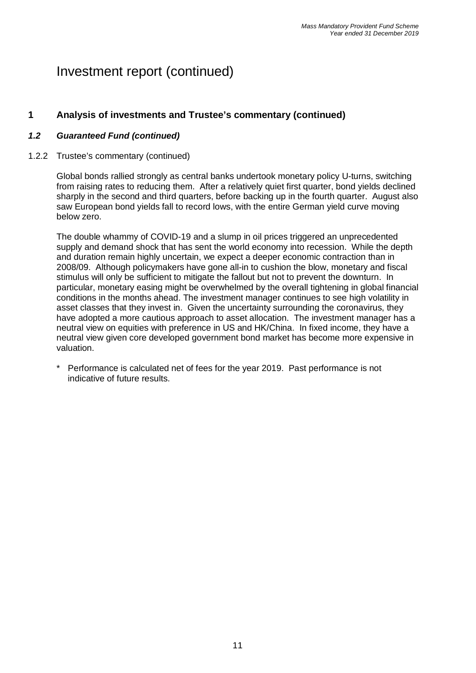### **1 Analysis of investments and Trustee's commentary (continued)**

#### *1.2 Guaranteed Fund (continued)*

#### 1.2.2 Trustee's commentary (continued)

Global bonds rallied strongly as central banks undertook monetary policy U-turns, switching from raising rates to reducing them. After a relatively quiet first quarter, bond yields declined sharply in the second and third quarters, before backing up in the fourth quarter. August also saw European bond yields fall to record lows, with the entire German yield curve moving below zero.

The double whammy of COVID-19 and a slump in oil prices triggered an unprecedented supply and demand shock that has sent the world economy into recession. While the depth and duration remain highly uncertain, we expect a deeper economic contraction than in 2008/09. Although policymakers have gone all-in to cushion the blow, monetary and fiscal stimulus will only be sufficient to mitigate the fallout but not to prevent the downturn. In particular, monetary easing might be overwhelmed by the overall tightening in global financial conditions in the months ahead. The investment manager continues to see high volatility in asset classes that they invest in. Given the uncertainty surrounding the coronavirus, they have adopted a more cautious approach to asset allocation. The investment manager has a neutral view on equities with preference in US and HK/China. In fixed income, they have a neutral view given core developed government bond market has become more expensive in valuation.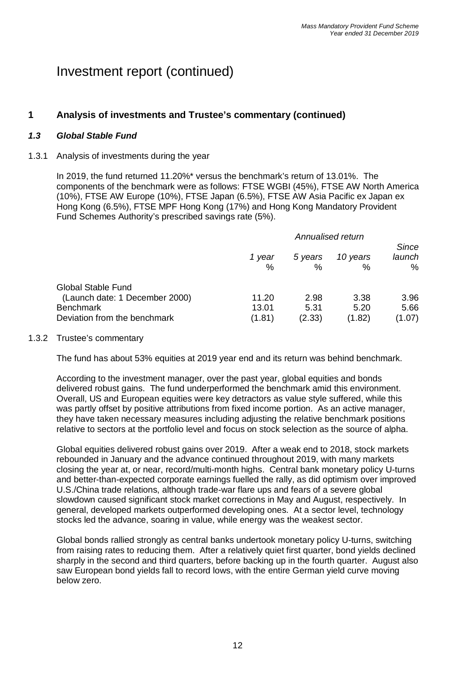### **1 Analysis of investments and Trustee's commentary (continued)**

#### *1.3 Global Stable Fund*

#### 1.3.1 Analysis of investments during the year

In 2019, the fund returned 11.20%\* versus the benchmark's return of 13.01%. The components of the benchmark were as follows: FTSE WGBI (45%), FTSE AW North America (10%), FTSE AW Europe (10%), FTSE Japan (6.5%), FTSE AW Asia Pacific ex Japan ex Hong Kong (6.5%), FTSE MPF Hong Kong (17%) and Hong Kong Mandatory Provident Fund Schemes Authority's prescribed savings rate (5%).

|                                | Annualised return<br>Since |              |                  |             |
|--------------------------------|----------------------------|--------------|------------------|-------------|
|                                | 1 year<br>%                | 5 years<br>% | 10 years<br>$\%$ | launch<br>% |
| <b>Global Stable Fund</b>      |                            |              |                  |             |
| (Launch date: 1 December 2000) | 11.20                      | 2.98         | 3.38             | 3.96        |
| <b>Benchmark</b>               | 13.01                      | 5.31         | 5.20             | 5.66        |
| Deviation from the benchmark   | (1.81)                     | (2.33)       | (1.82)           | (1.07)      |

#### 1.3.2 Trustee's commentary

The fund has about 53% equities at 2019 year end and its return was behind benchmark.

According to the investment manager, over the past year, global equities and bonds delivered robust gains. The fund underperformed the benchmark amid this environment. Overall, US and European equities were key detractors as value style suffered, while this was partly offset by positive attributions from fixed income portion. As an active manager, they have taken necessary measures including adjusting the relative benchmark positions relative to sectors at the portfolio level and focus on stock selection as the source of alpha.

Global equities delivered robust gains over 2019. After a weak end to 2018, stock markets rebounded in January and the advance continued throughout 2019, with many markets closing the year at, or near, record/multi-month highs. Central bank monetary policy U-turns and better-than-expected corporate earnings fuelled the rally, as did optimism over improved U.S./China trade relations, although trade-war flare ups and fears of a severe global slowdown caused significant stock market corrections in May and August, respectively. In general, developed markets outperformed developing ones. At a sector level, technology stocks led the advance, soaring in value, while energy was the weakest sector.

Global bonds rallied strongly as central banks undertook monetary policy U-turns, switching from raising rates to reducing them. After a relatively quiet first quarter, bond yields declined sharply in the second and third quarters, before backing up in the fourth quarter. August also saw European bond yields fall to record lows, with the entire German yield curve moving below zero.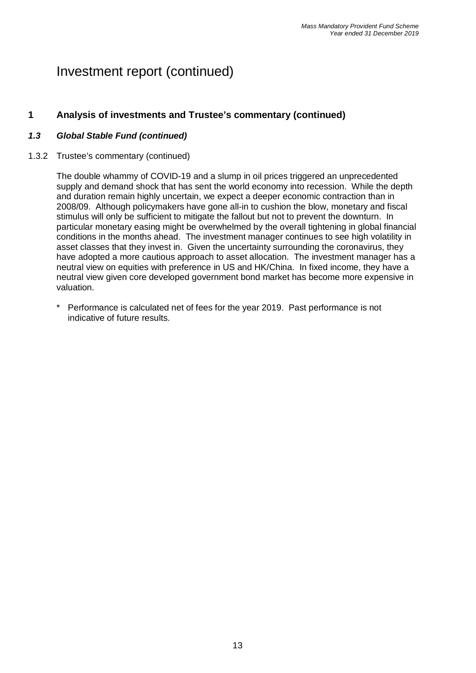### **1 Analysis of investments and Trustee's commentary (continued)**

#### *1.3 Global Stable Fund (continued)*

#### 1.3.2 Trustee's commentary (continued)

The double whammy of COVID-19 and a slump in oil prices triggered an unprecedented supply and demand shock that has sent the world economy into recession. While the depth and duration remain highly uncertain, we expect a deeper economic contraction than in 2008/09. Although policymakers have gone all-in to cushion the blow, monetary and fiscal stimulus will only be sufficient to mitigate the fallout but not to prevent the downturn. In particular monetary easing might be overwhelmed by the overall tightening in global financial conditions in the months ahead. The investment manager continues to see high volatility in asset classes that they invest in. Given the uncertainty surrounding the coronavirus, they have adopted a more cautious approach to asset allocation. The investment manager has a neutral view on equities with preference in US and HK/China. In fixed income, they have a neutral view given core developed government bond market has become more expensive in valuation.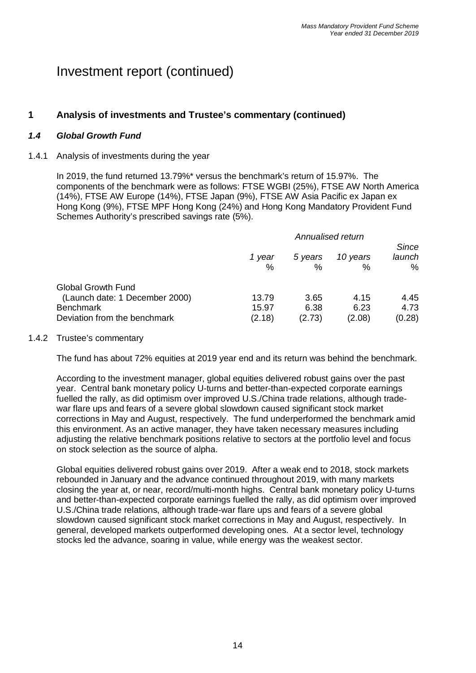### **1 Analysis of investments and Trustee's commentary (continued)**

#### *1.4 Global Growth Fund*

#### 1.4.1 Analysis of investments during the year

In 2019, the fund returned 13.79%\* versus the benchmark's return of 15.97%. The components of the benchmark were as follows: FTSE WGBI (25%), FTSE AW North America (14%), FTSE AW Europe (14%), FTSE Japan (9%), FTSE AW Asia Pacific ex Japan ex Hong Kong (9%), FTSE MPF Hong Kong (24%) and Hong Kong Mandatory Provident Fund Schemes Authority's prescribed savings rate (5%).

|                                | Annualised return |                 |               |                      |
|--------------------------------|-------------------|-----------------|---------------|----------------------|
|                                | 1 year<br>℅       | 5 years<br>$\%$ | 10 years<br>% | Since<br>launch<br>% |
| <b>Global Growth Fund</b>      |                   |                 |               |                      |
| (Launch date: 1 December 2000) | 13.79             | 3.65            | 4.15          | 4.45                 |
| <b>Benchmark</b>               | 15.97             | 6.38            | 6.23          | 4.73                 |
| Deviation from the benchmark   | (2.18)            | (2.73)          | (2.08)        | (0.28)               |

#### 1.4.2 Trustee's commentary

The fund has about 72% equities at 2019 year end and its return was behind the benchmark.

According to the investment manager, global equities delivered robust gains over the past year. Central bank monetary policy U-turns and better-than-expected corporate earnings fuelled the rally, as did optimism over improved U.S./China trade relations, although tradewar flare ups and fears of a severe global slowdown caused significant stock market corrections in May and August, respectively. The fund underperformed the benchmark amid this environment. As an active manager, they have taken necessary measures including adjusting the relative benchmark positions relative to sectors at the portfolio level and focus on stock selection as the source of alpha.

Global equities delivered robust gains over 2019. After a weak end to 2018, stock markets rebounded in January and the advance continued throughout 2019, with many markets closing the year at, or near, record/multi-month highs. Central bank monetary policy U-turns and better-than-expected corporate earnings fuelled the rally, as did optimism over improved U.S./China trade relations, although trade-war flare ups and fears of a severe global slowdown caused significant stock market corrections in May and August, respectively. In general, developed markets outperformed developing ones. At a sector level, technology stocks led the advance, soaring in value, while energy was the weakest sector.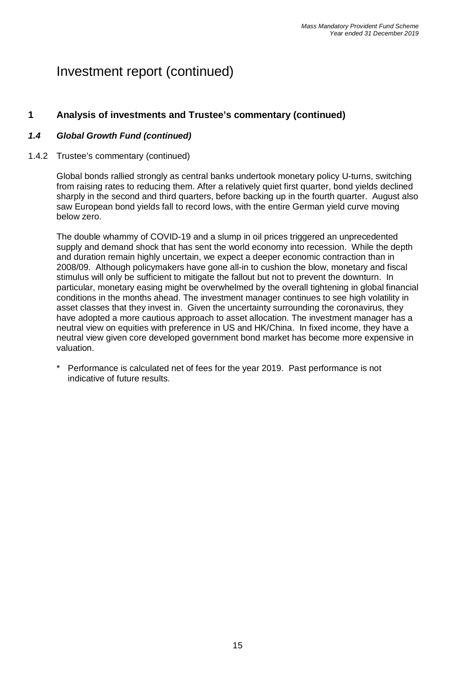### **1 Analysis of investments and Trustee's commentary (continued)**

### *1.4 Global Growth Fund (continued)*

#### 1.4.2 Trustee's commentary (continued)

Global bonds rallied strongly as central banks undertook monetary policy U-turns, switching from raising rates to reducing them. After a relatively quiet first quarter, bond yields declined sharply in the second and third quarters, before backing up in the fourth quarter. August also saw European bond yields fall to record lows, with the entire German yield curve moving below zero.

The double whammy of COVID-19 and a slump in oil prices triggered an unprecedented supply and demand shock that has sent the world economy into recession. While the depth and duration remain highly uncertain, we expect a deeper economic contraction than in 2008/09. Although policymakers have gone all-in to cushion the blow, monetary and fiscal stimulus will only be sufficient to mitigate the fallout but not to prevent the downturn. In particular, monetary easing might be overwhelmed by the overall tightening in global financial conditions in the months ahead. The investment manager continues to see high volatility in asset classes that they invest in. Given the uncertainty surrounding the coronavirus, they have adopted a more cautious approach to asset allocation. The investment manager has a neutral view on equities with preference in US and HK/China. In fixed income, they have a neutral view given core developed government bond market has become more expensive in valuation.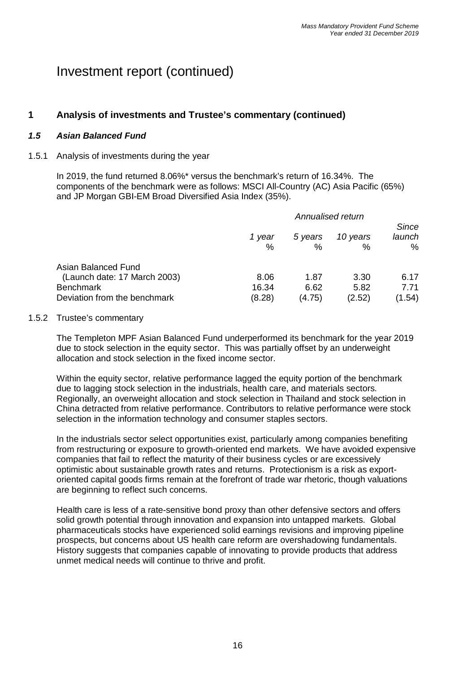### **1 Analysis of investments and Trustee's commentary (continued)**

#### *1.5 Asian Balanced Fund*

#### 1.5.1 Analysis of investments during the year

In 2019, the fund returned 8.06%\* versus the benchmark's return of 16.34%. The components of the benchmark were as follows: MSCI All-Country (AC) Asia Pacific (65%) and JP Morgan GBI-EM Broad Diversified Asia Index (35%).

|                                                                                                         | Annualised return       |                        |                        | <b>Since</b>           |
|---------------------------------------------------------------------------------------------------------|-------------------------|------------------------|------------------------|------------------------|
|                                                                                                         | 1 year<br>%             | 5 years<br>%           | 10 years<br>%          | launch<br>%            |
| Asian Balanced Fund<br>(Launch date: 17 March 2003)<br><b>Benchmark</b><br>Deviation from the benchmark | 8.06<br>16.34<br>(8.28) | 1.87<br>6.62<br>(4.75) | 3.30<br>5.82<br>(2.52) | 6.17<br>7.71<br>(1.54) |

#### 1.5.2 Trustee's commentary

The Templeton MPF Asian Balanced Fund underperformed its benchmark for the year 2019 due to stock selection in the equity sector. This was partially offset by an underweight allocation and stock selection in the fixed income sector.

Within the equity sector, relative performance lagged the equity portion of the benchmark due to lagging stock selection in the industrials, health care, and materials sectors. Regionally, an overweight allocation and stock selection in Thailand and stock selection in China detracted from relative performance. Contributors to relative performance were stock selection in the information technology and consumer staples sectors.

In the industrials sector select opportunities exist, particularly among companies benefiting from restructuring or exposure to growth-oriented end markets. We have avoided expensive companies that fail to reflect the maturity of their business cycles or are excessively optimistic about sustainable growth rates and returns. Protectionism is a risk as exportoriented capital goods firms remain at the forefront of trade war rhetoric, though valuations are beginning to reflect such concerns.

Health care is less of a rate-sensitive bond proxy than other defensive sectors and offers solid growth potential through innovation and expansion into untapped markets. Global pharmaceuticals stocks have experienced solid earnings revisions and improving pipeline prospects, but concerns about US health care reform are overshadowing fundamentals. History suggests that companies capable of innovating to provide products that address unmet medical needs will continue to thrive and profit.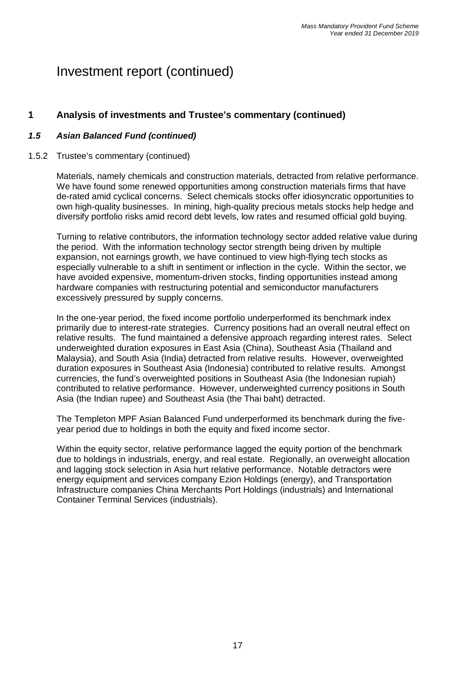### **1 Analysis of investments and Trustee's commentary (continued)**

#### *1.5 Asian Balanced Fund (continued)*

#### 1.5.2 Trustee's commentary (continued)

Materials, namely chemicals and construction materials, detracted from relative performance. We have found some renewed opportunities among construction materials firms that have de-rated amid cyclical concerns. Select chemicals stocks offer idiosyncratic opportunities to own high-quality businesses. In mining, high-quality precious metals stocks help hedge and diversify portfolio risks amid record debt levels, low rates and resumed official gold buying.

Turning to relative contributors, the information technology sector added relative value during the period. With the information technology sector strength being driven by multiple expansion, not earnings growth, we have continued to view high-flying tech stocks as especially vulnerable to a shift in sentiment or inflection in the cycle. Within the sector, we have avoided expensive, momentum-driven stocks, finding opportunities instead among hardware companies with restructuring potential and semiconductor manufacturers excessively pressured by supply concerns.

In the one-year period, the fixed income portfolio underperformed its benchmark index primarily due to interest-rate strategies. Currency positions had an overall neutral effect on relative results. The fund maintained a defensive approach regarding interest rates. Select underweighted duration exposures in East Asia (China), Southeast Asia (Thailand and Malaysia), and South Asia (India) detracted from relative results. However, overweighted duration exposures in Southeast Asia (Indonesia) contributed to relative results. Amongst currencies, the fund's overweighted positions in Southeast Asia (the Indonesian rupiah) contributed to relative performance. However, underweighted currency positions in South Asia (the Indian rupee) and Southeast Asia (the Thai baht) detracted.

The Templeton MPF Asian Balanced Fund underperformed its benchmark during the fiveyear period due to holdings in both the equity and fixed income sector.

Within the equity sector, relative performance lagged the equity portion of the benchmark due to holdings in industrials, energy, and real estate. Regionally, an overweight allocation and lagging stock selection in Asia hurt relative performance. Notable detractors were energy equipment and services company Ezion Holdings (energy), and Transportation Infrastructure companies China Merchants Port Holdings (industrials) and International Container Terminal Services (industrials).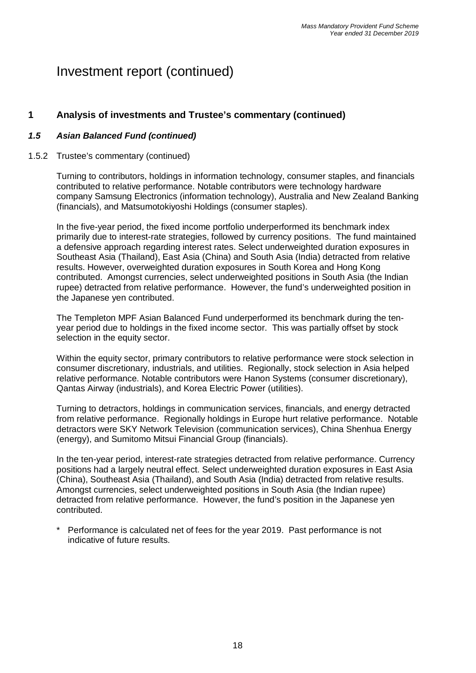# **1 Analysis of investments and Trustee's commentary (continued)**

### *1.5 Asian Balanced Fund (continued)*

#### 1.5.2 Trustee's commentary (continued)

Turning to contributors, holdings in information technology, consumer staples, and financials contributed to relative performance. Notable contributors were technology hardware company Samsung Electronics (information technology), Australia and New Zealand Banking (financials), and Matsumotokiyoshi Holdings (consumer staples).

In the five-year period, the fixed income portfolio underperformed its benchmark index primarily due to interest-rate strategies, followed by currency positions. The fund maintained a defensive approach regarding interest rates. Select underweighted duration exposures in Southeast Asia (Thailand), East Asia (China) and South Asia (India) detracted from relative results. However, overweighted duration exposures in South Korea and Hong Kong contributed. Amongst currencies, select underweighted positions in South Asia (the Indian rupee) detracted from relative performance. However, the fund's underweighted position in the Japanese yen contributed.

The Templeton MPF Asian Balanced Fund underperformed its benchmark during the tenyear period due to holdings in the fixed income sector. This was partially offset by stock selection in the equity sector.

Within the equity sector, primary contributors to relative performance were stock selection in consumer discretionary, industrials, and utilities. Regionally, stock selection in Asia helped relative performance. Notable contributors were Hanon Systems (consumer discretionary), Qantas Airway (industrials), and Korea Electric Power (utilities).

Turning to detractors, holdings in communication services, financials, and energy detracted from relative performance. Regionally holdings in Europe hurt relative performance. Notable detractors were SKY Network Television (communication services), China Shenhua Energy (energy), and Sumitomo Mitsui Financial Group (financials).

In the ten-year period, interest-rate strategies detracted from relative performance. Currency positions had a largely neutral effect. Select underweighted duration exposures in East Asia (China), Southeast Asia (Thailand), and South Asia (India) detracted from relative results. Amongst currencies, select underweighted positions in South Asia (the Indian rupee) detracted from relative performance. However, the fund's position in the Japanese yen contributed.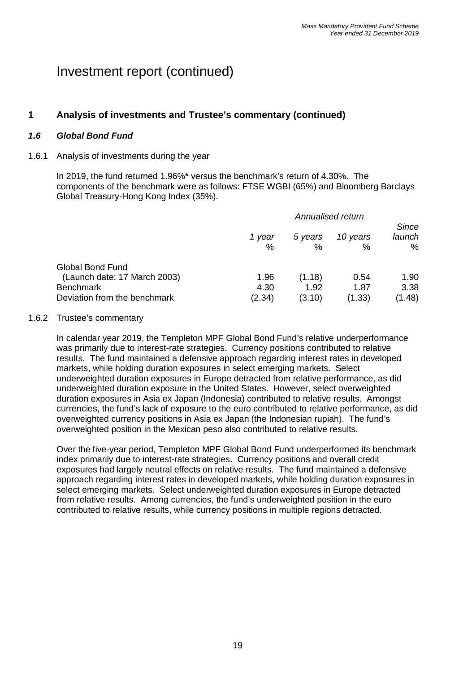### **1 Analysis of investments and Trustee's commentary (continued)**

#### *1.6 Global Bond Fund*

#### 1.6.1 Analysis of investments during the year

In 2019, the fund returned 1.96%\* versus the benchmark's return of 4.30%. The components of the benchmark were as follows: FTSE WGBI (65%) and Bloomberg Barclays Global Treasury-Hong Kong Index (35%).

|                                                                                                             | Annualised return      |                          |                        | <b>Since</b>           |
|-------------------------------------------------------------------------------------------------------------|------------------------|--------------------------|------------------------|------------------------|
|                                                                                                             | 1 year<br>$\%$         | 5 years<br>%             | 10 years<br>$\%$       | launch<br>$\%$         |
| <b>Global Bond Fund</b><br>(Launch date: 17 March 2003)<br><b>Benchmark</b><br>Deviation from the benchmark | 1.96<br>4.30<br>(2.34) | (1.18)<br>1.92<br>(3.10) | 0.54<br>1.87<br>(1.33) | 1.90<br>3.38<br>(1.48) |

#### 1.6.2 Trustee's commentary

In calendar year 2019, the Templeton MPF Global Bond Fund's relative underperformance was primarily due to interest-rate strategies. Currency positions contributed to relative results. The fund maintained a defensive approach regarding interest rates in developed markets, while holding duration exposures in select emerging markets. Select underweighted duration exposures in Europe detracted from relative performance, as did underweighted duration exposure in the United States. However, select overweighted duration exposures in Asia ex Japan (Indonesia) contributed to relative results. Amongst currencies, the fund's lack of exposure to the euro contributed to relative performance, as did overweighted currency positions in Asia ex Japan (the Indonesian rupiah). The fund's overweighted position in the Mexican peso also contributed to relative results.

Over the five-year period, Templeton MPF Global Bond Fund underperformed its benchmark index primarily due to interest-rate strategies. Currency positions and overall credit exposures had largely neutral effects on relative results. The fund maintained a defensive approach regarding interest rates in developed markets, while holding duration exposures in select emerging markets. Select underweighted duration exposures in Europe detracted from relative results. Among currencies, the fund's underweighted position in the euro contributed to relative results, while currency positions in multiple regions detracted.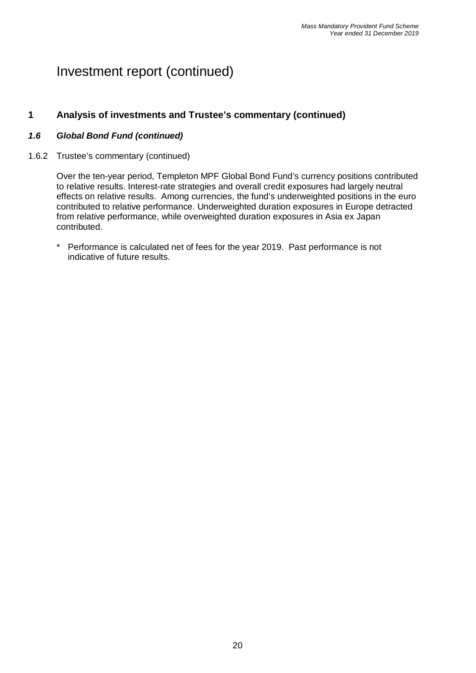### **1 Analysis of investments and Trustee's commentary (continued)**

#### *1.6 Global Bond Fund (continued)*

1.6.2 Trustee's commentary (continued)

Over the ten-year period, Templeton MPF Global Bond Fund's currency positions contributed to relative results. Interest-rate strategies and overall credit exposures had largely neutral effects on relative results. Among currencies, the fund's underweighted positions in the euro contributed to relative performance. Underweighted duration exposures in Europe detracted from relative performance, while overweighted duration exposures in Asia ex Japan contributed.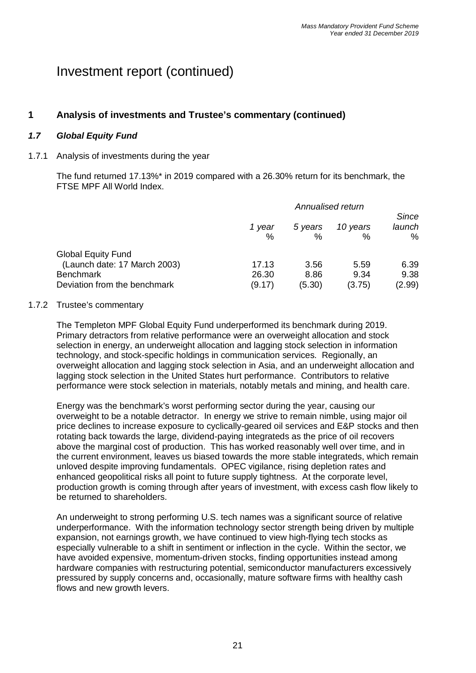### **1 Analysis of investments and Trustee's commentary (continued)**

### *1.7 Global Equity Fund*

#### 1.7.1 Analysis of investments during the year

The fund returned 17.13%\* in 2019 compared with a 26.30% return for its benchmark, the FTSE MPF All World Index.

|                                                           | Annualised return |         |          | Since  |
|-----------------------------------------------------------|-------------------|---------|----------|--------|
|                                                           | 1 year            | 5 years | 10 years | launch |
|                                                           | $\%$              | $\%$    | %        | %      |
| <b>Global Equity Fund</b><br>(Launch date: 17 March 2003) | 17.13             | 3.56    | 5.59     | 6.39   |
| <b>Benchmark</b>                                          | 26.30             | 8.86    | 9.34     | 9.38   |
| Deviation from the benchmark                              | (9.17)            | (5.30)  | (3.75)   | (2.99) |

#### 1.7.2 Trustee's commentary

The Templeton MPF Global Equity Fund underperformed its benchmark during 2019. Primary detractors from relative performance were an overweight allocation and stock selection in energy, an underweight allocation and lagging stock selection in information technology, and stock-specific holdings in communication services. Regionally, an overweight allocation and lagging stock selection in Asia, and an underweight allocation and lagging stock selection in the United States hurt performance. Contributors to relative performance were stock selection in materials, notably metals and mining, and health care.

Energy was the benchmark's worst performing sector during the year, causing our overweight to be a notable detractor. In energy we strive to remain nimble, using major oil price declines to increase exposure to cyclically-geared oil services and E&P stocks and then rotating back towards the large, dividend-paying integrateds as the price of oil recovers above the marginal cost of production. This has worked reasonably well over time, and in the current environment, leaves us biased towards the more stable integrateds, which remain unloved despite improving fundamentals. OPEC vigilance, rising depletion rates and enhanced geopolitical risks all point to future supply tightness. At the corporate level, production growth is coming through after years of investment, with excess cash flow likely to be returned to shareholders.

An underweight to strong performing U.S. tech names was a significant source of relative underperformance. With the information technology sector strength being driven by multiple expansion, not earnings growth, we have continued to view high-flying tech stocks as especially vulnerable to a shift in sentiment or inflection in the cycle. Within the sector, we have avoided expensive, momentum-driven stocks, finding opportunities instead among hardware companies with restructuring potential, semiconductor manufacturers excessively pressured by supply concerns and, occasionally, mature software firms with healthy cash flows and new growth levers.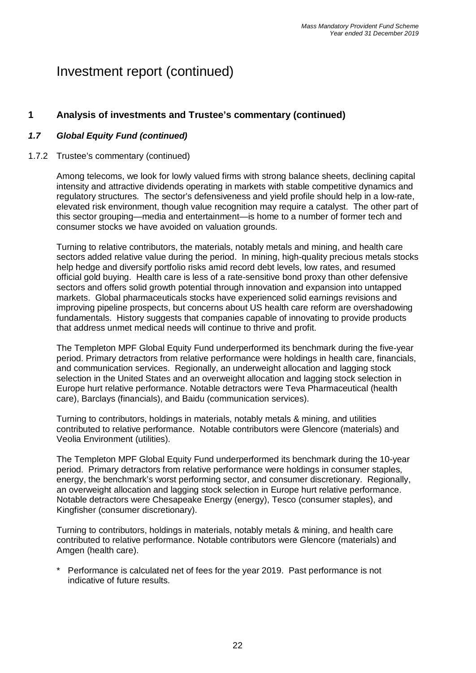# **1 Analysis of investments and Trustee's commentary (continued)**

#### *1.7 Global Equity Fund (continued)*

#### 1.7.2 Trustee's commentary (continued)

Among telecoms, we look for lowly valued firms with strong balance sheets, declining capital intensity and attractive dividends operating in markets with stable competitive dynamics and regulatory structures. The sector's defensiveness and yield profile should help in a low-rate, elevated risk environment, though value recognition may require a catalyst. The other part of this sector grouping—media and entertainment—is home to a number of former tech and consumer stocks we have avoided on valuation grounds.

Turning to relative contributors, the materials, notably metals and mining, and health care sectors added relative value during the period. In mining, high-quality precious metals stocks help hedge and diversify portfolio risks amid record debt levels, low rates, and resumed official gold buying. Health care is less of a rate-sensitive bond proxy than other defensive sectors and offers solid growth potential through innovation and expansion into untapped markets. Global pharmaceuticals stocks have experienced solid earnings revisions and improving pipeline prospects, but concerns about US health care reform are overshadowing fundamentals. History suggests that companies capable of innovating to provide products that address unmet medical needs will continue to thrive and profit.

The Templeton MPF Global Equity Fund underperformed its benchmark during the five-year period. Primary detractors from relative performance were holdings in health care, financials, and communication services. Regionally, an underweight allocation and lagging stock selection in the United States and an overweight allocation and lagging stock selection in Europe hurt relative performance. Notable detractors were Teva Pharmaceutical (health care), Barclays (financials), and Baidu (communication services).

Turning to contributors, holdings in materials, notably metals & mining, and utilities contributed to relative performance. Notable contributors were Glencore (materials) and Veolia Environment (utilities).

The Templeton MPF Global Equity Fund underperformed its benchmark during the 10-year period. Primary detractors from relative performance were holdings in consumer staples, energy, the benchmark's worst performing sector, and consumer discretionary. Regionally, an overweight allocation and lagging stock selection in Europe hurt relative performance. Notable detractors were Chesapeake Energy (energy), Tesco (consumer staples), and Kingfisher (consumer discretionary).

Turning to contributors, holdings in materials, notably metals & mining, and health care contributed to relative performance. Notable contributors were Glencore (materials) and Amgen (health care).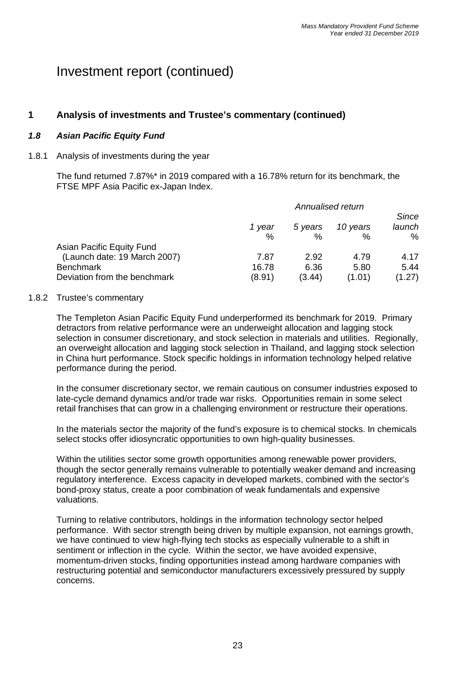### **1 Analysis of investments and Trustee's commentary (continued)**

### *1.8 Asian Pacific Equity Fund*

#### 1.8.1 Analysis of investments during the year

The fund returned 7.87%\* in 2019 compared with a 16.78% return for its benchmark, the FTSE MPF Asia Pacific ex-Japan Index.

|                                                  | Annualised return |                 |                |                             |
|--------------------------------------------------|-------------------|-----------------|----------------|-----------------------------|
|                                                  | 1 year<br>$\%$    | 5 years<br>$\%$ | 10 years<br>℅  | <b>Since</b><br>launch<br>% |
| Asian Pacific Equity Fund                        |                   |                 |                |                             |
| (Launch date: 19 March 2007)                     | 7.87              | 2.92            | 4.79           | 4.17                        |
| <b>Benchmark</b><br>Deviation from the benchmark | 16.78<br>(8.91)   | 6.36<br>(3.44)  | 5.80<br>(1.01) | 5.44<br>(1.27)              |

#### 1.8.2 Trustee's commentary

The Templeton Asian Pacific Equity Fund underperformed its benchmark for 2019. Primary detractors from relative performance were an underweight allocation and lagging stock selection in consumer discretionary, and stock selection in materials and utilities. Regionally, an overweight allocation and lagging stock selection in Thailand, and lagging stock selection in China hurt performance. Stock specific holdings in information technology helped relative performance during the period.

In the consumer discretionary sector, we remain cautious on consumer industries exposed to late-cycle demand dynamics and/or trade war risks. Opportunities remain in some select retail franchises that can grow in a challenging environment or restructure their operations.

In the materials sector the majority of the fund's exposure is to chemical stocks. In chemicals select stocks offer idiosyncratic opportunities to own high-quality businesses.

Within the utilities sector some growth opportunities among renewable power providers. though the sector generally remains vulnerable to potentially weaker demand and increasing regulatory interference. Excess capacity in developed markets, combined with the sector's bond-proxy status, create a poor combination of weak fundamentals and expensive valuations.

Turning to relative contributors, holdings in the information technology sector helped performance. With sector strength being driven by multiple expansion, not earnings growth, we have continued to view high-flying tech stocks as especially vulnerable to a shift in sentiment or inflection in the cycle. Within the sector, we have avoided expensive, momentum-driven stocks, finding opportunities instead among hardware companies with restructuring potential and semiconductor manufacturers excessively pressured by supply concerns.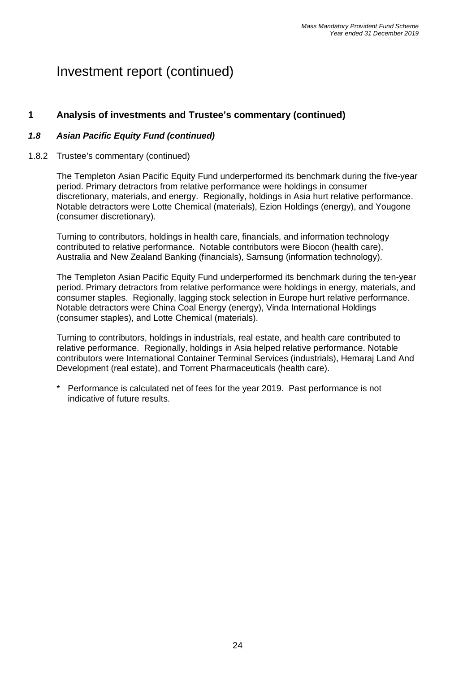### **1 Analysis of investments and Trustee's commentary (continued)**

### *1.8 Asian Pacific Equity Fund (continued)*

#### 1.8.2 Trustee's commentary (continued)

The Templeton Asian Pacific Equity Fund underperformed its benchmark during the five-year period. Primary detractors from relative performance were holdings in consumer discretionary, materials, and energy. Regionally, holdings in Asia hurt relative performance. Notable detractors were Lotte Chemical (materials), Ezion Holdings (energy), and Yougone (consumer discretionary).

Turning to contributors, holdings in health care, financials, and information technology contributed to relative performance. Notable contributors were Biocon (health care), Australia and New Zealand Banking (financials), Samsung (information technology).

The Templeton Asian Pacific Equity Fund underperformed its benchmark during the ten-year period. Primary detractors from relative performance were holdings in energy, materials, and consumer staples. Regionally, lagging stock selection in Europe hurt relative performance. Notable detractors were China Coal Energy (energy), Vinda International Holdings (consumer staples), and Lotte Chemical (materials).

Turning to contributors, holdings in industrials, real estate, and health care contributed to relative performance. Regionally, holdings in Asia helped relative performance. Notable contributors were International Container Terminal Services (industrials), Hemaraj Land And Development (real estate), and Torrent Pharmaceuticals (health care).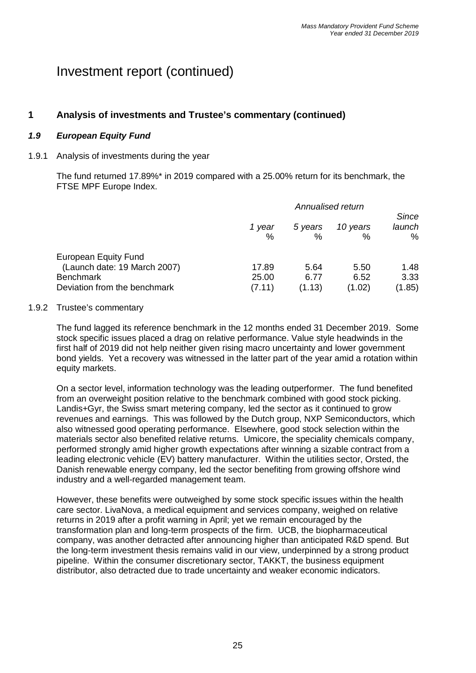### **1 Analysis of investments and Trustee's commentary (continued)**

### *1.9 European Equity Fund*

#### 1.9.1 Analysis of investments during the year

The fund returned 17.89%\* in 2019 compared with a 25.00% return for its benchmark, the FTSE MPF Europe Index.

|                                                                                 | Annualised return |              |               |                      |
|---------------------------------------------------------------------------------|-------------------|--------------|---------------|----------------------|
|                                                                                 | 1 year<br>$\%$    | 5 years<br>% | 10 years<br>% | Since<br>launch<br>% |
| <b>European Equity Fund</b><br>(Launch date: 19 March 2007)<br><b>Benchmark</b> | 17.89<br>25.00    | 5.64<br>6.77 | 5.50<br>6.52  | 1.48<br>3.33         |
| Deviation from the benchmark                                                    | (7.11)            | (1.13)       | (1.02)        | (1.85)               |

#### 1.9.2 Trustee's commentary

The fund lagged its reference benchmark in the 12 months ended 31 December 2019. Some stock specific issues placed a drag on relative performance. Value style headwinds in the first half of 2019 did not help neither given rising macro uncertainty and lower government bond yields. Yet a recovery was witnessed in the latter part of the year amid a rotation within equity markets.

On a sector level, information technology was the leading outperformer. The fund benefited from an overweight position relative to the benchmark combined with good stock picking. Landis+Gyr, the Swiss smart metering company, led the sector as it continued to grow revenues and earnings. This was followed by the Dutch group, NXP Semiconductors, which also witnessed good operating performance. Elsewhere, good stock selection within the materials sector also benefited relative returns. Umicore, the speciality chemicals company, performed strongly amid higher growth expectations after winning a sizable contract from a leading electronic vehicle (EV) battery manufacturer. Within the utilities sector, Orsted, the Danish renewable energy company, led the sector benefiting from growing offshore wind industry and a well-regarded management team.

However, these benefits were outweighed by some stock specific issues within the health care sector. LivaNova, a medical equipment and services company, weighed on relative returns in 2019 after a profit warning in April; yet we remain encouraged by the transformation plan and long-term prospects of the firm. UCB, the biopharmaceutical company, was another detracted after announcing higher than anticipated R&D spend. But the long-term investment thesis remains valid in our view, underpinned by a strong product pipeline. Within the consumer discretionary sector, TAKKT, the business equipment distributor, also detracted due to trade uncertainty and weaker economic indicators.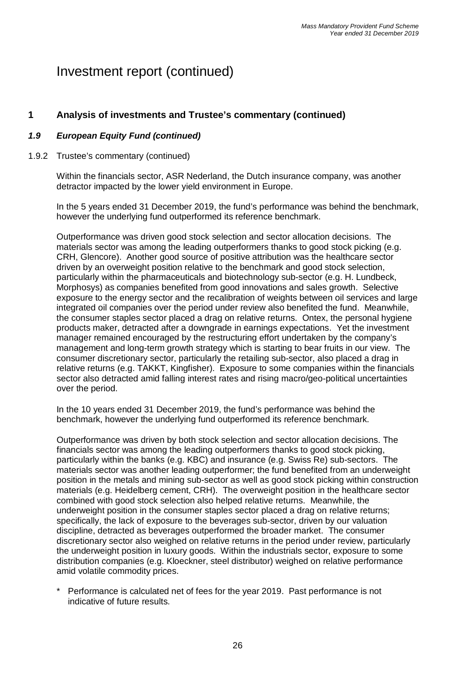### **1 Analysis of investments and Trustee's commentary (continued)**

#### *1.9 European Equity Fund (continued)*

#### 1.9.2 Trustee's commentary (continued)

Within the financials sector, ASR Nederland, the Dutch insurance company, was another detractor impacted by the lower yield environment in Europe.

In the 5 years ended 31 December 2019, the fund's performance was behind the benchmark, however the underlying fund outperformed its reference benchmark.

Outperformance was driven good stock selection and sector allocation decisions. The materials sector was among the leading outperformers thanks to good stock picking (e.g. CRH, Glencore). Another good source of positive attribution was the healthcare sector driven by an overweight position relative to the benchmark and good stock selection, particularly within the pharmaceuticals and biotechnology sub-sector (e.g. H. Lundbeck, Morphosys) as companies benefited from good innovations and sales growth. Selective exposure to the energy sector and the recalibration of weights between oil services and large integrated oil companies over the period under review also benefited the fund. Meanwhile, the consumer staples sector placed a drag on relative returns. Ontex, the personal hygiene products maker, detracted after a downgrade in earnings expectations. Yet the investment manager remained encouraged by the restructuring effort undertaken by the company's management and long-term growth strategy which is starting to bear fruits in our view. The consumer discretionary sector, particularly the retailing sub-sector, also placed a drag in relative returns (e.g. TAKKT, Kingfisher). Exposure to some companies within the financials sector also detracted amid falling interest rates and rising macro/geo-political uncertainties over the period.

In the 10 years ended 31 December 2019, the fund's performance was behind the benchmark, however the underlying fund outperformed its reference benchmark.

Outperformance was driven by both stock selection and sector allocation decisions. The financials sector was among the leading outperformers thanks to good stock picking, particularly within the banks (e.g. KBC) and insurance (e.g. Swiss Re) sub-sectors. The materials sector was another leading outperformer; the fund benefited from an underweight position in the metals and mining sub-sector as well as good stock picking within construction materials (e.g. Heidelberg cement, CRH). The overweight position in the healthcare sector combined with good stock selection also helped relative returns. Meanwhile, the underweight position in the consumer staples sector placed a drag on relative returns; specifically, the lack of exposure to the beverages sub-sector, driven by our valuation discipline, detracted as beverages outperformed the broader market. The consumer discretionary sector also weighed on relative returns in the period under review, particularly the underweight position in luxury goods. Within the industrials sector, exposure to some distribution companies (e.g. Kloeckner, steel distributor) weighed on relative performance amid volatile commodity prices.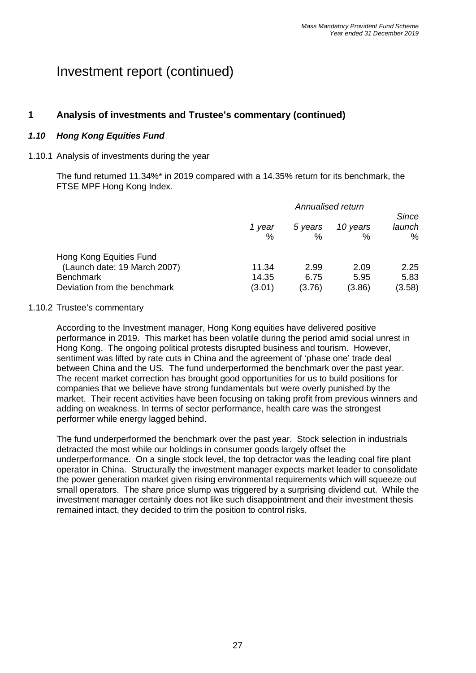### **1 Analysis of investments and Trustee's commentary (continued)**

### *1.10 Hong Kong Equities Fund*

#### 1.10.1 Analysis of investments during the year

The fund returned 11.34%\* in 2019 compared with a 14.35% return for its benchmark, the FTSE MPF Hong Kong Index.

|                                                                                                             | Annualised return        |                        |                        |                             |
|-------------------------------------------------------------------------------------------------------------|--------------------------|------------------------|------------------------|-----------------------------|
|                                                                                                             | 1 year<br>%              | 5 years<br>%           | 10 years<br>%          | <b>Since</b><br>launch<br>% |
| Hong Kong Equities Fund<br>(Launch date: 19 March 2007)<br><b>Benchmark</b><br>Deviation from the benchmark | 11.34<br>14.35<br>(3.01) | 2.99<br>6.75<br>(3.76) | 2.09<br>5.95<br>(3.86) | 2.25<br>5.83<br>(3.58)      |

#### 1.10.2 Trustee's commentary

According to the Investment manager, Hong Kong equities have delivered positive performance in 2019. This market has been volatile during the period amid social unrest in Hong Kong. The ongoing political protests disrupted business and tourism. However, sentiment was lifted by rate cuts in China and the agreement of 'phase one' trade deal between China and the US. The fund underperformed the benchmark over the past year. The recent market correction has brought good opportunities for us to build positions for companies that we believe have strong fundamentals but were overly punished by the market. Their recent activities have been focusing on taking profit from previous winners and adding on weakness. In terms of sector performance, health care was the strongest performer while energy lagged behind.

The fund underperformed the benchmark over the past year. Stock selection in industrials detracted the most while our holdings in consumer goods largely offset the underperformance. On a single stock level, the top detractor was the leading coal fire plant operator in China. Structurally the investment manager expects market leader to consolidate the power generation market given rising environmental requirements which will squeeze out small operators. The share price slump was triggered by a surprising dividend cut. While the investment manager certainly does not like such disappointment and their investment thesis remained intact, they decided to trim the position to control risks.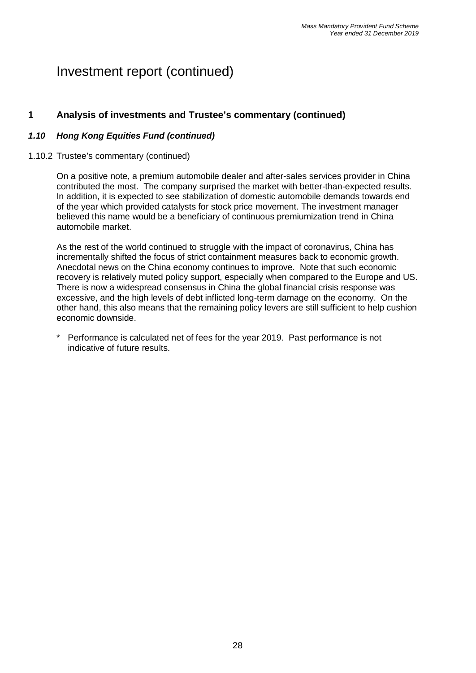### **1 Analysis of investments and Trustee's commentary (continued)**

#### *1.10 Hong Kong Equities Fund (continued)*

#### 1.10.2 Trustee's commentary (continued)

On a positive note, a premium automobile dealer and after-sales services provider in China contributed the most. The company surprised the market with better-than-expected results. In addition, it is expected to see stabilization of domestic automobile demands towards end of the year which provided catalysts for stock price movement. The investment manager believed this name would be a beneficiary of continuous premiumization trend in China automobile market.

As the rest of the world continued to struggle with the impact of coronavirus, China has incrementally shifted the focus of strict containment measures back to economic growth. Anecdotal news on the China economy continues to improve. Note that such economic recovery is relatively muted policy support, especially when compared to the Europe and US. There is now a widespread consensus in China the global financial crisis response was excessive, and the high levels of debt inflicted long-term damage on the economy. On the other hand, this also means that the remaining policy levers are still sufficient to help cushion economic downside.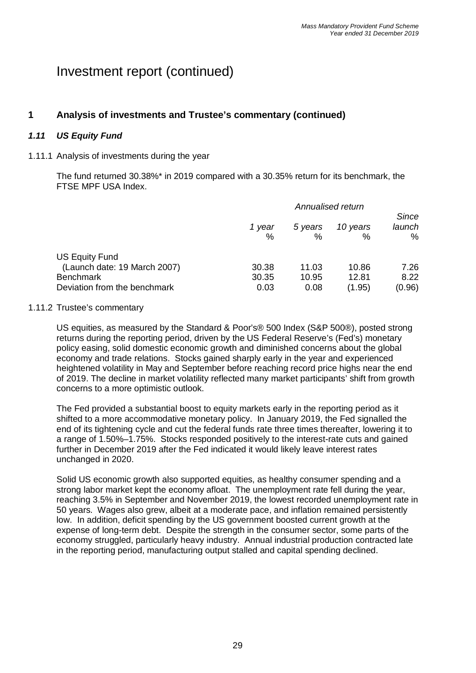# **1 Analysis of investments and Trustee's commentary (continued)**

### *1.11 US Equity Fund*

#### 1.11.1 Analysis of investments during the year

The fund returned 30.38%\* in 2019 compared with a 30.35% return for its benchmark, the FTSE MPF USA Index.

|                                                                                                    | Annualised return      |                        |                          | <b>Since</b>           |
|----------------------------------------------------------------------------------------------------|------------------------|------------------------|--------------------------|------------------------|
|                                                                                                    | 1 year<br>%            | 5 years<br>%           | 10 years<br>%            | launch<br>%            |
| US Equity Fund<br>(Launch date: 19 March 2007)<br><b>Benchmark</b><br>Deviation from the benchmark | 30.38<br>30.35<br>0.03 | 11.03<br>10.95<br>0.08 | 10.86<br>12.81<br>(1.95) | 7.26<br>8.22<br>(0.96) |

#### 1.11.2 Trustee's commentary

US equities, as measured by the Standard & Poor's® 500 Index (S&P 500®), posted strong returns during the reporting period, driven by the US Federal Reserve's (Fed's) monetary policy easing, solid domestic economic growth and diminished concerns about the global economy and trade relations. Stocks gained sharply early in the year and experienced heightened volatility in May and September before reaching record price highs near the end of 2019. The decline in market volatility reflected many market participants' shift from growth concerns to a more optimistic outlook.

The Fed provided a substantial boost to equity markets early in the reporting period as it shifted to a more accommodative monetary policy. In January 2019, the Fed signalled the end of its tightening cycle and cut the federal funds rate three times thereafter, lowering it to a range of 1.50%–1.75%. Stocks responded positively to the interest-rate cuts and gained further in December 2019 after the Fed indicated it would likely leave interest rates unchanged in 2020.

Solid US economic growth also supported equities, as healthy consumer spending and a strong labor market kept the economy afloat. The unemployment rate fell during the year, reaching 3.5% in September and November 2019, the lowest recorded unemployment rate in 50 years. Wages also grew, albeit at a moderate pace, and inflation remained persistently low. In addition, deficit spending by the US government boosted current growth at the expense of long-term debt. Despite the strength in the consumer sector, some parts of the economy struggled, particularly heavy industry. Annual industrial production contracted late in the reporting period, manufacturing output stalled and capital spending declined.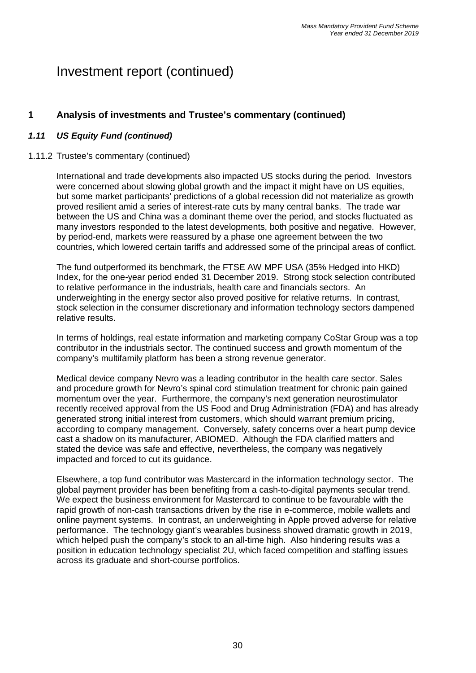# **1 Analysis of investments and Trustee's commentary (continued)**

#### *1.11 US Equity Fund (continued)*

#### 1.11.2 Trustee's commentary (continued)

International and trade developments also impacted US stocks during the period. Investors were concerned about slowing global growth and the impact it might have on US equities, but some market participants' predictions of a global recession did not materialize as growth proved resilient amid a series of interest-rate cuts by many central banks. The trade war between the US and China was a dominant theme over the period, and stocks fluctuated as many investors responded to the latest developments, both positive and negative. However, by period-end, markets were reassured by a phase one agreement between the two countries, which lowered certain tariffs and addressed some of the principal areas of conflict.

The fund outperformed its benchmark, the FTSE AW MPF USA (35% Hedged into HKD) Index, for the one-year period ended 31 December 2019. Strong stock selection contributed to relative performance in the industrials, health care and financials sectors. An underweighting in the energy sector also proved positive for relative returns. In contrast, stock selection in the consumer discretionary and information technology sectors dampened relative results.

In terms of holdings, real estate information and marketing company CoStar Group was a top contributor in the industrials sector. The continued success and growth momentum of the company's multifamily platform has been a strong revenue generator.

Medical device company Nevro was a leading contributor in the health care sector. Sales and procedure growth for Nevro's spinal cord stimulation treatment for chronic pain gained momentum over the year. Furthermore, the company's next generation neurostimulator recently received approval from the US Food and Drug Administration (FDA) and has already generated strong initial interest from customers, which should warrant premium pricing, according to company management. Conversely, safety concerns over a heart pump device cast a shadow on its manufacturer, ABIOMED. Although the FDA clarified matters and stated the device was safe and effective, nevertheless, the company was negatively impacted and forced to cut its guidance.

Elsewhere, a top fund contributor was Mastercard in the information technology sector. The global payment provider has been benefiting from a cash-to-digital payments secular trend. We expect the business environment for Mastercard to continue to be favourable with the rapid growth of non-cash transactions driven by the rise in e-commerce, mobile wallets and online payment systems. In contrast, an underweighting in Apple proved adverse for relative performance. The technology giant's wearables business showed dramatic growth in 2019, which helped push the company's stock to an all-time high. Also hindering results was a position in education technology specialist 2U, which faced competition and staffing issues across its graduate and short-course portfolios.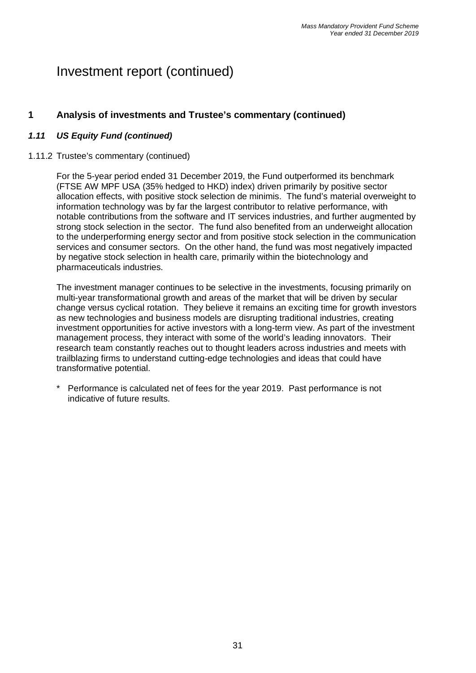### **1 Analysis of investments and Trustee's commentary (continued)**

#### *1.11 US Equity Fund (continued)*

#### 1.11.2 Trustee's commentary (continued)

For the 5-year period ended 31 December 2019, the Fund outperformed its benchmark (FTSE AW MPF USA (35% hedged to HKD) index) driven primarily by positive sector allocation effects, with positive stock selection de minimis. The fund's material overweight to information technology was by far the largest contributor to relative performance, with notable contributions from the software and IT services industries, and further augmented by strong stock selection in the sector. The fund also benefited from an underweight allocation to the underperforming energy sector and from positive stock selection in the communication services and consumer sectors. On the other hand, the fund was most negatively impacted by negative stock selection in health care, primarily within the biotechnology and pharmaceuticals industries.

The investment manager continues to be selective in the investments, focusing primarily on multi-year transformational growth and areas of the market that will be driven by secular change versus cyclical rotation. They believe it remains an exciting time for growth investors as new technologies and business models are disrupting traditional industries, creating investment opportunities for active investors with a long-term view. As part of the investment management process, they interact with some of the world's leading innovators. Their research team constantly reaches out to thought leaders across industries and meets with trailblazing firms to understand cutting-edge technologies and ideas that could have transformative potential.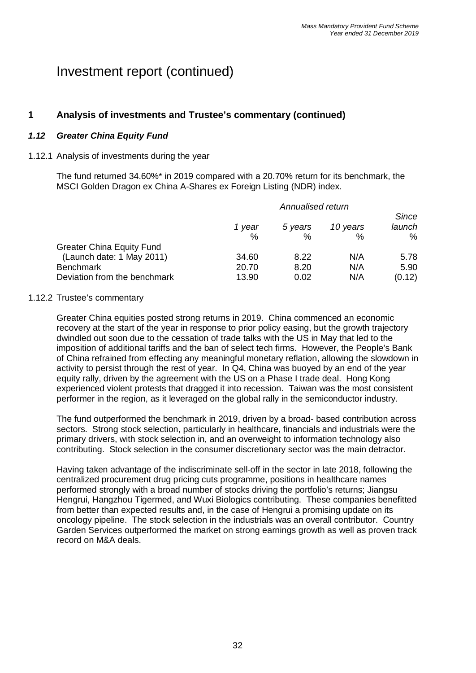### **1 Analysis of investments and Trustee's commentary (continued)**

#### *1.12 Greater China Equity Fund*

#### 1.12.1 Analysis of investments during the year

The fund returned 34.60%\* in 2019 compared with a 20.70% return for its benchmark, the MSCI Golden Dragon ex China A-Shares ex Foreign Listing (NDR) index.

|                                  | 1 year<br>$\%$ | 5 years<br>% | 10 years<br>$\%$ | Since<br>launch<br>% |
|----------------------------------|----------------|--------------|------------------|----------------------|
| <b>Greater China Equity Fund</b> |                |              |                  |                      |
| (Launch date: 1 May 2011)        | 34.60          | 8.22         | N/A              | 5.78                 |
| <b>Benchmark</b>                 | 20.70          | 8.20         | N/A              | 5.90                 |
| Deviation from the benchmark     | 13.90          | 0.02         | N/A              | (0.12)               |

#### 1.12.2 Trustee's commentary

Greater China equities posted strong returns in 2019. China commenced an economic recovery at the start of the year in response to prior policy easing, but the growth trajectory dwindled out soon due to the cessation of trade talks with the US in May that led to the imposition of additional tariffs and the ban of select tech firms. However, the People's Bank of China refrained from effecting any meaningful monetary reflation, allowing the slowdown in activity to persist through the rest of year. In Q4, China was buoyed by an end of the year equity rally, driven by the agreement with the US on a Phase I trade deal. Hong Kong experienced violent protests that dragged it into recession. Taiwan was the most consistent performer in the region, as it leveraged on the global rally in the semiconductor industry.

The fund outperformed the benchmark in 2019, driven by a broad- based contribution across sectors. Strong stock selection, particularly in healthcare, financials and industrials were the primary drivers, with stock selection in, and an overweight to information technology also contributing. Stock selection in the consumer discretionary sector was the main detractor.

Having taken advantage of the indiscriminate sell-off in the sector in late 2018, following the centralized procurement drug pricing cuts programme, positions in healthcare names performed strongly with a broad number of stocks driving the portfolio's returns; Jiangsu Hengrui, Hangzhou Tigermed, and Wuxi Biologics contributing. These companies benefitted from better than expected results and, in the case of Hengrui a promising update on its oncology pipeline. The stock selection in the industrials was an overall contributor. Country Garden Services outperformed the market on strong earnings growth as well as proven track record on M&A deals.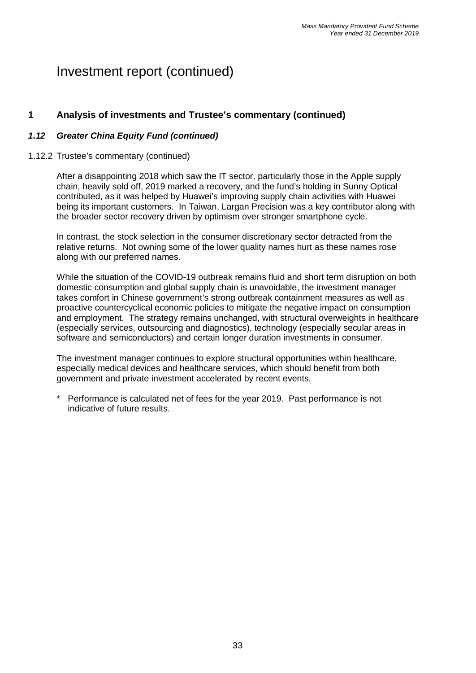### **1 Analysis of investments and Trustee's commentary (continued)**

#### *1.12 Greater China Equity Fund (continued)*

#### 1.12.2 Trustee's commentary (continued)

After a disappointing 2018 which saw the IT sector, particularly those in the Apple supply chain, heavily sold off, 2019 marked a recovery, and the fund's holding in Sunny Optical contributed, as it was helped by Huawei's improving supply chain activities with Huawei being its important customers. In Taiwan, Largan Precision was a key contributor along with the broader sector recovery driven by optimism over stronger smartphone cycle.

In contrast, the stock selection in the consumer discretionary sector detracted from the relative returns. Not owning some of the lower quality names hurt as these names rose along with our preferred names.

While the situation of the COVID-19 outbreak remains fluid and short term disruption on both domestic consumption and global supply chain is unavoidable, the investment manager takes comfort in Chinese government's strong outbreak containment measures as well as proactive countercyclical economic policies to mitigate the negative impact on consumption and employment. The strategy remains unchanged, with structural overweights in healthcare (especially services, outsourcing and diagnostics), technology (especially secular areas in software and semiconductors) and certain longer duration investments in consumer.

The investment manager continues to explore structural opportunities within healthcare, especially medical devices and healthcare services, which should benefit from both government and private investment accelerated by recent events.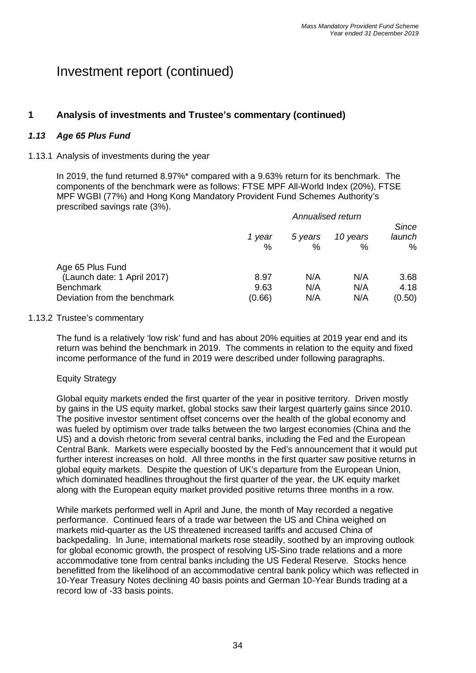# **1 Analysis of investments and Trustee's commentary (continued)**

### *1.13 Age 65 Plus Fund*

#### 1.13.1 Analysis of investments during the year

In 2019, the fund returned 8.97%\* compared with a 9.63% return for its benchmark. The components of the benchmark were as follows: FTSE MPF All-World Index (20%), FTSE MPF WGBI (77%) and Hong Kong Mandatory Provident Fund Schemes Authority's prescribed savings rate (3%).

|                                                                                                     | Annualised return      |                   |                   |                                |
|-----------------------------------------------------------------------------------------------------|------------------------|-------------------|-------------------|--------------------------------|
|                                                                                                     | 1 year<br>%            | 5 years<br>$\%$   | 10 years<br>%     | <b>Since</b><br>launch<br>$\%$ |
| Age 65 Plus Fund<br>(Launch date: 1 April 2017)<br><b>Benchmark</b><br>Deviation from the benchmark | 8.97<br>9.63<br>(0.66) | N/A<br>N/A<br>N/A | N/A<br>N/A<br>N/A | 3.68<br>4.18<br>(0.50)         |

#### 1.13.2 Trustee's commentary

The fund is a relatively 'low risk' fund and has about 20% equities at 2019 year end and its return was behind the benchmark in 2019. The comments in relation to the equity and fixed income performance of the fund in 2019 were described under following paragraphs.

#### Equity Strategy

Global equity markets ended the first quarter of the year in positive territory. Driven mostly by gains in the US equity market, global stocks saw their largest quarterly gains since 2010. The positive investor sentiment offset concerns over the health of the global economy and was fueled by optimism over trade talks between the two largest economies (China and the US) and a dovish rhetoric from several central banks, including the Fed and the European Central Bank. Markets were especially boosted by the Fed's announcement that it would put further interest increases on hold. All three months in the first quarter saw positive returns in global equity markets. Despite the question of UK's departure from the European Union, which dominated headlines throughout the first quarter of the year, the UK equity market along with the European equity market provided positive returns three months in a row.

While markets performed well in April and June, the month of May recorded a negative performance. Continued fears of a trade war between the US and China weighed on markets mid-quarter as the US threatened increased tariffs and accused China of backpedaling. In June, international markets rose steadily, soothed by an improving outlook for global economic growth, the prospect of resolving US-Sino trade relations and a more accommodative tone from central banks including the US Federal Reserve. Stocks hence benefitted from the likelihood of an accommodative central bank policy which was reflected in 10-Year Treasury Notes declining 40 basis points and German 10-Year Bunds trading at a record low of -33 basis points.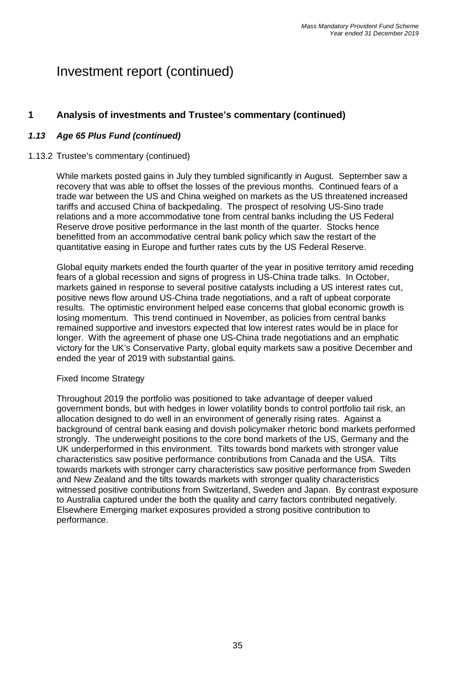## **1 Analysis of investments and Trustee's commentary (continued)**

### *1.13 Age 65 Plus Fund (continued)*

#### 1.13.2 Trustee's commentary (continued)

While markets posted gains in July they tumbled significantly in August. September saw a recovery that was able to offset the losses of the previous months. Continued fears of a trade war between the US and China weighed on markets as the US threatened increased tariffs and accused China of backpedaling. The prospect of resolving US-Sino trade relations and a more accommodative tone from central banks including the US Federal Reserve drove positive performance in the last month of the quarter. Stocks hence benefitted from an accommodative central bank policy which saw the restart of the quantitative easing in Europe and further rates cuts by the US Federal Reserve.

Global equity markets ended the fourth quarter of the year in positive territory amid receding fears of a global recession and signs of progress in US-China trade talks. In October, markets gained in response to several positive catalysts including a US interest rates cut, positive news flow around US-China trade negotiations, and a raft of upbeat corporate results. The optimistic environment helped ease concerns that global economic growth is losing momentum. This trend continued in November, as policies from central banks remained supportive and investors expected that low interest rates would be in place for longer. With the agreement of phase one US-China trade negotiations and an emphatic victory for the UK's Conservative Party, global equity markets saw a positive December and ended the year of 2019 with substantial gains.

#### Fixed Income Strategy

Throughout 2019 the portfolio was positioned to take advantage of deeper valued government bonds, but with hedges in lower volatility bonds to control portfolio tail risk, an allocation designed to do well in an environment of generally rising rates. Against a background of central bank easing and dovish policymaker rhetoric bond markets performed strongly. The underweight positions to the core bond markets of the US, Germany and the UK underperformed in this environment. Tilts towards bond markets with stronger value characteristics saw positive performance contributions from Canada and the USA. Tilts towards markets with stronger carry characteristics saw positive performance from Sweden and New Zealand and the tilts towards markets with stronger quality characteristics witnessed positive contributions from Switzerland, Sweden and Japan. By contrast exposure to Australia captured under the both the quality and carry factors contributed negatively. Elsewhere Emerging market exposures provided a strong positive contribution to performance.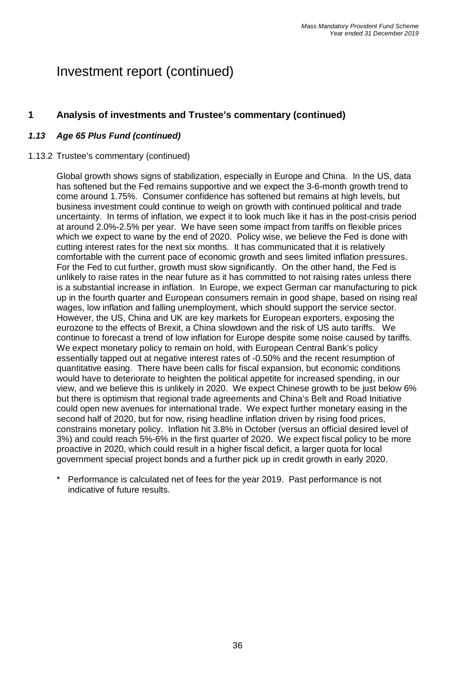## **1 Analysis of investments and Trustee's commentary (continued)**

### *1.13 Age 65 Plus Fund (continued)*

#### 1.13.2 Trustee's commentary (continued)

Global growth shows signs of stabilization, especially in Europe and China. In the US, data has softened but the Fed remains supportive and we expect the 3-6-month growth trend to come around 1.75%. Consumer confidence has softened but remains at high levels, but business investment could continue to weigh on growth with continued political and trade uncertainty. In terms of inflation, we expect it to look much like it has in the post-crisis period at around 2.0%-2.5% per year. We have seen some impact from tariffs on flexible prices which we expect to wane by the end of 2020. Policy wise, we believe the Fed is done with cutting interest rates for the next six months. It has communicated that it is relatively comfortable with the current pace of economic growth and sees limited inflation pressures. For the Fed to cut further, growth must slow significantly. On the other hand, the Fed is unlikely to raise rates in the near future as it has committed to not raising rates unless there is a substantial increase in inflation. In Europe, we expect German car manufacturing to pick up in the fourth quarter and European consumers remain in good shape, based on rising real wages, low inflation and falling unemployment, which should support the service sector. However, the US, China and UK are key markets for European exporters, exposing the eurozone to the effects of Brexit, a China slowdown and the risk of US auto tariffs. We continue to forecast a trend of low inflation for Europe despite some noise caused by tariffs. We expect monetary policy to remain on hold, with European Central Bank's policy essentially tapped out at negative interest rates of -0.50% and the recent resumption of quantitative easing. There have been calls for fiscal expansion, but economic conditions would have to deteriorate to heighten the political appetite for increased spending, in our view, and we believe this is unlikely in 2020. We expect Chinese growth to be just below 6% but there is optimism that regional trade agreements and China's Belt and Road Initiative could open new avenues for international trade. We expect further monetary easing in the second half of 2020, but for now, rising headline inflation driven by rising food prices, constrains monetary policy. Inflation hit 3.8% in October (versus an official desired level of 3%) and could reach 5%-6% in the first quarter of 2020. We expect fiscal policy to be more proactive in 2020, which could result in a higher fiscal deficit, a larger quota for local government special project bonds and a further pick up in credit growth in early 2020.

Performance is calculated net of fees for the year 2019. Past performance is not indicative of future results.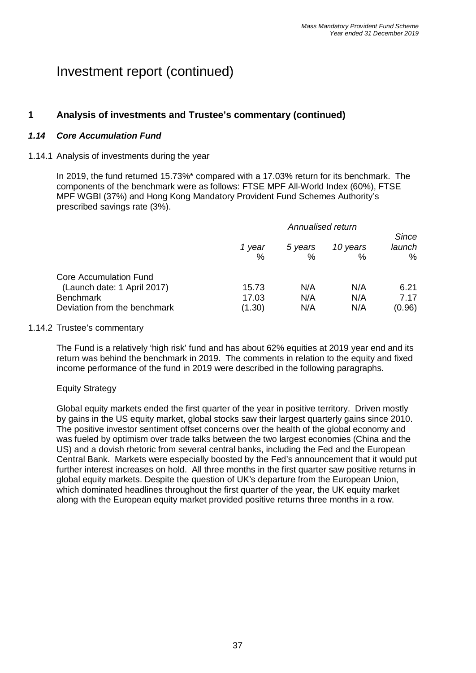## **1 Analysis of investments and Trustee's commentary (continued)**

### *1.14 Core Accumulation Fund*

#### 1.14.1 Analysis of investments during the year

In 2019, the fund returned 15.73%\* compared with a 17.03% return for its benchmark. The components of the benchmark were as follows: FTSE MPF All-World Index (60%), FTSE MPF WGBI (37%) and Hong Kong Mandatory Provident Fund Schemes Authority's prescribed savings rate (3%).

|                               |             | Since        |                  |             |
|-------------------------------|-------------|--------------|------------------|-------------|
|                               | 1 year<br>% | 5 years<br>% | 10 years<br>$\%$ | launch<br>% |
| <b>Core Accumulation Fund</b> |             |              |                  |             |
| (Launch date: 1 April 2017)   | 15.73       | N/A          | N/A              | 6.21        |
| <b>Benchmark</b>              | 17.03       | N/A          | N/A              | 7.17        |
| Deviation from the benchmark  | (1.30)      | N/A          | N/A              | (0.96)      |

#### 1.14.2 Trustee's commentary

The Fund is a relatively 'high risk' fund and has about 62% equities at 2019 year end and its return was behind the benchmark in 2019. The comments in relation to the equity and fixed income performance of the fund in 2019 were described in the following paragraphs.

#### Equity Strategy

Global equity markets ended the first quarter of the year in positive territory. Driven mostly by gains in the US equity market, global stocks saw their largest quarterly gains since 2010. The positive investor sentiment offset concerns over the health of the global economy and was fueled by optimism over trade talks between the two largest economies (China and the US) and a dovish rhetoric from several central banks, including the Fed and the European Central Bank. Markets were especially boosted by the Fed's announcement that it would put further interest increases on hold. All three months in the first quarter saw positive returns in global equity markets. Despite the question of UK's departure from the European Union, which dominated headlines throughout the first quarter of the year, the UK equity market along with the European equity market provided positive returns three months in a row.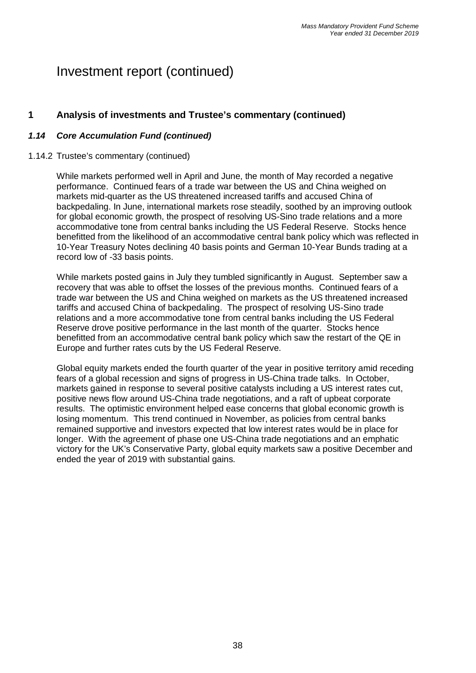### **1 Analysis of investments and Trustee's commentary (continued)**

### *1.14 Core Accumulation Fund (continued)*

#### 1.14.2 Trustee's commentary (continued)

While markets performed well in April and June, the month of May recorded a negative performance. Continued fears of a trade war between the US and China weighed on markets mid-quarter as the US threatened increased tariffs and accused China of backpedaling. In June, international markets rose steadily, soothed by an improving outlook for global economic growth, the prospect of resolving US-Sino trade relations and a more accommodative tone from central banks including the US Federal Reserve. Stocks hence benefitted from the likelihood of an accommodative central bank policy which was reflected in 10-Year Treasury Notes declining 40 basis points and German 10-Year Bunds trading at a record low of -33 basis points.

While markets posted gains in July they tumbled significantly in August. September saw a recovery that was able to offset the losses of the previous months. Continued fears of a trade war between the US and China weighed on markets as the US threatened increased tariffs and accused China of backpedaling. The prospect of resolving US-Sino trade relations and a more accommodative tone from central banks including the US Federal Reserve drove positive performance in the last month of the quarter. Stocks hence benefitted from an accommodative central bank policy which saw the restart of the QE in Europe and further rates cuts by the US Federal Reserve.

Global equity markets ended the fourth quarter of the year in positive territory amid receding fears of a global recession and signs of progress in US-China trade talks. In October, markets gained in response to several positive catalysts including a US interest rates cut, positive news flow around US-China trade negotiations, and a raft of upbeat corporate results. The optimistic environment helped ease concerns that global economic growth is losing momentum. This trend continued in November, as policies from central banks remained supportive and investors expected that low interest rates would be in place for longer. With the agreement of phase one US-China trade negotiations and an emphatic victory for the UK's Conservative Party, global equity markets saw a positive December and ended the year of 2019 with substantial gains.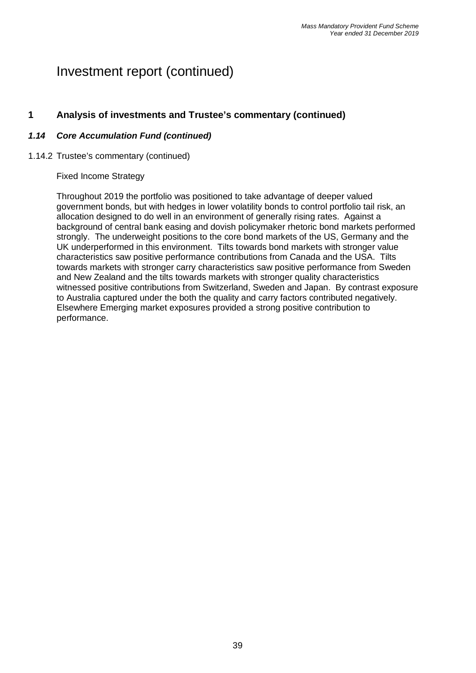### **1 Analysis of investments and Trustee's commentary (continued)**

### *1.14 Core Accumulation Fund (continued)*

#### 1.14.2 Trustee's commentary (continued)

#### Fixed Income Strategy

Throughout 2019 the portfolio was positioned to take advantage of deeper valued government bonds, but with hedges in lower volatility bonds to control portfolio tail risk, an allocation designed to do well in an environment of generally rising rates. Against a background of central bank easing and dovish policymaker rhetoric bond markets performed strongly. The underweight positions to the core bond markets of the US, Germany and the UK underperformed in this environment. Tilts towards bond markets with stronger value characteristics saw positive performance contributions from Canada and the USA. Tilts towards markets with stronger carry characteristics saw positive performance from Sweden and New Zealand and the tilts towards markets with stronger quality characteristics witnessed positive contributions from Switzerland, Sweden and Japan. By contrast exposure to Australia captured under the both the quality and carry factors contributed negatively. Elsewhere Emerging market exposures provided a strong positive contribution to performance.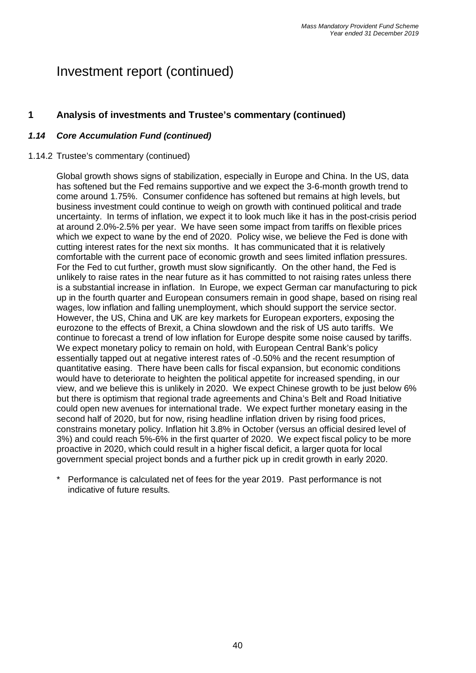## **1 Analysis of investments and Trustee's commentary (continued)**

### *1.14 Core Accumulation Fund (continued)*

### 1.14.2 Trustee's commentary (continued)

Global growth shows signs of stabilization, especially in Europe and China. In the US, data has softened but the Fed remains supportive and we expect the 3-6-month growth trend to come around 1.75%. Consumer confidence has softened but remains at high levels, but business investment could continue to weigh on growth with continued political and trade uncertainty. In terms of inflation, we expect it to look much like it has in the post-crisis period at around 2.0%-2.5% per year. We have seen some impact from tariffs on flexible prices which we expect to wane by the end of 2020. Policy wise, we believe the Fed is done with cutting interest rates for the next six months. It has communicated that it is relatively comfortable with the current pace of economic growth and sees limited inflation pressures. For the Fed to cut further, growth must slow significantly. On the other hand, the Fed is unlikely to raise rates in the near future as it has committed to not raising rates unless there is a substantial increase in inflation. In Europe, we expect German car manufacturing to pick up in the fourth quarter and European consumers remain in good shape, based on rising real wages, low inflation and falling unemployment, which should support the service sector. However, the US, China and UK are key markets for European exporters, exposing the eurozone to the effects of Brexit, a China slowdown and the risk of US auto tariffs. We continue to forecast a trend of low inflation for Europe despite some noise caused by tariffs. We expect monetary policy to remain on hold, with European Central Bank's policy essentially tapped out at negative interest rates of -0.50% and the recent resumption of quantitative easing. There have been calls for fiscal expansion, but economic conditions would have to deteriorate to heighten the political appetite for increased spending, in our view, and we believe this is unlikely in 2020. We expect Chinese growth to be just below 6% but there is optimism that regional trade agreements and China's Belt and Road Initiative could open new avenues for international trade. We expect further monetary easing in the second half of 2020, but for now, rising headline inflation driven by rising food prices, constrains monetary policy. Inflation hit 3.8% in October (versus an official desired level of 3%) and could reach 5%-6% in the first quarter of 2020. We expect fiscal policy to be more proactive in 2020, which could result in a higher fiscal deficit, a larger quota for local government special project bonds and a further pick up in credit growth in early 2020.

Performance is calculated net of fees for the year 2019. Past performance is not indicative of future results.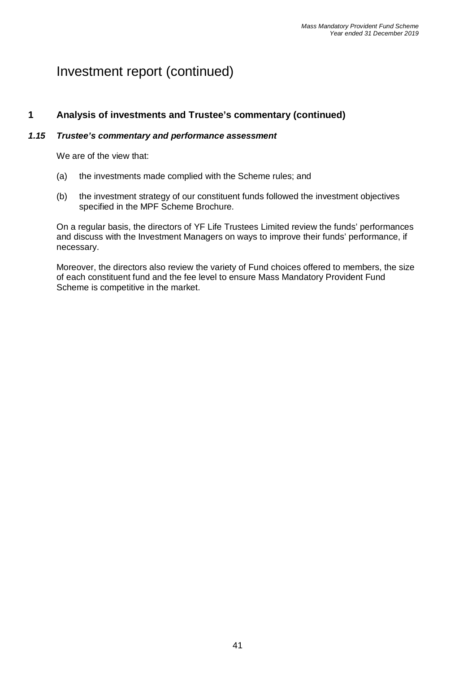### **1 Analysis of investments and Trustee's commentary (continued)**

### *1.15 Trustee's commentary and performance assessment*

We are of the view that:

- (a) the investments made complied with the Scheme rules; and
- (b) the investment strategy of our constituent funds followed the investment objectives specified in the MPF Scheme Brochure.

On a regular basis, the directors of YF Life Trustees Limited review the funds' performances and discuss with the Investment Managers on ways to improve their funds' performance, if necessary.

Moreover, the directors also review the variety of Fund choices offered to members, the size of each constituent fund and the fee level to ensure Mass Mandatory Provident Fund Scheme is competitive in the market.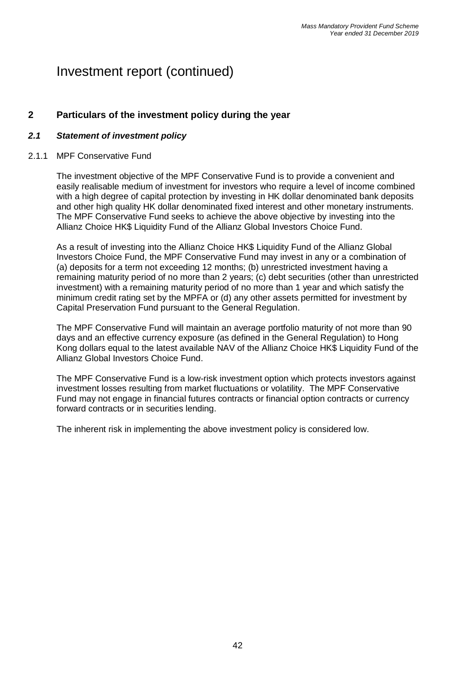### **2 Particulars of the investment policy during the year**

### *2.1 Statement of investment policy*

#### 2.1.1 MPF Conservative Fund

The investment objective of the MPF Conservative Fund is to provide a convenient and easily realisable medium of investment for investors who require a level of income combined with a high degree of capital protection by investing in HK dollar denominated bank deposits and other high quality HK dollar denominated fixed interest and other monetary instruments. The MPF Conservative Fund seeks to achieve the above objective by investing into the Allianz Choice HK\$ Liquidity Fund of the Allianz Global Investors Choice Fund.

As a result of investing into the Allianz Choice HK\$ Liquidity Fund of the Allianz Global Investors Choice Fund, the MPF Conservative Fund may invest in any or a combination of (a) deposits for a term not exceeding 12 months; (b) unrestricted investment having a remaining maturity period of no more than 2 years; (c) debt securities (other than unrestricted investment) with a remaining maturity period of no more than 1 year and which satisfy the minimum credit rating set by the MPFA or (d) any other assets permitted for investment by Capital Preservation Fund pursuant to the General Regulation.

The MPF Conservative Fund will maintain an average portfolio maturity of not more than 90 days and an effective currency exposure (as defined in the General Regulation) to Hong Kong dollars equal to the latest available NAV of the Allianz Choice HK\$ Liquidity Fund of the Allianz Global Investors Choice Fund.

The MPF Conservative Fund is a low-risk investment option which protects investors against investment losses resulting from market fluctuations or volatility. The MPF Conservative Fund may not engage in financial futures contracts or financial option contracts or currency forward contracts or in securities lending.

The inherent risk in implementing the above investment policy is considered low.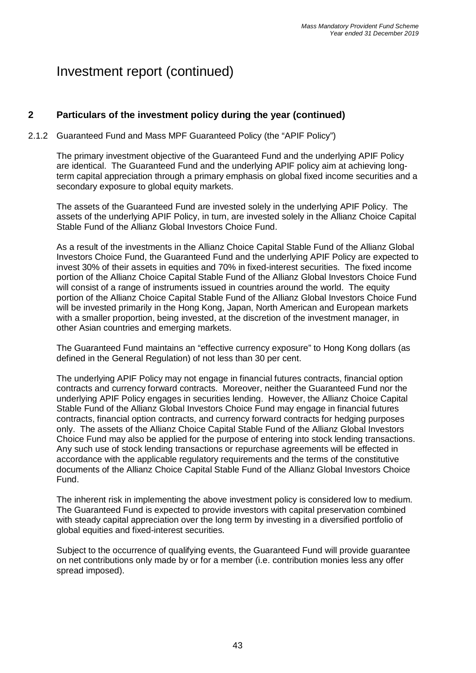## **2 Particulars of the investment policy during the year (continued)**

### 2.1.2 Guaranteed Fund and Mass MPF Guaranteed Policy (the "APIF Policy")

The primary investment objective of the Guaranteed Fund and the underlying APIF Policy are identical. The Guaranteed Fund and the underlying APIF policy aim at achieving longterm capital appreciation through a primary emphasis on global fixed income securities and a secondary exposure to global equity markets.

The assets of the Guaranteed Fund are invested solely in the underlying APIF Policy. The assets of the underlying APIF Policy, in turn, are invested solely in the Allianz Choice Capital Stable Fund of the Allianz Global Investors Choice Fund.

As a result of the investments in the Allianz Choice Capital Stable Fund of the Allianz Global Investors Choice Fund, the Guaranteed Fund and the underlying APIF Policy are expected to invest 30% of their assets in equities and 70% in fixed-interest securities. The fixed income portion of the Allianz Choice Capital Stable Fund of the Allianz Global Investors Choice Fund will consist of a range of instruments issued in countries around the world. The equity portion of the Allianz Choice Capital Stable Fund of the Allianz Global Investors Choice Fund will be invested primarily in the Hong Kong, Japan, North American and European markets with a smaller proportion, being invested, at the discretion of the investment manager, in other Asian countries and emerging markets.

The Guaranteed Fund maintains an "effective currency exposure" to Hong Kong dollars (as defined in the General Regulation) of not less than 30 per cent.

The underlying APIF Policy may not engage in financial futures contracts, financial option contracts and currency forward contracts. Moreover, neither the Guaranteed Fund nor the underlying APIF Policy engages in securities lending. However, the Allianz Choice Capital Stable Fund of the Allianz Global Investors Choice Fund may engage in financial futures contracts, financial option contracts, and currency forward contracts for hedging purposes only. The assets of the Allianz Choice Capital Stable Fund of the Allianz Global Investors Choice Fund may also be applied for the purpose of entering into stock lending transactions. Any such use of stock lending transactions or repurchase agreements will be effected in accordance with the applicable regulatory requirements and the terms of the constitutive documents of the Allianz Choice Capital Stable Fund of the Allianz Global Investors Choice Fund.

The inherent risk in implementing the above investment policy is considered low to medium. The Guaranteed Fund is expected to provide investors with capital preservation combined with steady capital appreciation over the long term by investing in a diversified portfolio of global equities and fixed-interest securities.

Subject to the occurrence of qualifying events, the Guaranteed Fund will provide guarantee on net contributions only made by or for a member (i.e. contribution monies less any offer spread imposed).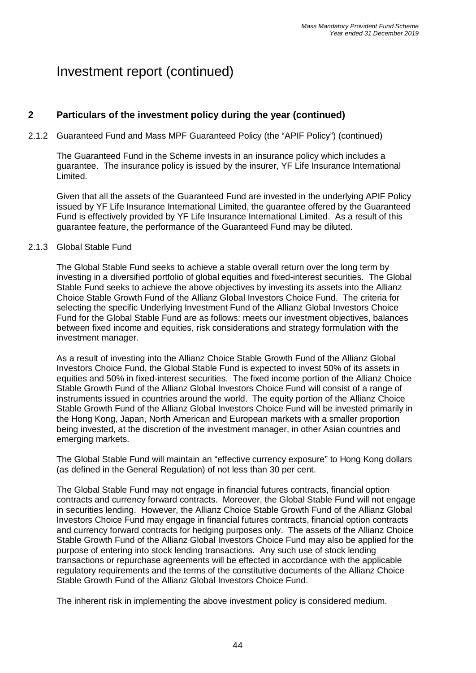## **2 Particulars of the investment policy during the year (continued)**

### 2.1.2 Guaranteed Fund and Mass MPF Guaranteed Policy (the "APIF Policy") (continued)

The Guaranteed Fund in the Scheme invests in an insurance policy which includes a guarantee. The insurance policy is issued by the insurer, YF Life Insurance International Limited.

Given that all the assets of the Guaranteed Fund are invested in the underlying APIF Policy issued by YF Life Insurance International Limited, the guarantee offered by the Guaranteed Fund is effectively provided by YF Life Insurance International Limited. As a result of this guarantee feature, the performance of the Guaranteed Fund may be diluted.

#### 2.1.3 Global Stable Fund

The Global Stable Fund seeks to achieve a stable overall return over the long term by investing in a diversified portfolio of global equities and fixed-interest securities. The Global Stable Fund seeks to achieve the above objectives by investing its assets into the Allianz Choice Stable Growth Fund of the Allianz Global Investors Choice Fund. The criteria for selecting the specific Underlying Investment Fund of the Allianz Global Investors Choice Fund for the Global Stable Fund are as follows: meets our investment objectives, balances between fixed income and equities, risk considerations and strategy formulation with the investment manager.

As a result of investing into the Allianz Choice Stable Growth Fund of the Allianz Global Investors Choice Fund, the Global Stable Fund is expected to invest 50% of its assets in equities and 50% in fixed-interest securities. The fixed income portion of the Allianz Choice Stable Growth Fund of the Allianz Global Investors Choice Fund will consist of a range of instruments issued in countries around the world. The equity portion of the Allianz Choice Stable Growth Fund of the Allianz Global Investors Choice Fund will be invested primarily in the Hong Kong, Japan, North American and European markets with a smaller proportion being invested, at the discretion of the investment manager, in other Asian countries and emerging markets.

The Global Stable Fund will maintain an "effective currency exposure" to Hong Kong dollars (as defined in the General Regulation) of not less than 30 per cent.

The Global Stable Fund may not engage in financial futures contracts, financial option contracts and currency forward contracts. Moreover, the Global Stable Fund will not engage in securities lending. However, the Allianz Choice Stable Growth Fund of the Allianz Global Investors Choice Fund may engage in financial futures contracts, financial option contracts and currency forward contracts for hedging purposes only. The assets of the Allianz Choice Stable Growth Fund of the Allianz Global Investors Choice Fund may also be applied for the purpose of entering into stock lending transactions. Any such use of stock lending transactions or repurchase agreements will be effected in accordance with the applicable regulatory requirements and the terms of the constitutive documents of the Allianz Choice Stable Growth Fund of the Allianz Global Investors Choice Fund.

The inherent risk in implementing the above investment policy is considered medium.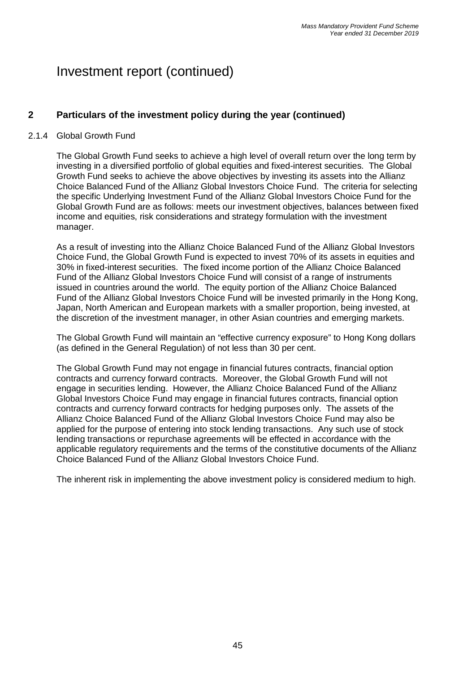## **2 Particulars of the investment policy during the year (continued)**

### 2.1.4 Global Growth Fund

The Global Growth Fund seeks to achieve a high level of overall return over the long term by investing in a diversified portfolio of global equities and fixed-interest securities. The Global Growth Fund seeks to achieve the above objectives by investing its assets into the Allianz Choice Balanced Fund of the Allianz Global Investors Choice Fund. The criteria for selecting the specific Underlying Investment Fund of the Allianz Global Investors Choice Fund for the Global Growth Fund are as follows: meets our investment objectives, balances between fixed income and equities, risk considerations and strategy formulation with the investment manager.

As a result of investing into the Allianz Choice Balanced Fund of the Allianz Global Investors Choice Fund, the Global Growth Fund is expected to invest 70% of its assets in equities and 30% in fixed-interest securities. The fixed income portion of the Allianz Choice Balanced Fund of the Allianz Global Investors Choice Fund will consist of a range of instruments issued in countries around the world. The equity portion of the Allianz Choice Balanced Fund of the Allianz Global Investors Choice Fund will be invested primarily in the Hong Kong, Japan, North American and European markets with a smaller proportion, being invested, at the discretion of the investment manager, in other Asian countries and emerging markets.

The Global Growth Fund will maintain an "effective currency exposure" to Hong Kong dollars (as defined in the General Regulation) of not less than 30 per cent.

The Global Growth Fund may not engage in financial futures contracts, financial option contracts and currency forward contracts. Moreover, the Global Growth Fund will not engage in securities lending. However, the Allianz Choice Balanced Fund of the Allianz Global Investors Choice Fund may engage in financial futures contracts, financial option contracts and currency forward contracts for hedging purposes only. The assets of the Allianz Choice Balanced Fund of the Allianz Global Investors Choice Fund may also be applied for the purpose of entering into stock lending transactions. Any such use of stock lending transactions or repurchase agreements will be effected in accordance with the applicable regulatory requirements and the terms of the constitutive documents of the Allianz Choice Balanced Fund of the Allianz Global Investors Choice Fund.

The inherent risk in implementing the above investment policy is considered medium to high.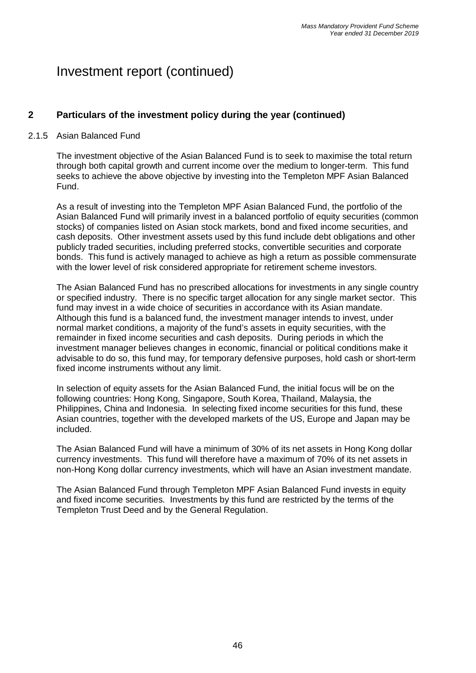## **2 Particulars of the investment policy during the year (continued)**

### 2.1.5 Asian Balanced Fund

The investment objective of the Asian Balanced Fund is to seek to maximise the total return through both capital growth and current income over the medium to longer-term. This fund seeks to achieve the above objective by investing into the Templeton MPF Asian Balanced Fund.

As a result of investing into the Templeton MPF Asian Balanced Fund, the portfolio of the Asian Balanced Fund will primarily invest in a balanced portfolio of equity securities (common stocks) of companies listed on Asian stock markets, bond and fixed income securities, and cash deposits. Other investment assets used by this fund include debt obligations and other publicly traded securities, including preferred stocks, convertible securities and corporate bonds. This fund is actively managed to achieve as high a return as possible commensurate with the lower level of risk considered appropriate for retirement scheme investors.

The Asian Balanced Fund has no prescribed allocations for investments in any single country or specified industry. There is no specific target allocation for any single market sector. This fund may invest in a wide choice of securities in accordance with its Asian mandate. Although this fund is a balanced fund, the investment manager intends to invest, under normal market conditions, a majority of the fund's assets in equity securities, with the remainder in fixed income securities and cash deposits. During periods in which the investment manager believes changes in economic, financial or political conditions make it advisable to do so, this fund may, for temporary defensive purposes, hold cash or short-term fixed income instruments without any limit.

In selection of equity assets for the Asian Balanced Fund, the initial focus will be on the following countries: Hong Kong, Singapore, South Korea, Thailand, Malaysia, the Philippines, China and Indonesia. In selecting fixed income securities for this fund, these Asian countries, together with the developed markets of the US, Europe and Japan may be included.

The Asian Balanced Fund will have a minimum of 30% of its net assets in Hong Kong dollar currency investments. This fund will therefore have a maximum of 70% of its net assets in non-Hong Kong dollar currency investments, which will have an Asian investment mandate.

The Asian Balanced Fund through Templeton MPF Asian Balanced Fund invests in equity and fixed income securities. Investments by this fund are restricted by the terms of the Templeton Trust Deed and by the General Regulation.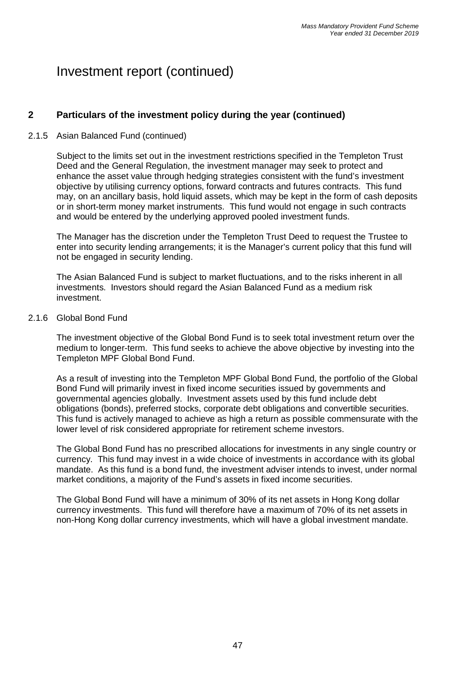## **2 Particulars of the investment policy during the year (continued)**

### 2.1.5 Asian Balanced Fund (continued)

Subject to the limits set out in the investment restrictions specified in the Templeton Trust Deed and the General Regulation, the investment manager may seek to protect and enhance the asset value through hedging strategies consistent with the fund's investment objective by utilising currency options, forward contracts and futures contracts. This fund may, on an ancillary basis, hold liquid assets, which may be kept in the form of cash deposits or in short-term money market instruments. This fund would not engage in such contracts and would be entered by the underlying approved pooled investment funds.

The Manager has the discretion under the Templeton Trust Deed to request the Trustee to enter into security lending arrangements; it is the Manager's current policy that this fund will not be engaged in security lending.

The Asian Balanced Fund is subject to market fluctuations, and to the risks inherent in all investments. Investors should regard the Asian Balanced Fund as a medium risk investment.

#### 2.1.6 Global Bond Fund

The investment objective of the Global Bond Fund is to seek total investment return over the medium to longer-term. This fund seeks to achieve the above objective by investing into the Templeton MPF Global Bond Fund.

As a result of investing into the Templeton MPF Global Bond Fund, the portfolio of the Global Bond Fund will primarily invest in fixed income securities issued by governments and governmental agencies globally. Investment assets used by this fund include debt obligations (bonds), preferred stocks, corporate debt obligations and convertible securities. This fund is actively managed to achieve as high a return as possible commensurate with the lower level of risk considered appropriate for retirement scheme investors.

The Global Bond Fund has no prescribed allocations for investments in any single country or currency. This fund may invest in a wide choice of investments in accordance with its global mandate. As this fund is a bond fund, the investment adviser intends to invest, under normal market conditions, a majority of the Fund's assets in fixed income securities.

The Global Bond Fund will have a minimum of 30% of its net assets in Hong Kong dollar currency investments. This fund will therefore have a maximum of 70% of its net assets in non-Hong Kong dollar currency investments, which will have a global investment mandate.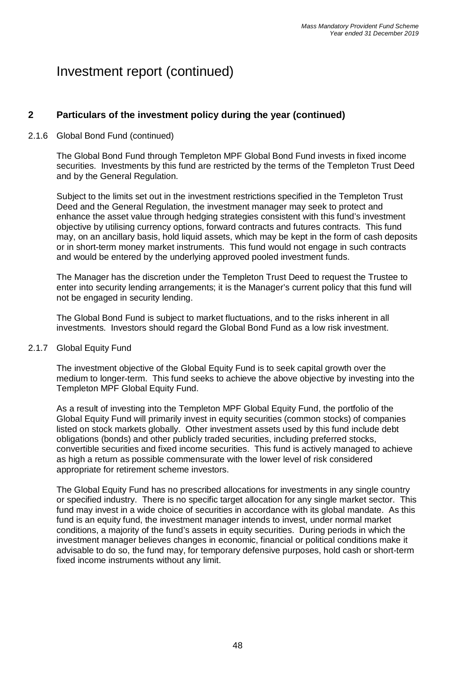## **2 Particulars of the investment policy during the year (continued)**

### 2.1.6 Global Bond Fund (continued)

The Global Bond Fund through Templeton MPF Global Bond Fund invests in fixed income securities. Investments by this fund are restricted by the terms of the Templeton Trust Deed and by the General Regulation.

Subject to the limits set out in the investment restrictions specified in the Templeton Trust Deed and the General Regulation, the investment manager may seek to protect and enhance the asset value through hedging strategies consistent with this fund's investment objective by utilising currency options, forward contracts and futures contracts. This fund may, on an ancillary basis, hold liquid assets, which may be kept in the form of cash deposits or in short-term money market instruments. This fund would not engage in such contracts and would be entered by the underlying approved pooled investment funds.

The Manager has the discretion under the Templeton Trust Deed to request the Trustee to enter into security lending arrangements; it is the Manager's current policy that this fund will not be engaged in security lending.

The Global Bond Fund is subject to market fluctuations, and to the risks inherent in all investments. Investors should regard the Global Bond Fund as a low risk investment.

#### 2.1.7 Global Equity Fund

The investment objective of the Global Equity Fund is to seek capital growth over the medium to longer-term. This fund seeks to achieve the above objective by investing into the Templeton MPF Global Equity Fund.

As a result of investing into the Templeton MPF Global Equity Fund, the portfolio of the Global Equity Fund will primarily invest in equity securities (common stocks) of companies listed on stock markets globally. Other investment assets used by this fund include debt obligations (bonds) and other publicly traded securities, including preferred stocks, convertible securities and fixed income securities. This fund is actively managed to achieve as high a return as possible commensurate with the lower level of risk considered appropriate for retirement scheme investors.

The Global Equity Fund has no prescribed allocations for investments in any single country or specified industry. There is no specific target allocation for any single market sector. This fund may invest in a wide choice of securities in accordance with its global mandate. As this fund is an equity fund, the investment manager intends to invest, under normal market conditions, a majority of the fund's assets in equity securities. During periods in which the investment manager believes changes in economic, financial or political conditions make it advisable to do so, the fund may, for temporary defensive purposes, hold cash or short-term fixed income instruments without any limit.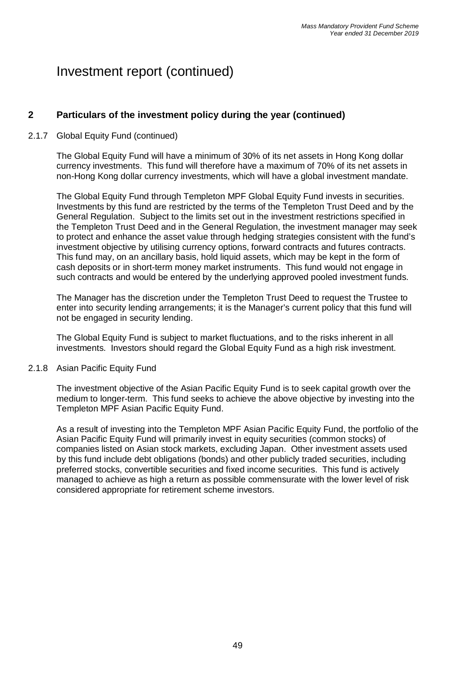## **2 Particulars of the investment policy during the year (continued)**

### 2.1.7 Global Equity Fund (continued)

The Global Equity Fund will have a minimum of 30% of its net assets in Hong Kong dollar currency investments. This fund will therefore have a maximum of 70% of its net assets in non-Hong Kong dollar currency investments, which will have a global investment mandate.

The Global Equity Fund through Templeton MPF Global Equity Fund invests in securities. Investments by this fund are restricted by the terms of the Templeton Trust Deed and by the General Regulation. Subject to the limits set out in the investment restrictions specified in the Templeton Trust Deed and in the General Regulation, the investment manager may seek to protect and enhance the asset value through hedging strategies consistent with the fund's investment objective by utilising currency options, forward contracts and futures contracts. This fund may, on an ancillary basis, hold liquid assets, which may be kept in the form of cash deposits or in short-term money market instruments. This fund would not engage in such contracts and would be entered by the underlying approved pooled investment funds.

The Manager has the discretion under the Templeton Trust Deed to request the Trustee to enter into security lending arrangements; it is the Manager's current policy that this fund will not be engaged in security lending.

The Global Equity Fund is subject to market fluctuations, and to the risks inherent in all investments. Investors should regard the Global Equity Fund as a high risk investment.

#### 2.1.8 Asian Pacific Equity Fund

The investment objective of the Asian Pacific Equity Fund is to seek capital growth over the medium to longer-term. This fund seeks to achieve the above objective by investing into the Templeton MPF Asian Pacific Equity Fund.

As a result of investing into the Templeton MPF Asian Pacific Equity Fund, the portfolio of the Asian Pacific Equity Fund will primarily invest in equity securities (common stocks) of companies listed on Asian stock markets, excluding Japan. Other investment assets used by this fund include debt obligations (bonds) and other publicly traded securities, including preferred stocks, convertible securities and fixed income securities. This fund is actively managed to achieve as high a return as possible commensurate with the lower level of risk considered appropriate for retirement scheme investors.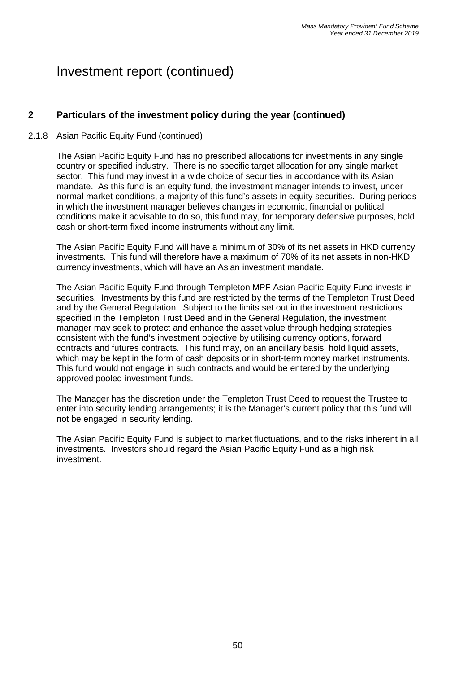## **2 Particulars of the investment policy during the year (continued)**

### 2.1.8 Asian Pacific Equity Fund (continued)

The Asian Pacific Equity Fund has no prescribed allocations for investments in any single country or specified industry. There is no specific target allocation for any single market sector. This fund may invest in a wide choice of securities in accordance with its Asian mandate. As this fund is an equity fund, the investment manager intends to invest, under normal market conditions, a majority of this fund's assets in equity securities. During periods in which the investment manager believes changes in economic, financial or political conditions make it advisable to do so, this fund may, for temporary defensive purposes, hold cash or short-term fixed income instruments without any limit.

The Asian Pacific Equity Fund will have a minimum of 30% of its net assets in HKD currency investments. This fund will therefore have a maximum of 70% of its net assets in non-HKD currency investments, which will have an Asian investment mandate.

The Asian Pacific Equity Fund through Templeton MPF Asian Pacific Equity Fund invests in securities. Investments by this fund are restricted by the terms of the Templeton Trust Deed and by the General Regulation. Subject to the limits set out in the investment restrictions specified in the Templeton Trust Deed and in the General Regulation, the investment manager may seek to protect and enhance the asset value through hedging strategies consistent with the fund's investment objective by utilising currency options, forward contracts and futures contracts. This fund may, on an ancillary basis, hold liquid assets, which may be kept in the form of cash deposits or in short-term money market instruments. This fund would not engage in such contracts and would be entered by the underlying approved pooled investment funds.

The Manager has the discretion under the Templeton Trust Deed to request the Trustee to enter into security lending arrangements; it is the Manager's current policy that this fund will not be engaged in security lending.

The Asian Pacific Equity Fund is subject to market fluctuations, and to the risks inherent in all investments. Investors should regard the Asian Pacific Equity Fund as a high risk investment.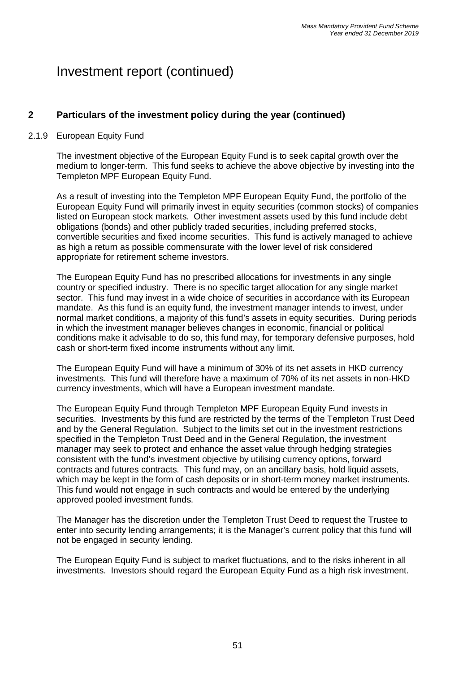## **2 Particulars of the investment policy during the year (continued)**

### 2.1.9 European Equity Fund

The investment objective of the European Equity Fund is to seek capital growth over the medium to longer-term. This fund seeks to achieve the above objective by investing into the Templeton MPF European Equity Fund.

As a result of investing into the Templeton MPF European Equity Fund, the portfolio of the European Equity Fund will primarily invest in equity securities (common stocks) of companies listed on European stock markets. Other investment assets used by this fund include debt obligations (bonds) and other publicly traded securities, including preferred stocks, convertible securities and fixed income securities. This fund is actively managed to achieve as high a return as possible commensurate with the lower level of risk considered appropriate for retirement scheme investors.

The European Equity Fund has no prescribed allocations for investments in any single country or specified industry. There is no specific target allocation for any single market sector. This fund may invest in a wide choice of securities in accordance with its European mandate. As this fund is an equity fund, the investment manager intends to invest, under normal market conditions, a majority of this fund's assets in equity securities. During periods in which the investment manager believes changes in economic, financial or political conditions make it advisable to do so, this fund may, for temporary defensive purposes, hold cash or short-term fixed income instruments without any limit.

The European Equity Fund will have a minimum of 30% of its net assets in HKD currency investments. This fund will therefore have a maximum of 70% of its net assets in non-HKD currency investments, which will have a European investment mandate.

The European Equity Fund through Templeton MPF European Equity Fund invests in securities. Investments by this fund are restricted by the terms of the Templeton Trust Deed and by the General Regulation. Subject to the limits set out in the investment restrictions specified in the Templeton Trust Deed and in the General Regulation, the investment manager may seek to protect and enhance the asset value through hedging strategies consistent with the fund's investment objective by utilising currency options, forward contracts and futures contracts. This fund may, on an ancillary basis, hold liquid assets, which may be kept in the form of cash deposits or in short-term money market instruments. This fund would not engage in such contracts and would be entered by the underlying approved pooled investment funds.

The Manager has the discretion under the Templeton Trust Deed to request the Trustee to enter into security lending arrangements; it is the Manager's current policy that this fund will not be engaged in security lending.

The European Equity Fund is subject to market fluctuations, and to the risks inherent in all investments. Investors should regard the European Equity Fund as a high risk investment.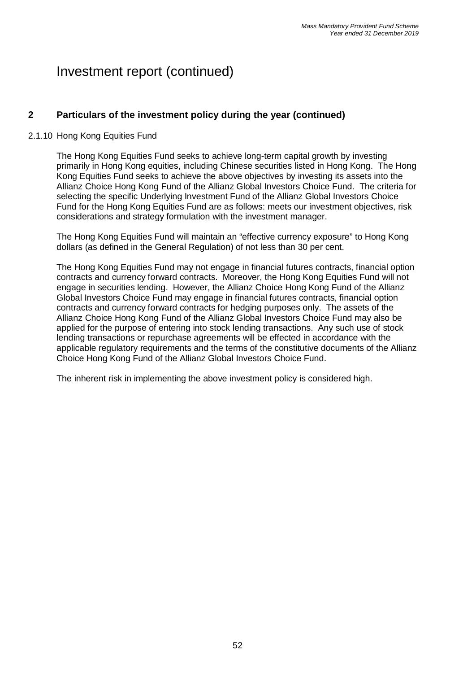## **2 Particulars of the investment policy during the year (continued)**

### 2.1.10 Hong Kong Equities Fund

The Hong Kong Equities Fund seeks to achieve long-term capital growth by investing primarily in Hong Kong equities, including Chinese securities listed in Hong Kong. The Hong Kong Equities Fund seeks to achieve the above objectives by investing its assets into the Allianz Choice Hong Kong Fund of the Allianz Global Investors Choice Fund. The criteria for selecting the specific Underlying Investment Fund of the Allianz Global Investors Choice Fund for the Hong Kong Equities Fund are as follows: meets our investment objectives, risk considerations and strategy formulation with the investment manager.

The Hong Kong Equities Fund will maintain an "effective currency exposure" to Hong Kong dollars (as defined in the General Regulation) of not less than 30 per cent.

The Hong Kong Equities Fund may not engage in financial futures contracts, financial option contracts and currency forward contracts. Moreover, the Hong Kong Equities Fund will not engage in securities lending. However, the Allianz Choice Hong Kong Fund of the Allianz Global Investors Choice Fund may engage in financial futures contracts, financial option contracts and currency forward contracts for hedging purposes only. The assets of the Allianz Choice Hong Kong Fund of the Allianz Global Investors Choice Fund may also be applied for the purpose of entering into stock lending transactions. Any such use of stock lending transactions or repurchase agreements will be effected in accordance with the applicable regulatory requirements and the terms of the constitutive documents of the Allianz Choice Hong Kong Fund of the Allianz Global Investors Choice Fund.

The inherent risk in implementing the above investment policy is considered high.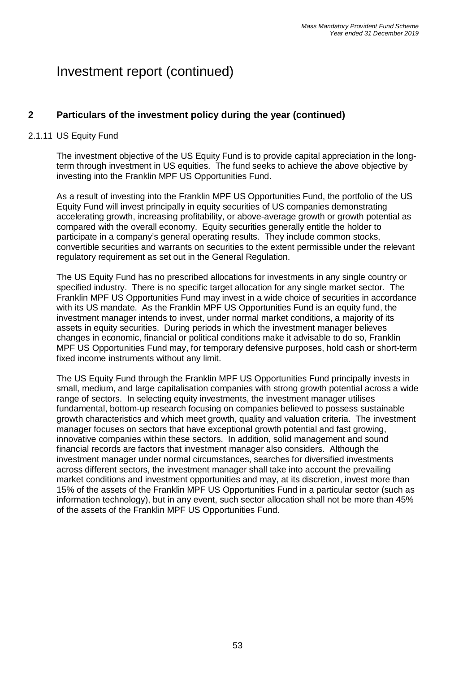## **2 Particulars of the investment policy during the year (continued)**

### 2.1.11 US Equity Fund

The investment objective of the US Equity Fund is to provide capital appreciation in the longterm through investment in US equities. The fund seeks to achieve the above objective by investing into the Franklin MPF US Opportunities Fund.

As a result of investing into the Franklin MPF US Opportunities Fund, the portfolio of the US Equity Fund will invest principally in equity securities of US companies demonstrating accelerating growth, increasing profitability, or above-average growth or growth potential as compared with the overall economy. Equity securities generally entitle the holder to participate in a company's general operating results. They include common stocks, convertible securities and warrants on securities to the extent permissible under the relevant regulatory requirement as set out in the General Regulation.

The US Equity Fund has no prescribed allocations for investments in any single country or specified industry. There is no specific target allocation for any single market sector. The Franklin MPF US Opportunities Fund may invest in a wide choice of securities in accordance with its US mandate. As the Franklin MPF US Opportunities Fund is an equity fund, the investment manager intends to invest, under normal market conditions, a majority of its assets in equity securities. During periods in which the investment manager believes changes in economic, financial or political conditions make it advisable to do so, Franklin MPF US Opportunities Fund may, for temporary defensive purposes, hold cash or short-term fixed income instruments without any limit.

The US Equity Fund through the Franklin MPF US Opportunities Fund principally invests in small, medium, and large capitalisation companies with strong growth potential across a wide range of sectors. In selecting equity investments, the investment manager utilises fundamental, bottom-up research focusing on companies believed to possess sustainable growth characteristics and which meet growth, quality and valuation criteria. The investment manager focuses on sectors that have exceptional growth potential and fast growing, innovative companies within these sectors. In addition, solid management and sound financial records are factors that investment manager also considers. Although the investment manager under normal circumstances, searches for diversified investments across different sectors, the investment manager shall take into account the prevailing market conditions and investment opportunities and may, at its discretion, invest more than 15% of the assets of the Franklin MPF US Opportunities Fund in a particular sector (such as information technology), but in any event, such sector allocation shall not be more than 45% of the assets of the Franklin MPF US Opportunities Fund.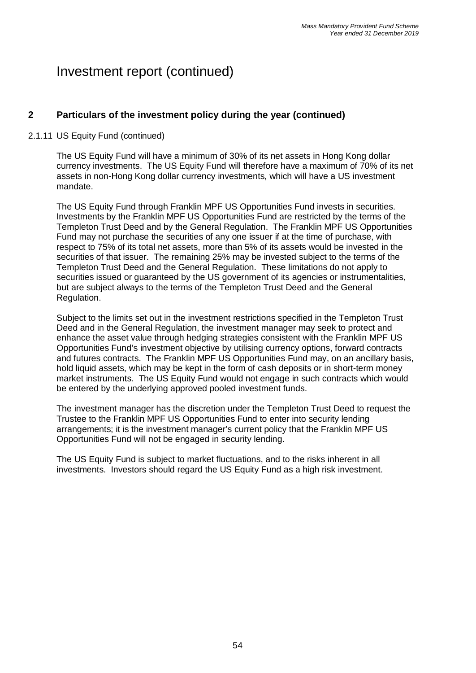## **2 Particulars of the investment policy during the year (continued)**

### 2.1.11 US Equity Fund (continued)

The US Equity Fund will have a minimum of 30% of its net assets in Hong Kong dollar currency investments. The US Equity Fund will therefore have a maximum of 70% of its net assets in non-Hong Kong dollar currency investments, which will have a US investment mandate.

The US Equity Fund through Franklin MPF US Opportunities Fund invests in securities. Investments by the Franklin MPF US Opportunities Fund are restricted by the terms of the Templeton Trust Deed and by the General Regulation. The Franklin MPF US Opportunities Fund may not purchase the securities of any one issuer if at the time of purchase, with respect to 75% of its total net assets, more than 5% of its assets would be invested in the securities of that issuer. The remaining 25% may be invested subject to the terms of the Templeton Trust Deed and the General Regulation. These limitations do not apply to securities issued or guaranteed by the US government of its agencies or instrumentalities, but are subject always to the terms of the Templeton Trust Deed and the General Regulation.

Subject to the limits set out in the investment restrictions specified in the Templeton Trust Deed and in the General Regulation, the investment manager may seek to protect and enhance the asset value through hedging strategies consistent with the Franklin MPF US Opportunities Fund's investment objective by utilising currency options, forward contracts and futures contracts. The Franklin MPF US Opportunities Fund may, on an ancillary basis, hold liquid assets, which may be kept in the form of cash deposits or in short-term money market instruments. The US Equity Fund would not engage in such contracts which would be entered by the underlying approved pooled investment funds.

The investment manager has the discretion under the Templeton Trust Deed to request the Trustee to the Franklin MPF US Opportunities Fund to enter into security lending arrangements; it is the investment manager's current policy that the Franklin MPF US Opportunities Fund will not be engaged in security lending.

The US Equity Fund is subject to market fluctuations, and to the risks inherent in all investments. Investors should regard the US Equity Fund as a high risk investment.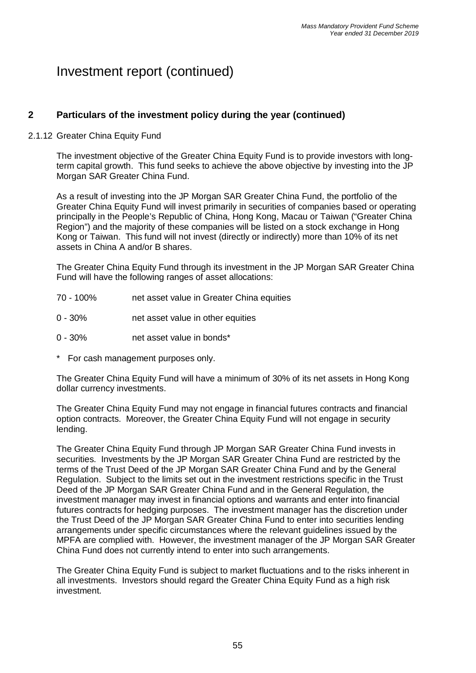## **2 Particulars of the investment policy during the year (continued)**

### 2.1.12 Greater China Equity Fund

The investment objective of the Greater China Equity Fund is to provide investors with longterm capital growth. This fund seeks to achieve the above objective by investing into the JP Morgan SAR Greater China Fund.

As a result of investing into the JP Morgan SAR Greater China Fund, the portfolio of the Greater China Equity Fund will invest primarily in securities of companies based or operating principally in the People's Republic of China, Hong Kong, Macau or Taiwan ("Greater China Region") and the majority of these companies will be listed on a stock exchange in Hong Kong or Taiwan. This fund will not invest (directly or indirectly) more than 10% of its net assets in China A and/or B shares.

The Greater China Equity Fund through its investment in the JP Morgan SAR Greater China Fund will have the following ranges of asset allocations:

- 70 100% net asset value in Greater China equities
- 0 30% net asset value in other equities
- 0 30% net asset value in bonds\*
- \* For cash management purposes only.

The Greater China Equity Fund will have a minimum of 30% of its net assets in Hong Kong dollar currency investments.

The Greater China Equity Fund may not engage in financial futures contracts and financial option contracts. Moreover, the Greater China Equity Fund will not engage in security lending.

The Greater China Equity Fund through JP Morgan SAR Greater China Fund invests in securities. Investments by the JP Morgan SAR Greater China Fund are restricted by the terms of the Trust Deed of the JP Morgan SAR Greater China Fund and by the General Regulation. Subject to the limits set out in the investment restrictions specific in the Trust Deed of the JP Morgan SAR Greater China Fund and in the General Regulation, the investment manager may invest in financial options and warrants and enter into financial futures contracts for hedging purposes. The investment manager has the discretion under the Trust Deed of the JP Morgan SAR Greater China Fund to enter into securities lending arrangements under specific circumstances where the relevant guidelines issued by the MPFA are complied with. However, the investment manager of the JP Morgan SAR Greater China Fund does not currently intend to enter into such arrangements.

The Greater China Equity Fund is subject to market fluctuations and to the risks inherent in all investments. Investors should regard the Greater China Equity Fund as a high risk investment.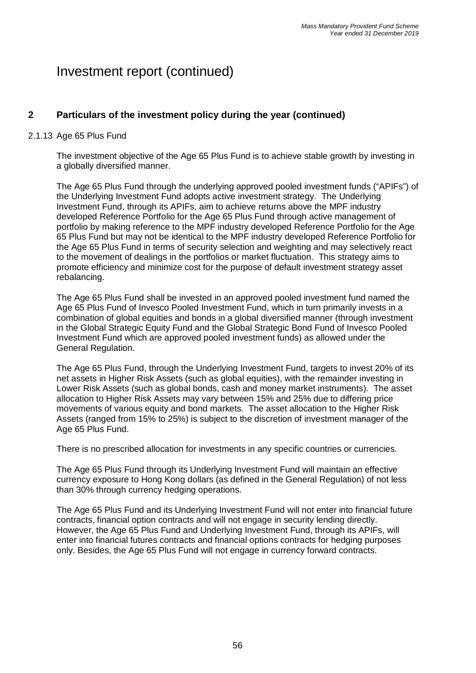## **2 Particulars of the investment policy during the year (continued)**

### 2.1.13 Age 65 Plus Fund

The investment objective of the Age 65 Plus Fund is to achieve stable growth by investing in a globally diversified manner.

The Age 65 Plus Fund through the underlying approved pooled investment funds ("APIFs") of the Underlying Investment Fund adopts active investment strategy. The Underlying Investment Fund, through its APIFs, aim to achieve returns above the MPF industry developed Reference Portfolio for the Age 65 Plus Fund through active management of portfolio by making reference to the MPF industry developed Reference Portfolio for the Age 65 Plus Fund but may not be identical to the MPF industry developed Reference Portfolio for the Age 65 Plus Fund in terms of security selection and weighting and may selectively react to the movement of dealings in the portfolios or market fluctuation. This strategy aims to promote efficiency and minimize cost for the purpose of default investment strategy asset rebalancing.

The Age 65 Plus Fund shall be invested in an approved pooled investment fund named the Age 65 Plus Fund of Invesco Pooled Investment Fund, which in turn primarily invests in a combination of global equities and bonds in a global diversified manner (through investment in the Global Strategic Equity Fund and the Global Strategic Bond Fund of Invesco Pooled Investment Fund which are approved pooled investment funds) as allowed under the General Regulation.

The Age 65 Plus Fund, through the Underlying Investment Fund, targets to invest 20% of its net assets in Higher Risk Assets (such as global equities), with the remainder investing in Lower Risk Assets (such as global bonds, cash and money market instruments). The asset allocation to Higher Risk Assets may vary between 15% and 25% due to differing price movements of various equity and bond markets. The asset allocation to the Higher Risk Assets (ranged from 15% to 25%) is subject to the discretion of investment manager of the Age 65 Plus Fund.

There is no prescribed allocation for investments in any specific countries or currencies.

The Age 65 Plus Fund through its Underlying Investment Fund will maintain an effective currency exposure to Hong Kong dollars (as defined in the General Regulation) of not less than 30% through currency hedging operations.

The Age 65 Plus Fund and its Underlying Investment Fund will not enter into financial future contracts, financial option contracts and will not engage in security lending directly. However, the Age 65 Plus Fund and Underlying Investment Fund, through its APIFs, will enter into financial futures contracts and financial options contracts for hedging purposes only. Besides, the Age 65 Plus Fund will not engage in currency forward contracts.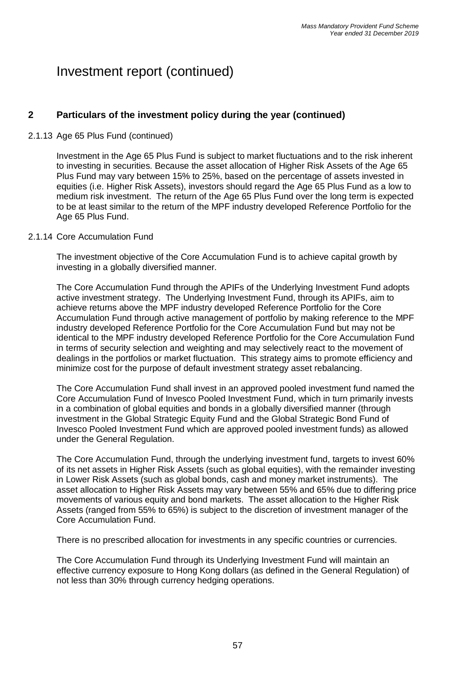## **2 Particulars of the investment policy during the year (continued)**

### 2.1.13 Age 65 Plus Fund (continued)

Investment in the Age 65 Plus Fund is subject to market fluctuations and to the risk inherent to investing in securities. Because the asset allocation of Higher Risk Assets of the Age 65 Plus Fund may vary between 15% to 25%, based on the percentage of assets invested in equities (i.e. Higher Risk Assets), investors should regard the Age 65 Plus Fund as a low to medium risk investment. The return of the Age 65 Plus Fund over the long term is expected to be at least similar to the return of the MPF industry developed Reference Portfolio for the Age 65 Plus Fund.

#### 2.1.14 Core Accumulation Fund

The investment objective of the Core Accumulation Fund is to achieve capital growth by investing in a globally diversified manner.

The Core Accumulation Fund through the APIFs of the Underlying Investment Fund adopts active investment strategy. The Underlying Investment Fund, through its APIFs, aim to achieve returns above the MPF industry developed Reference Portfolio for the Core Accumulation Fund through active management of portfolio by making reference to the MPF industry developed Reference Portfolio for the Core Accumulation Fund but may not be identical to the MPF industry developed Reference Portfolio for the Core Accumulation Fund in terms of security selection and weighting and may selectively react to the movement of dealings in the portfolios or market fluctuation. This strategy aims to promote efficiency and minimize cost for the purpose of default investment strategy asset rebalancing.

The Core Accumulation Fund shall invest in an approved pooled investment fund named the Core Accumulation Fund of Invesco Pooled Investment Fund, which in turn primarily invests in a combination of global equities and bonds in a globally diversified manner (through investment in the Global Strategic Equity Fund and the Global Strategic Bond Fund of Invesco Pooled Investment Fund which are approved pooled investment funds) as allowed under the General Regulation.

The Core Accumulation Fund, through the underlying investment fund, targets to invest 60% of its net assets in Higher Risk Assets (such as global equities), with the remainder investing in Lower Risk Assets (such as global bonds, cash and money market instruments). The asset allocation to Higher Risk Assets may vary between 55% and 65% due to differing price movements of various equity and bond markets. The asset allocation to the Higher Risk Assets (ranged from 55% to 65%) is subject to the discretion of investment manager of the Core Accumulation Fund.

There is no prescribed allocation for investments in any specific countries or currencies.

The Core Accumulation Fund through its Underlying Investment Fund will maintain an effective currency exposure to Hong Kong dollars (as defined in the General Regulation) of not less than 30% through currency hedging operations.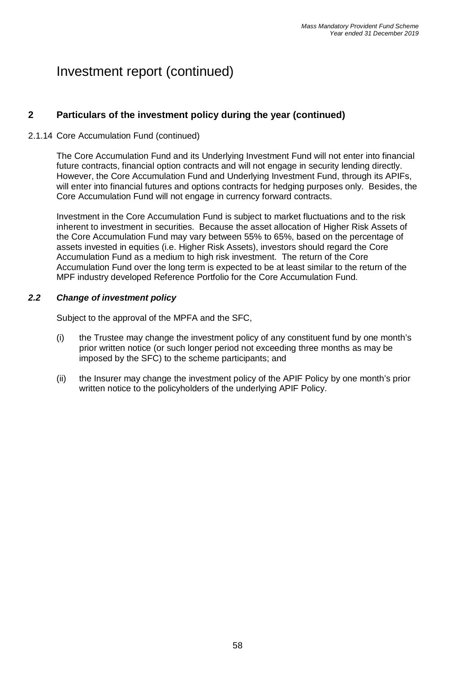## **2 Particulars of the investment policy during the year (continued)**

### 2.1.14 Core Accumulation Fund (continued)

The Core Accumulation Fund and its Underlying Investment Fund will not enter into financial future contracts, financial option contracts and will not engage in security lending directly. However, the Core Accumulation Fund and Underlying Investment Fund, through its APIFs, will enter into financial futures and options contracts for hedging purposes only. Besides, the Core Accumulation Fund will not engage in currency forward contracts.

Investment in the Core Accumulation Fund is subject to market fluctuations and to the risk inherent to investment in securities. Because the asset allocation of Higher Risk Assets of the Core Accumulation Fund may vary between 55% to 65%, based on the percentage of assets invested in equities (i.e. Higher Risk Assets), investors should regard the Core Accumulation Fund as a medium to high risk investment. The return of the Core Accumulation Fund over the long term is expected to be at least similar to the return of the MPF industry developed Reference Portfolio for the Core Accumulation Fund.

#### *2.2 Change of investment policy*

Subject to the approval of the MPFA and the SFC,

- (i) the Trustee may change the investment policy of any constituent fund by one month's prior written notice (or such longer period not exceeding three months as may be imposed by the SFC) to the scheme participants; and
- (ii) the Insurer may change the investment policy of the APIF Policy by one month's prior written notice to the policyholders of the underlying APIF Policy.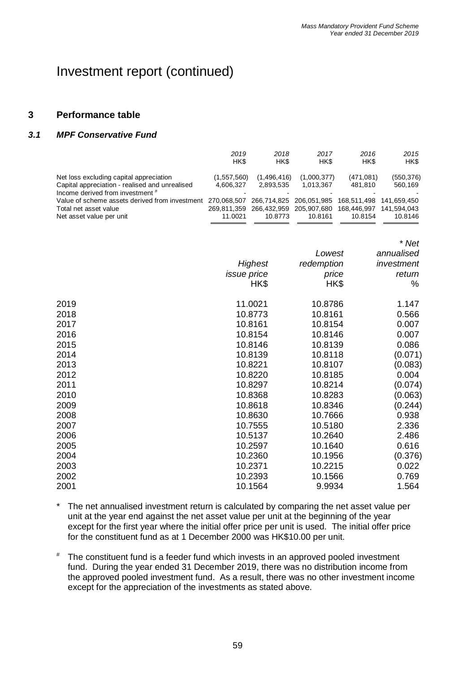#### **3 Performance table**

#### *3.1 MPF Conservative Fund*

|                                                                                                                               | 2019<br>HK\$                          | 2018<br>HK\$                          | 2017<br>HK\$                          | 2016<br>HK\$                          | 2015<br>HK\$                          |
|-------------------------------------------------------------------------------------------------------------------------------|---------------------------------------|---------------------------------------|---------------------------------------|---------------------------------------|---------------------------------------|
| Net loss excluding capital appreciation<br>Capital appreciation - realised and unrealised<br>Income derived from investment # | (1,557,560)<br>4,606,327              | (1,496,416)<br>2,893,535              | (1,000,377)<br>1,013,367              | (471, 081)<br>481,810                 | (550, 376)<br>560,169                 |
| Value of scheme assets derived from investment<br>Total net asset value<br>Net asset value per unit                           | 270,068,507<br>269,811,359<br>11.0021 | 266,714,825<br>266,432,959<br>10.8773 | 206,051,985<br>205,907,680<br>10.8161 | 168,511,498<br>168,446,997<br>10.8154 | 141,659,450<br>141,594,043<br>10.8146 |
|                                                                                                                               |                                       |                                       |                                       |                                       | * Net                                 |
|                                                                                                                               |                                       |                                       | Lowest                                |                                       | annualised                            |
|                                                                                                                               |                                       | <b>Highest</b>                        | redemption                            |                                       | investment                            |
|                                                                                                                               | <i>issue</i> price                    |                                       | price                                 |                                       | return                                |
|                                                                                                                               |                                       | HK\$                                  | HK\$                                  |                                       | %                                     |
| 2019                                                                                                                          |                                       | 11.0021                               | 10.8786                               |                                       | 1.147                                 |
| 2018                                                                                                                          |                                       | 10.8773                               | 10.8161                               |                                       | 0.566                                 |
| 2017                                                                                                                          |                                       | 10.8161                               | 10.8154                               |                                       | 0.007                                 |
| 2016                                                                                                                          |                                       | 10.8154                               | 10.8146                               |                                       | 0.007                                 |

| 20 I I | 1 U.O I U I | 10.010 <del>4</del> | v.vvr   |
|--------|-------------|---------------------|---------|
| 2016   | 10.8154     | 10.8146             | 0.007   |
| 2015   | 10.8146     | 10.8139             | 0.086   |
| 2014   | 10.8139     | 10.8118             | (0.071) |
| 2013   | 10.8221     | 10.8107             | (0.083) |
| 2012   | 10.8220     | 10.8185             | 0.004   |
| 2011   | 10.8297     | 10.8214             | (0.074) |
| 2010   | 10.8368     | 10.8283             | (0.063) |
| 2009   | 10.8618     | 10.8346             | (0.244) |
| 2008   | 10.8630     | 10.7666             | 0.938   |
| 2007   | 10.7555     | 10.5180             | 2.336   |
| 2006   | 10.5137     | 10.2640             | 2.486   |
| 2005   | 10.2597     | 10.1640             | 0.616   |
| 2004   | 10.2360     | 10.1956             | (0.376) |
| 2003   | 10.2371     | 10.2215             | 0.022   |
| 2002   | 10.2393     | 10.1566             | 0.769   |
| 2001   | 10.1564     | 9.9934              | 1.564   |
|        |             |                     |         |

The net annualised investment return is calculated by comparing the net asset value per unit at the year end against the net asset value per unit at the beginning of the year except for the first year where the initial offer price per unit is used. The initial offer price for the constituent fund as at 1 December 2000 was HK\$10.00 per unit.

# The constituent fund is a feeder fund which invests in an approved pooled investment fund. During the year ended 31 December 2019, there was no distribution income from the approved pooled investment fund. As a result, there was no other investment income except for the appreciation of the investments as stated above.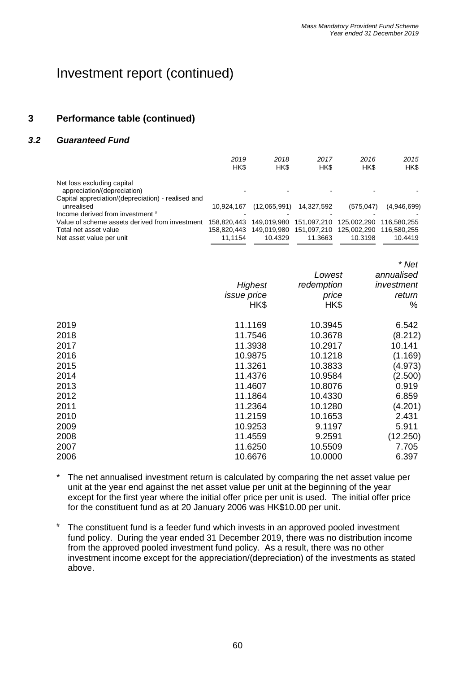## **3 Performance table (continued)**

#### *3.2 Guaranteed Fund*

|                                                    | 2019<br>HK\$ | 2018<br>HK\$ | 2017<br>HK\$            | 2016<br>HK\$ | 2015<br>HK\$ |
|----------------------------------------------------|--------------|--------------|-------------------------|--------------|--------------|
| Net loss excluding capital                         |              |              |                         |              |              |
| appreciation/(depreciation)                        |              |              |                         |              |              |
| Capital appreciation/(depreciation) - realised and |              |              |                         |              |              |
| unrealised                                         | 10.924.167   | (12,065,991) | 14,327,592              | (575.047)    | (4,946,699)  |
| Income derived from investment #                   |              |              |                         |              |              |
| Value of scheme assets derived from investment     | 158.820.443  | 149.019.980  | 151.097.210             | 125,002,290  | 116.580.255  |
| Total net asset value                              | 158.820.443  |              | 149,019,980 151,097,210 | 125,002,290  | 116.580.255  |
| Net asset value per unit                           | 11.1154      | 10.4329      | 11.3663                 | 10.3198      | 10.4419      |
|                                                    |              |              |                         |              |              |

|      |                    |            | * Net      |
|------|--------------------|------------|------------|
|      |                    | Lowest     | annualised |
|      | Highest            | redemption | investment |
|      | <i>issue</i> price | price      | return     |
|      | HK\$               | HK\$       | %          |
| 2019 | 11.1169            | 10.3945    | 6.542      |
| 2018 | 11.7546            | 10.3678    | (8.212)    |
| 2017 | 11.3938            | 10.2917    | 10.141     |
| 2016 | 10.9875            | 10.1218    | (1.169)    |
| 2015 | 11.3261            | 10.3833    | (4.973)    |
| 2014 | 11.4376            | 10.9584    | (2.500)    |
| 2013 | 11.4607            | 10.8076    | 0.919      |
| 2012 | 11.1864            | 10.4330    | 6.859      |
| 2011 | 11.2364            | 10.1280    | (4.201)    |
| 2010 | 11.2159            | 10.1653    | 2.431      |
| 2009 | 10.9253            | 9.1197     | 5.911      |
| 2008 | 11.4559            | 9.2591     | (12.250)   |
| 2007 | 11.6250            | 10.5509    | 7.705      |
| 2006 | 10.6676            | 10.0000    | 6.397      |

\* The net annualised investment return is calculated by comparing the net asset value per unit at the year end against the net asset value per unit at the beginning of the year except for the first year where the initial offer price per unit is used. The initial offer price for the constituent fund as at 20 January 2006 was HK\$10.00 per unit.

# The constituent fund is a feeder fund which invests in an approved pooled investment fund policy. During the year ended 31 December 2019, there was no distribution income from the approved pooled investment fund policy. As a result, there was no other investment income except for the appreciation/(depreciation) of the investments as stated above.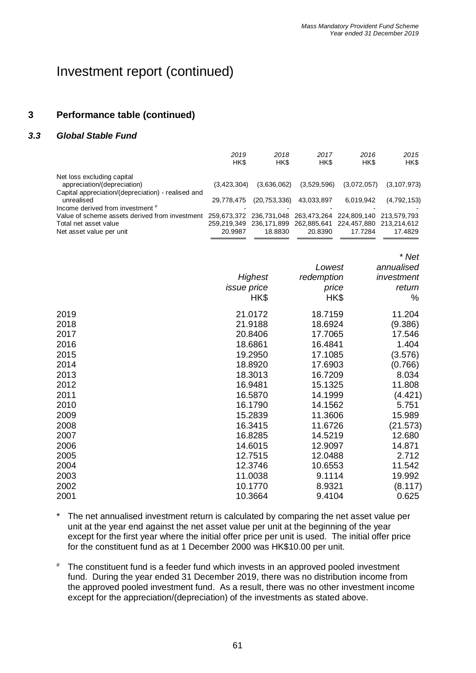## Investment report (continued)

### **3 Performance table (continued)**

### *3.3 Global Stable Fund*

|                                                                        | 2019<br>HK\$ | 2018<br>HK\$                                                | 2017<br>HK\$ | 2016<br>HK\$            | 2015<br>HK\$  |
|------------------------------------------------------------------------|--------------|-------------------------------------------------------------|--------------|-------------------------|---------------|
| Net loss excluding capital                                             |              |                                                             |              |                         |               |
| appreciation/(depreciation)                                            | (3,423,304)  | (3,636,062)                                                 | (3,529,596)  | (3,072,057)             | (3, 107, 973) |
| Capital appreciation/(depreciation) - realised and                     |              |                                                             |              |                         |               |
| unrealised                                                             | 29.778.475   | (20, 753, 336)                                              | 43,033,897   | 6,019,942               | (4,792,153)   |
| Income derived from investment #                                       |              |                                                             |              |                         |               |
| Value of scheme assets derived from investment 259,673,372 236,731,048 |              |                                                             | 263,473,264  | 224.809.140 213.579.793 |               |
| Total net asset value                                                  |              | 259,219,349 236,171,899 262,885,641 224,457,880 213,214,612 |              |                         |               |
| Net asset value per unit                                               | 20.9987      | 18,8830                                                     | 20.8390      | 17.7284                 | 17.4829       |
|                                                                        |              |                                                             |              |                         |               |

|      |                    | Lowest     | annualised |
|------|--------------------|------------|------------|
|      | Highest            | redemption | investment |
|      | <i>issue</i> price | price      | return     |
|      | HK\$               | HK\$       | ℅          |
| 2019 | 21.0172            | 18.7159    | 11.204     |
| 2018 | 21.9188            | 18.6924    | (9.386)    |
| 2017 | 20.8406            | 17.7065    | 17.546     |
| 2016 | 18.6861            | 16.4841    | 1.404      |
| 2015 | 19.2950            | 17.1085    | (3.576)    |
| 2014 | 18.8920            | 17.6903    | (0.766)    |
| 2013 | 18.3013            | 16.7209    | 8.034      |
| 2012 | 16.9481            | 15.1325    | 11.808     |
| 2011 | 16.5870            | 14.1999    | (4.421)    |
| 2010 | 16.1790            | 14.1562    | 5.751      |
| 2009 | 15.2839            | 11.3606    | 15.989     |
| 2008 | 16.3415            | 11.6726    | (21.573)   |
| 2007 | 16.8285            | 14.5219    | 12.680     |
| 2006 | 14.6015            | 12.9097    | 14.871     |
| 2005 | 12.7515            | 12.0488    | 2.712      |
| 2004 | 12.3746            | 10.6553    | 11.542     |
| 2003 | 11.0038            | 9.1114     | 19.992     |
| 2002 | 10.1770            | 8.9321     | (8.117)    |
| 2001 | 10.3664            | 9.4104     | 0.625      |

- \* The net annualised investment return is calculated by comparing the net asset value per unit at the year end against the net asset value per unit at the beginning of the year except for the first year where the initial offer price per unit is used. The initial offer price for the constituent fund as at 1 December 2000 was HK\$10.00 per unit.
- # The constituent fund is a feeder fund which invests in an approved pooled investment fund. During the year ended 31 December 2019, there was no distribution income from the approved pooled investment fund. As a result, there was no other investment income except for the appreciation/(depreciation) of the investments as stated above.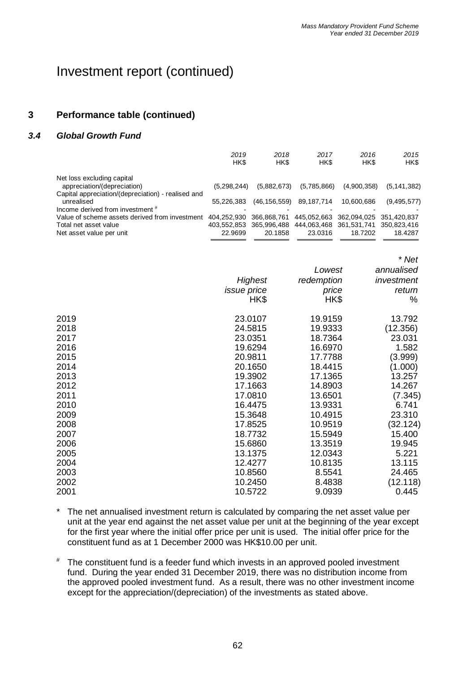## **3 Performance table (continued)**

### *3.4 Global Growth Fund*

|                                                    | 2019<br>HK\$ | 2018<br>HK\$            | 2017<br>HK\$                        | 2016<br>HK\$            | 2015<br>HK\$  |
|----------------------------------------------------|--------------|-------------------------|-------------------------------------|-------------------------|---------------|
| Net loss excluding capital                         |              |                         |                                     |                         |               |
| appreciation/(depreciation)                        | (5.298.244)  | (5,882,673)             | (5,785,866)                         | (4,900,358)             | (5, 141, 382) |
| Capital appreciation/(depreciation) - realised and |              |                         |                                     |                         |               |
| unrealised                                         | 55.226.383   | (46, 156, 559)          | 89,187,714                          | 10,600,686              | (9,495,577)   |
| Income derived from investment #                   |              |                         |                                     |                         |               |
| Value of scheme assets derived from investment     | 404.252.930  | 366.868.761             | 445.052.663                         | 362.094.025 351.420.837 |               |
| Total net asset value                              |              | 403.552.853 365.996.488 | 444,063,468 361,531,741 350,823,416 |                         |               |
| Net asset value per unit                           | 22.9699      | 20.1858                 | 23.0316                             | 18.7202                 | 18.4287       |

|      |                    |            | * Net      |
|------|--------------------|------------|------------|
|      |                    | Lowest     | annualised |
|      | <b>Highest</b>     | redemption | investment |
|      | <i>issue</i> price | price      | return     |
|      | HK\$               | HK\$       | %          |
| 2019 | 23.0107            | 19.9159    | 13.792     |
| 2018 | 24.5815            | 19.9333    | (12.356)   |
| 2017 | 23.0351            | 18.7364    | 23.031     |
| 2016 | 19.6294            | 16.6970    | 1.582      |
| 2015 | 20.9811            | 17.7788    | (3.999)    |
| 2014 | 20.1650            | 18.4415    | (1.000)    |
| 2013 | 19.3902            | 17.1365    | 13.257     |
| 2012 | 17.1663            | 14.8903    | 14.267     |
| 2011 | 17.0810            | 13.6501    | (7.345)    |
| 2010 | 16.4475            | 13.9331    | 6.741      |
| 2009 | 15.3648            | 10.4915    | 23.310     |
| 2008 | 17.8525            | 10.9519    | (32.124)   |
| 2007 | 18.7732            | 15.5949    | 15.400     |
| 2006 | 15.6860            | 13.3519    | 19.945     |
| 2005 | 13.1375            | 12.0343    | 5.221      |
| 2004 | 12.4277            | 10.8135    | 13.115     |
| 2003 | 10.8560            | 8.5541     | 24.465     |
| 2002 | 10.2450            | 8.4838     | (12.118)   |
| 2001 | 10.5722            | 9.0939     | 0.445      |

- \* The net annualised investment return is calculated by comparing the net asset value per unit at the year end against the net asset value per unit at the beginning of the year except for the first year where the initial offer price per unit is used. The initial offer price for the constituent fund as at 1 December 2000 was HK\$10.00 per unit.
- # The constituent fund is a feeder fund which invests in an approved pooled investment fund. During the year ended 31 December 2019, there was no distribution income from the approved pooled investment fund. As a result, there was no other investment income except for the appreciation/(depreciation) of the investments as stated above.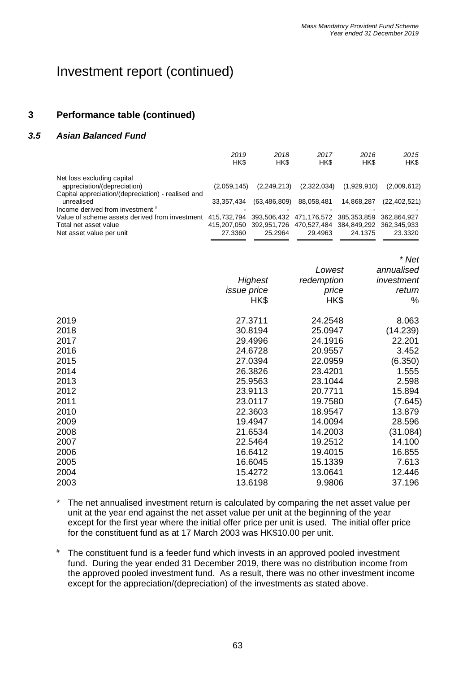## Investment report (continued)

### **3 Performance table (continued)**

### *3.5 Asian Balanced Fund*

|                                                    | 2019<br>HK\$ | 2018<br>HK\$   | 2017<br>HK\$                                                | 2016<br>HK\$ | 2015<br>HK\$   |
|----------------------------------------------------|--------------|----------------|-------------------------------------------------------------|--------------|----------------|
| Net loss excluding capital                         |              |                |                                                             |              |                |
| appreciation/(depreciation)                        | (2.059.145)  | (2,249,213)    | (2,322,034)                                                 | (1,929,910)  | (2,009,612)    |
| Capital appreciation/(depreciation) - realised and |              |                |                                                             |              |                |
| unrealised                                         | 33.357.434   | (63, 486, 809) | 88,058,481                                                  | 14,868,287   | (22, 402, 521) |
| Income derived from investment #                   |              |                |                                                             |              |                |
| Value of scheme assets derived from investment     | 415.732.794  |                | 393,506,432 471,176,572 385,353,859 362,864,927             |              |                |
| Total net asset value                              |              |                | 415,207,050 392,951,726 470,527,484 384,849,292 362,345,933 |              |                |
| Net asset value per unit                           | 27.3360      | 25.2964        | 29.4963                                                     | 24.1375      | 23.3320        |
|                                                    |              |                |                                                             |              |                |

|      | Highest<br><i>issue</i> price<br>HK\$ | Lowest<br>redemption<br>price<br>HK\$ | annualised<br>investment<br>return<br>% |
|------|---------------------------------------|---------------------------------------|-----------------------------------------|
| 2019 | 27.3711                               | 24.2548                               | 8.063                                   |
| 2018 | 30.8194                               | 25.0947                               | (14.239)                                |
| 2017 | 29.4996                               | 24.1916                               | 22.201                                  |
| 2016 | 24.6728                               | 20.9557                               | 3.452                                   |
| 2015 | 27.0394                               | 22.0959                               | (6.350)                                 |
| 2014 | 26.3826                               | 23.4201                               | 1.555                                   |
| 2013 | 25.9563                               | 23.1044                               | 2.598                                   |
| 2012 | 23.9113                               | 20.7711                               | 15.894                                  |
| 2011 | 23.0117                               | 19.7580                               | (7.645)                                 |
| 2010 | 22.3603                               | 18.9547                               | 13.879                                  |
| 2009 | 19.4947                               | 14.0094                               | 28.596                                  |
| 2008 | 21.6534                               | 14.2003                               | (31.084)                                |
| 2007 | 22.5464                               | 19.2512                               | 14.100                                  |
| 2006 | 16.6412                               | 19.4015                               | 16.855                                  |
| 2005 | 16.6045                               | 15.1339                               | 7.613                                   |
| 2004 | 15.4272                               | 13.0641                               | 12.446                                  |
| 2003 | 13.6198                               | 9.9806                                | 37.196                                  |
|      |                                       |                                       |                                         |

\* The net annualised investment return is calculated by comparing the net asset value per unit at the year end against the net asset value per unit at the beginning of the year except for the first year where the initial offer price per unit is used. The initial offer price for the constituent fund as at 17 March 2003 was HK\$10.00 per unit.

# The constituent fund is a feeder fund which invests in an approved pooled investment fund. During the year ended 31 December 2019, there was no distribution income from the approved pooled investment fund. As a result, there was no other investment income except for the appreciation/(depreciation) of the investments as stated above.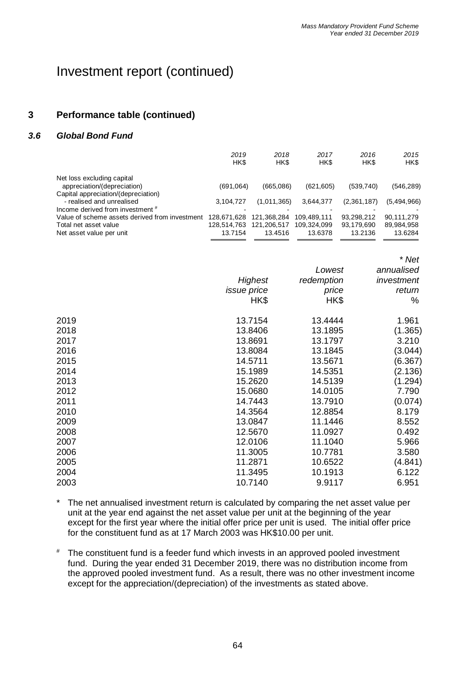## Investment report (continued)

## **3 Performance table (continued)**

### *3.6 Global Bond Fund*

|                                                | 2019<br>HK\$ | 2018<br>HK\$ | 2017<br>HK\$ | 2016<br>HK\$ | 2015<br>HK\$ |
|------------------------------------------------|--------------|--------------|--------------|--------------|--------------|
| Net loss excluding capital                     |              |              |              |              |              |
| appreciation/(depreciation)                    | (691,064)    | (665,086)    | (621, 605)   | (539, 740)   | (546, 289)   |
| Capital appreciation/(depreciation)            |              |              |              |              |              |
| - realised and unrealised                      | 3.104.727    | (1,011,365)  | 3,644,377    | (2,361,187)  | (5,494,966)  |
| Income derived from investment #               |              |              |              |              |              |
| Value of scheme assets derived from investment | 128.671.628  | 121.368.284  | 109.489.111  | 93,298,212   | 90.111.279   |
| Total net asset value                          | 128.514.763  | 121,206,517  | 109.324.099  | 93,179,690   | 89,984,958   |
| Net asset value per unit                       | 13.7154      | 13.4516      | 13.6378      | 13.2136      | 13.6284      |
|                                                |              |              |              |              |              |

|      | Highest            | Lowest<br>redemption | annualised<br>investment |
|------|--------------------|----------------------|--------------------------|
|      | <i>issue</i> price |                      | return                   |
|      |                    | price                | %                        |
|      | HK\$               | HK\$                 |                          |
| 2019 | 13.7154            | 13.4444              | 1.961                    |
| 2018 | 13.8406            | 13.1895              | (1.365)                  |
| 2017 | 13.8691            | 13.1797              | 3.210                    |
| 2016 | 13.8084            | 13.1845              | (3.044)                  |
| 2015 | 14.5711            | 13.5671              | (6.367)                  |
| 2014 | 15.1989            | 14.5351              | (2.136)                  |
| 2013 | 15.2620            | 14.5139              | (1.294)                  |
| 2012 | 15.0680            | 14.0105              | 7.790                    |
| 2011 | 14.7443            | 13.7910              | (0.074)                  |
| 2010 | 14.3564            | 12.8854              | 8.179                    |
| 2009 | 13.0847            | 11.1446              | 8.552                    |
| 2008 | 12.5670            | 11.0927              | 0.492                    |
| 2007 | 12.0106            | 11.1040              | 5.966                    |
| 2006 | 11.3005            | 10.7781              | 3.580                    |
| 2005 | 11.2871            | 10.6522              | (4.841)                  |
| 2004 | 11.3495            | 10.1913              | 6.122                    |
| 2003 | 10.7140            | 9.9117               | 6.951                    |
|      |                    |                      |                          |

- \* The net annualised investment return is calculated by comparing the net asset value per unit at the year end against the net asset value per unit at the beginning of the year except for the first year where the initial offer price per unit is used. The initial offer price for the constituent fund as at 17 March 2003 was HK\$10.00 per unit.
- # The constituent fund is a feeder fund which invests in an approved pooled investment fund. During the year ended 31 December 2019, there was no distribution income from the approved pooled investment fund. As a result, there was no other investment income except for the appreciation/(depreciation) of the investments as stated above.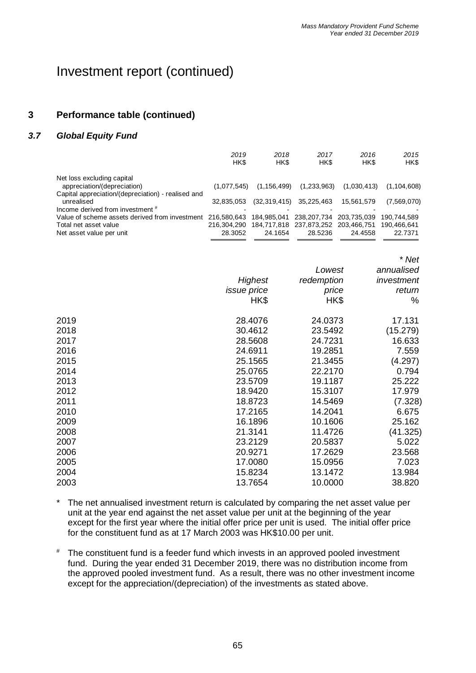## Investment report (continued)

## **3 Performance table (continued)**

### *3.7 Global Equity Fund*

| 2019<br>HK\$ | 2018<br>HK\$                                                                                                     | 2017<br>HK\$ | 2016<br>HK\$                    | 2015<br>HK\$                                                      |
|--------------|------------------------------------------------------------------------------------------------------------------|--------------|---------------------------------|-------------------------------------------------------------------|
|              |                                                                                                                  |              |                                 |                                                                   |
|              |                                                                                                                  |              |                                 | (1, 104, 608)                                                     |
|              |                                                                                                                  |              |                                 |                                                                   |
| 32,835,053   |                                                                                                                  | 35,225,463   | 15,561,579                      | (7,569,070)                                                       |
|              |                                                                                                                  |              |                                 |                                                                   |
|              | 184.985.041                                                                                                      | 238.207.734  | 203.735.039                     | 190.744.589                                                       |
| 216.304.290  |                                                                                                                  |              |                                 | 190.466.641                                                       |
| 28.3052      | 24.1654                                                                                                          | 28.5236      | 24.4558                         | 22.7371                                                           |
|              | Capital appreciation/(depreciation) - realised and<br>Value of scheme assets derived from investment 216,580,643 | (1.077.545)  | (1, 156, 499)<br>(32, 319, 415) | (1,233,963)<br>(1,030,413)<br>184,717,818 237,873,252 203,466,751 |

|      |                    | Lowest     | annualised |
|------|--------------------|------------|------------|
|      | Highest            | redemption | investment |
|      | <i>issue price</i> | price      | return     |
|      | HK\$               | HK\$       | %          |
| 2019 | 28.4076            | 24.0373    | 17.131     |
| 2018 | 30.4612            | 23.5492    | (15.279)   |
| 2017 | 28.5608            | 24.7231    | 16.633     |
| 2016 | 24.6911            | 19.2851    | 7.559      |
| 2015 | 25.1565            | 21.3455    | (4.297)    |
| 2014 | 25.0765            | 22.2170    | 0.794      |
| 2013 | 23.5709            | 19.1187    | 25.222     |
| 2012 | 18.9420            | 15.3107    | 17.979     |
| 2011 | 18.8723            | 14.5469    | (7.328)    |
| 2010 | 17.2165            | 14.2041    | 6.675      |
| 2009 | 16.1896            | 10.1606    | 25.162     |
| 2008 | 21.3141            | 11.4726    | (41.325)   |
| 2007 | 23.2129            | 20.5837    | 5.022      |
| 2006 | 20.9271            | 17.2629    | 23.568     |
| 2005 | 17.0080            | 15.0956    | 7.023      |
| 2004 | 15.8234            | 13.1472    | 13.984     |
| 2003 | 13.7654            | 10.0000    | 38.820     |
|      |                    |            |            |

- \* The net annualised investment return is calculated by comparing the net asset value per unit at the year end against the net asset value per unit at the beginning of the year except for the first year where the initial offer price per unit is used. The initial offer price for the constituent fund as at 17 March 2003 was HK\$10.00 per unit.
- # The constituent fund is a feeder fund which invests in an approved pooled investment fund. During the year ended 31 December 2019, there was no distribution income from the approved pooled investment fund. As a result, there was no other investment income except for the appreciation/(depreciation) of the investments as stated above.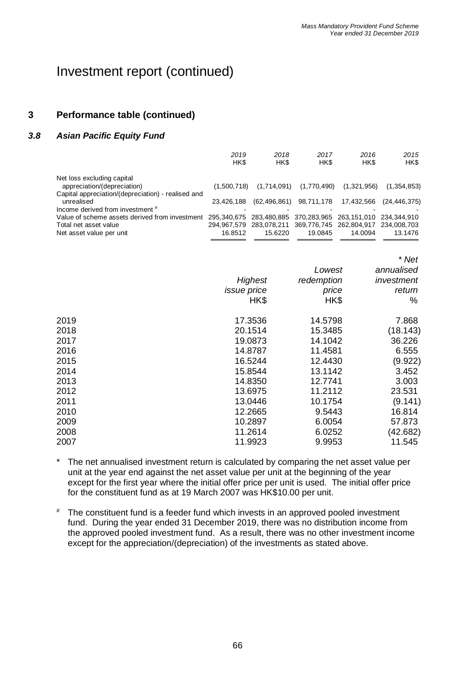### **3 Performance table (continued)**

#### *3.8 Asian Pacific Equity Fund*

|                                                                                    | 2019<br>HK\$ | 2018<br>HK\$   | 2017<br>HK\$                                    | 2016<br>HK\$            | 2015<br>HK\$   |
|------------------------------------------------------------------------------------|--------------|----------------|-------------------------------------------------|-------------------------|----------------|
| Net loss excluding capital                                                         |              |                |                                                 |                         |                |
| appreciation/(depreciation)                                                        | (1.500.718)  | (1,714,091)    | (1,770,490)                                     | (1,321,956)             | (1,354,853)    |
| Capital appreciation/(depreciation) - realised and                                 |              |                |                                                 |                         |                |
| unrealised                                                                         | 23.426.188   | (62, 496, 861) | 98,711,178                                      | 17,432,566              | (24, 446, 375) |
| Income derived from investment #                                                   |              |                |                                                 |                         |                |
| Value of scheme assets derived from investment 295,340,675 283,480,885 370,283,965 |              |                |                                                 | 263.151.010 234.344.910 |                |
| Total net asset value                                                              | 294.967.579  |                | 283,078,211 369,776,745 262,804,917 234,008,703 |                         |                |
| Net asset value per unit                                                           | 16.8512      | 15.6220        | 19.0845                                         | 14.0094                 | 13.1476        |

|             |       | * Net                                                                                                                                                           |
|-------------|-------|-----------------------------------------------------------------------------------------------------------------------------------------------------------------|
|             |       | annualised                                                                                                                                                      |
| Highest     |       | investment                                                                                                                                                      |
| issue price | price | return                                                                                                                                                          |
| HK\$        | HK\$  | $\%$                                                                                                                                                            |
| 17.3536     |       | 7.868                                                                                                                                                           |
| 20.1514     |       | (18.143)                                                                                                                                                        |
| 19.0873     |       | 36.226                                                                                                                                                          |
| 14.8787     |       | 6.555                                                                                                                                                           |
| 16.5244     |       | (9.922)                                                                                                                                                         |
| 15.8544     |       | 3.452                                                                                                                                                           |
| 14.8350     |       | 3.003                                                                                                                                                           |
| 13.6975     |       | 23.531                                                                                                                                                          |
| 13.0446     |       | (9.141)                                                                                                                                                         |
| 12.2665     |       | 16.814                                                                                                                                                          |
| 10.2897     |       | 57.873                                                                                                                                                          |
| 11.2614     |       | (42.682)                                                                                                                                                        |
| 11.9923     |       | 11.545                                                                                                                                                          |
|             |       | Lowest<br>redemption<br>14.5798<br>15.3485<br>14.1042<br>11.4581<br>12.4430<br>13.1142<br>12.7741<br>11.2112<br>10.1754<br>9.5443<br>6.0054<br>6.0252<br>9.9953 |

\* The net annualised investment return is calculated by comparing the net asset value per unit at the year end against the net asset value per unit at the beginning of the year except for the first year where the initial offer price per unit is used. The initial offer price for the constituent fund as at 19 March 2007 was HK\$10.00 per unit.

# The constituent fund is a feeder fund which invests in an approved pooled investment fund. During the year ended 31 December 2019, there was no distribution income from the approved pooled investment fund. As a result, there was no other investment income except for the appreciation/(depreciation) of the investments as stated above.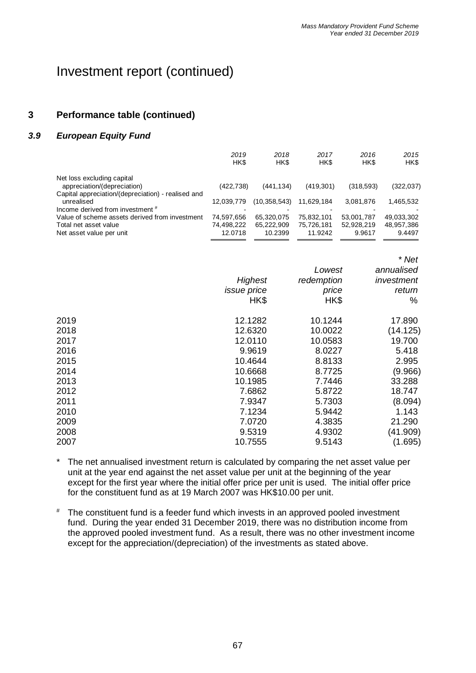## Investment report (continued)

## **3 Performance table (continued)**

#### *3.9 European Equity Fund*

|                                                    | 2019<br>HK\$ | 2018<br>HK\$   | 2017<br>HK\$ | 2016<br>HK\$ | 2015<br>HK\$ |
|----------------------------------------------------|--------------|----------------|--------------|--------------|--------------|
| Net loss excluding capital                         |              |                |              |              |              |
| appreciation/(depreciation)                        | (422, 738)   | (441.134)      | (419, 301)   | (318, 593)   | (322, 037)   |
| Capital appreciation/(depreciation) - realised and |              |                |              |              |              |
| unrealised                                         | 12.039.779   | (10, 358, 543) | 11.629.184   | 3,081,876    | 1,465,532    |
| Income derived from investment #                   |              |                |              |              |              |
| Value of scheme assets derived from investment     | 74.597.656   | 65.320.075     | 75.832.101   | 53,001,787   | 49,033,302   |
| Total net asset value                              | 74.498.222   | 65.222.909     | 75.726.181   | 52,928,219   | 48,957,386   |
| Net asset value per unit                           | 12.0718      | 10.2399        | 11.9242      | 9.9617       | 9.4497       |
|                                                    |              |                |              |              |              |

|      |                    |            | <i>ivet</i> |
|------|--------------------|------------|-------------|
|      |                    | Lowest     | annualised  |
|      | Highest            | redemption | investment  |
|      | <i>issue</i> price | price      | return      |
|      | HK\$               | HK\$       | %           |
| 2019 | 12.1282            | 10.1244    | 17.890      |
| 2018 | 12.6320            | 10.0022    | (14.125)    |
| 2017 | 12.0110            | 10.0583    | 19.700      |
| 2016 | 9.9619             | 8.0227     | 5.418       |
| 2015 | 10.4644            | 8.8133     | 2.995       |
| 2014 | 10.6668            | 8.7725     | (9.966)     |
| 2013 | 10.1985            | 7.7446     | 33.288      |
| 2012 | 7.6862             | 5.8722     | 18.747      |
| 2011 | 7.9347             | 5.7303     | (8.094)     |
| 2010 | 7.1234             | 5.9442     | 1.143       |
| 2009 | 7.0720             | 4.3835     | 21.290      |
| 2008 | 9.5319             | 4.9302     | (41.909)    |
| 2007 | 10.7555            | 9.5143     | (1.695)     |
|      |                    |            |             |

\* The net annualised investment return is calculated by comparing the net asset value per unit at the year end against the net asset value per unit at the beginning of the year except for the first year where the initial offer price per unit is used. The initial offer price for the constituent fund as at 19 March 2007 was HK\$10.00 per unit.

# The constituent fund is a feeder fund which invests in an approved pooled investment fund. During the year ended 31 December 2019, there was no distribution income from the approved pooled investment fund. As a result, there was no other investment income except for the appreciation/(depreciation) of the investments as stated above.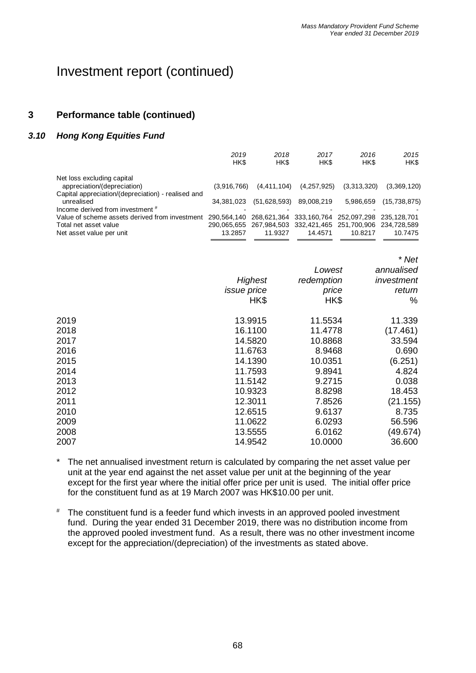## **3 Performance table (continued)**

### *3.10 Hong Kong Equities Fund*

|                                                    | 2019<br>HK\$ | 2018<br>HK\$                                                | 2017<br>HK\$ | 2016<br>HK\$ | 2015<br>HK\$   |
|----------------------------------------------------|--------------|-------------------------------------------------------------|--------------|--------------|----------------|
| Net loss excluding capital                         |              |                                                             |              |              |                |
| appreciation/(depreciation)                        | (3,916,766)  | (4,411,104)                                                 | (4,257,925)  | (3,313,320)  | (3,369,120)    |
| Capital appreciation/(depreciation) - realised and |              |                                                             |              |              |                |
| unrealised                                         | 34.381.023   | (51,628,593)                                                | 89,008,219   | 5,986,659    | (15, 738, 875) |
| Income derived from investment #                   |              |                                                             |              |              |                |
| Value of scheme assets derived from investment     | 290.564.140  | 268.621.364 333.160.764                                     |              | 252.097.298  | 235.128.701    |
| Total net asset value                              |              | 290,065,655 267,984,503 332,421,465 251,700,906 234,728,589 |              |              |                |
| Net asset value per unit                           | 13.2857      | 11.9327                                                     | 14.4571      | 10.8217      | 10.7475        |

|      |                    |            | * Net      |
|------|--------------------|------------|------------|
|      |                    | Lowest     | annualised |
|      | Highest            | redemption | investment |
|      | <i>issue</i> price | price      | return     |
|      | HK\$               | HK\$       | %          |
| 2019 | 13.9915            | 11.5534    | 11.339     |
| 2018 | 16.1100            | 11.4778    | (17.461)   |
| 2017 | 14.5820            | 10.8868    | 33.594     |
| 2016 | 11.6763            | 8.9468     | 0.690      |
| 2015 | 14.1390            | 10.0351    | (6.251)    |
| 2014 | 11.7593            | 9.8941     | 4.824      |
| 2013 | 11.5142            | 9.2715     | 0.038      |
| 2012 | 10.9323            | 8.8298     | 18.453     |
| 2011 | 12.3011            | 7.8526     | (21.155)   |
| 2010 | 12.6515            | 9.6137     | 8.735      |
| 2009 | 11.0622            | 6.0293     | 56.596     |
| 2008 | 13.5555            | 6.0162     | (49.674)   |
| 2007 | 14.9542            | 10.0000    | 36.600     |

- \* The net annualised investment return is calculated by comparing the net asset value per unit at the year end against the net asset value per unit at the beginning of the year except for the first year where the initial offer price per unit is used. The initial offer price for the constituent fund as at 19 March 2007 was HK\$10.00 per unit.
- # The constituent fund is a feeder fund which invests in an approved pooled investment fund. During the year ended 31 December 2019, there was no distribution income from the approved pooled investment fund. As a result, there was no other investment income except for the appreciation/(depreciation) of the investments as stated above.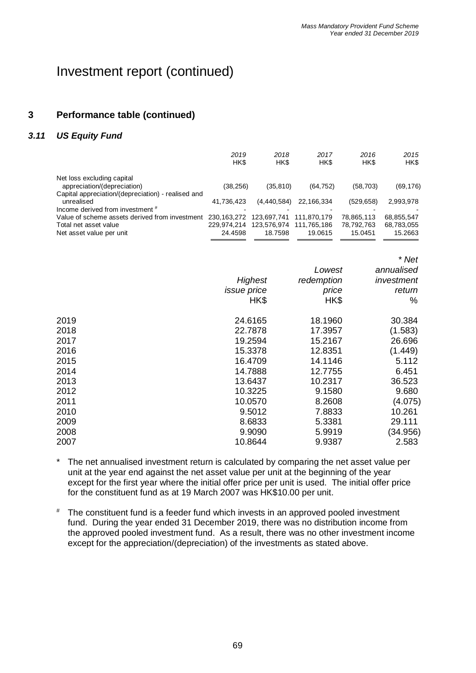## **3 Performance table (continued)**

#### *3.11 US Equity Fund*

|                                                    | 2019<br>HK\$ | 2018<br>HK\$  | 2017<br>HK\$ | 2016<br>HK\$ | 2015<br>HK\$ |
|----------------------------------------------------|--------------|---------------|--------------|--------------|--------------|
| Net loss excluding capital                         |              |               |              |              |              |
| appreciation/(depreciation)                        | (38,256)     | (35, 810)     | (64, 752)    | (58, 703)    | (69, 176)    |
| Capital appreciation/(depreciation) - realised and |              |               |              |              |              |
| unrealised                                         | 41.736.423   | (4, 440, 584) | 22,166,334   | (529, 658)   | 2,993,978    |
| Income derived from investment #                   |              |               |              |              |              |
| Value of scheme assets derived from investment     | 230.163.272  | 123.697.741   | 111.870.179  | 78,865,113   | 68,855,547   |
| Total net asset value                              | 229.974.214  | 123,576,974   | 111.765.186  | 78,792,763   | 68,783,055   |
| Net asset value per unit                           | 24.4598      | 18.7598       | 19.0615      | 15.0451      | 15.2663      |
|                                                    |              |               |              |              |              |

|      |                    |            | * Net      |
|------|--------------------|------------|------------|
|      |                    | Lowest     | annualised |
|      | Highest            | redemption | investment |
|      | <i>issue</i> price | price      | return     |
|      | HK\$               | HK\$       | %          |
| 2019 | 24.6165            | 18.1960    | 30.384     |
| 2018 | 22.7878            | 17.3957    | (1.583)    |
| 2017 | 19.2594            | 15.2167    | 26.696     |
| 2016 | 15.3378            | 12.8351    | (1.449)    |
| 2015 | 16.4709            | 14.1146    | 5.112      |
| 2014 | 14.7888            | 12.7755    | 6.451      |
| 2013 | 13.6437            | 10.2317    | 36.523     |
| 2012 | 10.3225            | 9.1580     | 9.680      |
| 2011 | 10.0570            | 8.2608     | (4.075)    |
| 2010 | 9.5012             | 7.8833     | 10.261     |
| 2009 | 8.6833             | 5.3381     | 29.111     |
| 2008 | 9.9090             | 5.9919     | (34.956)   |
| 2007 | 10.8644            | 9.9387     | 2.583      |

\* The net annualised investment return is calculated by comparing the net asset value per unit at the year end against the net asset value per unit at the beginning of the year except for the first year where the initial offer price per unit is used. The initial offer price for the constituent fund as at 19 March 2007 was HK\$10.00 per unit.

# The constituent fund is a feeder fund which invests in an approved pooled investment fund. During the year ended 31 December 2019, there was no distribution income from the approved pooled investment fund. As a result, there was no other investment income except for the appreciation/(depreciation) of the investments as stated above.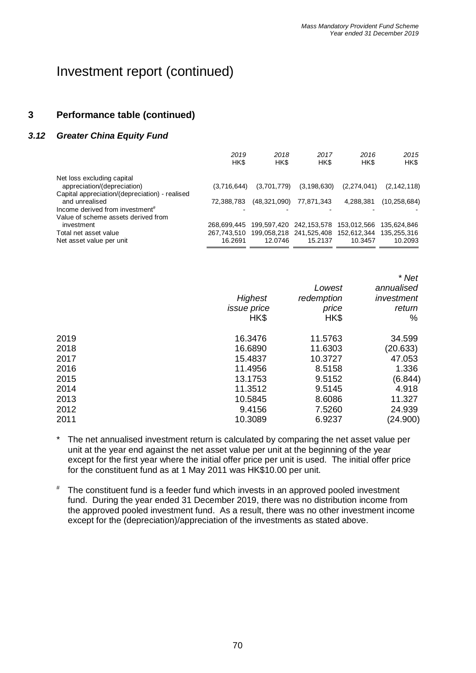## **3 Performance table (continued)**

### *3.12 Greater China Equity Fund*

| 2019<br>HK\$           | 2018<br>HK\$ | 2017<br>HK\$ | 2016<br>HK\$                  | 2015<br>HK\$                                                                                                    |
|------------------------|--------------|--------------|-------------------------------|-----------------------------------------------------------------------------------------------------------------|
|                        |              |              |                               | (2, 142, 118)                                                                                                   |
| 72,388,783             |              | 77,871,343   | 4,288,381                     | (10, 258, 684)                                                                                                  |
|                        |              |              |                               | 135,624,846                                                                                                     |
| 267.743.510<br>16.2691 | 12.0746      | 15.2137      | 10.3457                       | 135.255.316<br>10.2093                                                                                          |
|                        | 268.699.445  | (3,716,644)  | (3,701,779)<br>(48, 321, 090) | (3, 198, 630)<br>(2, 274, 041)<br>199,597,420 242,153,578<br>153,012,566<br>199,058,218 241,525,408 152,612,344 |

|      |                                       |                                       | * Net<br>annualised<br>investment<br>return<br>% |
|------|---------------------------------------|---------------------------------------|--------------------------------------------------|
|      | Highest<br><i>issue</i> price<br>HK\$ | Lowest<br>redemption<br>price<br>HK\$ |                                                  |
|      |                                       |                                       |                                                  |
|      |                                       |                                       |                                                  |
|      |                                       |                                       |                                                  |
| 2019 | 16.3476                               | 11.5763                               | 34.599                                           |
| 2018 | 16.6890                               | 11.6303                               | (20.633)                                         |
| 2017 | 15.4837                               | 10.3727                               | 47.053                                           |
| 2016 | 11.4956                               | 8.5158                                | 1.336                                            |
| 2015 | 13.1753                               | 9.5152                                | (6.844)                                          |
| 2014 | 11.3512                               | 9.5145                                | 4.918                                            |
| 2013 | 10.5845                               | 8.6086                                | 11.327                                           |
| 2012 | 9.4156                                | 7.5260                                | 24.939                                           |
| 2011 | 10.3089                               | 6.9237                                | (24.900)                                         |
|      |                                       |                                       |                                                  |

- \* The net annualised investment return is calculated by comparing the net asset value per unit at the year end against the net asset value per unit at the beginning of the year except for the first year where the initial offer price per unit is used. The initial offer price for the constituent fund as at 1 May 2011 was HK\$10.00 per unit.
- # The constituent fund is a feeder fund which invests in an approved pooled investment fund. During the year ended 31 December 2019, there was no distribution income from the approved pooled investment fund. As a result, there was no other investment income except for the (depreciation)/appreciation of the investments as stated above.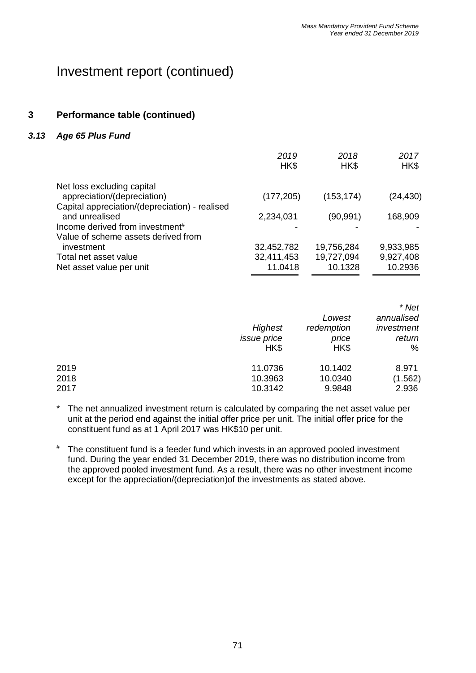#### **3 Performance table (continued)**

#### *3.13 Age 65 Plus Fund*

|                                                           | 2019<br>HK\$ | 2018<br>HK\$ | 2017<br>HK\$ |
|-----------------------------------------------------------|--------------|--------------|--------------|
| Net loss excluding capital<br>appreciation/(depreciation) | (177, 205)   | (153, 174)   | (24, 430)    |
| Capital appreciation/(depreciation) - realised            |              |              |              |
| and unrealised                                            | 2,234,031    | (90, 991)    | 168,909      |
| Income derived from investment <sup>#</sup>               |              |              |              |
| Value of scheme assets derived from                       |              |              |              |
| investment                                                | 32,452,782   | 19,756,284   | 9,933,985    |
| Total net asset value                                     | 32,411,453   | 19,727,094   | 9,927,408    |
| Net asset value per unit                                  | 11.0418      | 10.1328      | 10.2936      |

|      | Highest<br><i>issue</i> price<br>HK\$ | Lowest<br>redemption<br>price<br>HK\$ | * Net<br>annualised<br>investment<br>return<br>% |
|------|---------------------------------------|---------------------------------------|--------------------------------------------------|
| 2019 | 11.0736                               | 10.1402                               | 8.971                                            |
| 2018 | 10.3963                               | 10.0340                               | (1.562)                                          |
| 2017 | 10.3142                               | 9.9848                                | 2.936                                            |

- \* The net annualized investment return is calculated by comparing the net asset value per unit at the period end against the initial offer price per unit. The initial offer price for the constituent fund as at 1 April 2017 was HK\$10 per unit.
- # The constituent fund is a feeder fund which invests in an approved pooled investment fund. During the year ended 31 December 2019, there was no distribution income from the approved pooled investment fund. As a result, there was no other investment income except for the appreciation/(depreciation)of the investments as stated above.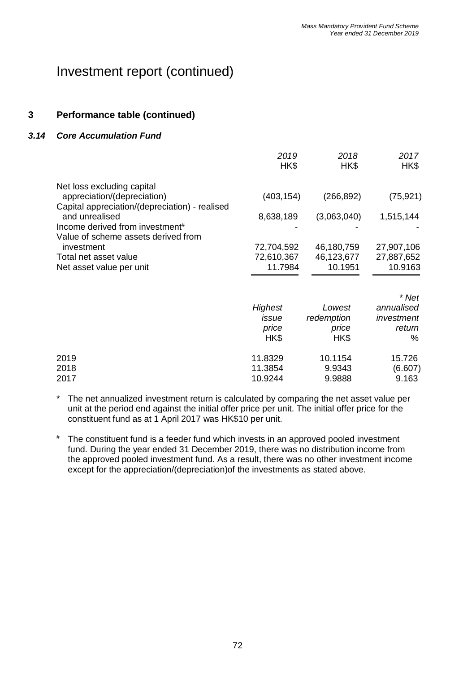#### **3 Performance table (continued)**

#### *3.14 Core Accumulation Fund*

|                                                                                                                 | 2019<br>HK\$                        | 2018<br>HK\$                        | 2017<br>HK\$                        |
|-----------------------------------------------------------------------------------------------------------------|-------------------------------------|-------------------------------------|-------------------------------------|
| Net loss excluding capital<br>appreciation/(depreciation)                                                       | (403, 154)                          | (266, 892)                          | (75, 921)                           |
| Capital appreciation/(depreciation) - realised<br>and unrealised<br>Income derived from investment <sup>#</sup> | 8,638,189                           | (3,063,040)                         | 1,515,144                           |
| Value of scheme assets derived from<br>investment<br>Total net asset value<br>Net asset value per unit          | 72,704,592<br>72,610,367<br>11.7984 | 46,180,759<br>46,123,677<br>10.1951 | 27,907,106<br>27,887,652<br>10.9163 |
|                                                                                                                 |                                     |                                     | * Net                               |
|                                                                                                                 | Highest                             | Lowest                              | annualised                          |
|                                                                                                                 | issue<br>price<br>HK\$              | redemption<br>price<br>HK\$         | investment<br>return<br>%           |
| 2019<br>2018<br>2017                                                                                            | 11.8329<br>11.3854<br>10.9244       | 10.1154<br>9.9343<br>9.9888         | 15.726<br>(6.607)<br>9.163          |

- The net annualized investment return is calculated by comparing the net asset value per unit at the period end against the initial offer price per unit. The initial offer price for the constituent fund as at 1 April 2017 was HK\$10 per unit.
- # The constituent fund is a feeder fund which invests in an approved pooled investment fund. During the year ended 31 December 2019, there was no distribution income from the approved pooled investment fund. As a result, there was no other investment income except for the appreciation/(depreciation)of the investments as stated above.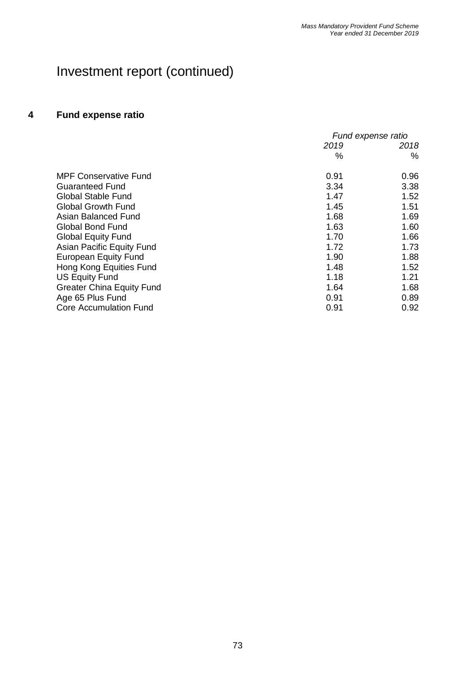### **4 Fund expense ratio**

|                                  | Fund expense ratio |      |
|----------------------------------|--------------------|------|
|                                  | 2019               | 2018 |
|                                  | %                  | %    |
| <b>MPF Conservative Fund</b>     | 0.91               | 0.96 |
| <b>Guaranteed Fund</b>           | 3.34               | 3.38 |
| <b>Global Stable Fund</b>        | 1.47               | 1.52 |
| <b>Global Growth Fund</b>        | 1.45               | 1.51 |
| Asian Balanced Fund              | 1.68               | 1.69 |
| <b>Global Bond Fund</b>          | 1.63               | 1.60 |
| <b>Global Equity Fund</b>        | 1.70               | 1.66 |
| Asian Pacific Equity Fund        | 1.72               | 1.73 |
| <b>European Equity Fund</b>      | 1.90               | 1.88 |
| Hong Kong Equities Fund          | 1.48               | 1.52 |
| <b>US Equity Fund</b>            | 1.18               | 1.21 |
| <b>Greater China Equity Fund</b> | 1.64               | 1.68 |
| Age 65 Plus Fund                 | 0.91               | 0.89 |
| <b>Core Accumulation Fund</b>    | 0.91               | 0.92 |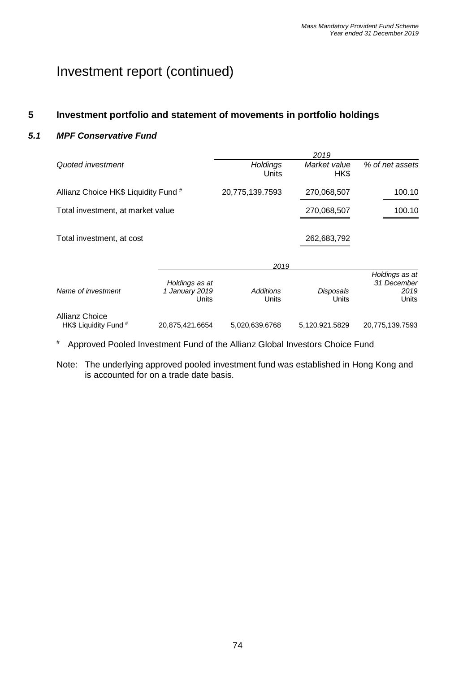#### **5 Investment portfolio and statement of movements in portfolio holdings**

#### *5.1 MPF Conservative Fund*

|                                         |                                           |                           | 2019                 |                                                |
|-----------------------------------------|-------------------------------------------|---------------------------|----------------------|------------------------------------------------|
| Quoted investment                       |                                           | <b>Holdings</b><br>Units  | Market value<br>HK\$ | % of net assets                                |
| Allianz Choice HK\$ Liquidity Fund #    |                                           | 20,775,139.7593           | 270,068,507          | 100.10                                         |
| Total investment, at market value       |                                           |                           | 270,068,507          | 100.10                                         |
| Total investment, at cost               |                                           |                           | 262,683,792          |                                                |
|                                         |                                           | 2019                      |                      |                                                |
| Name of investment                      | Holdings as at<br>1 January 2019<br>Units | <b>Additions</b><br>Units | Disposals<br>Units   | Holdings as at<br>31 December<br>2019<br>Units |
| Allianz Choice<br>HK\$ Liquidity Fund # | 20.875.421.6654                           | 5,020,639.6768            | 5,120,921.5829       | 20.775.139.7593                                |

# Approved Pooled Investment Fund of the Allianz Global Investors Choice Fund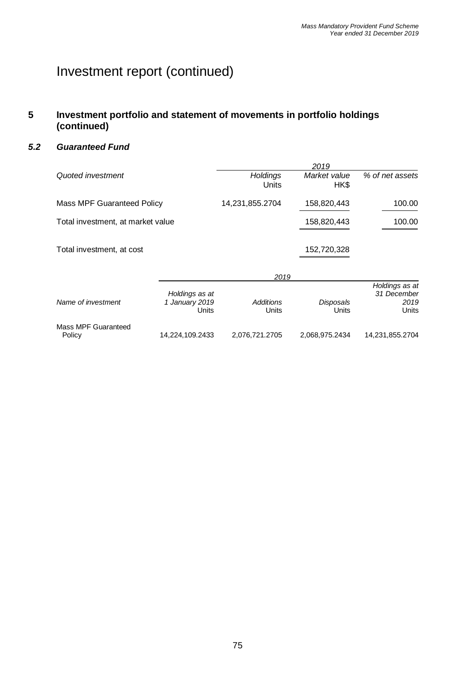#### **5 Investment portfolio and statement of movements in portfolio holdings (continued)**

#### *5.2 Guaranteed Fund*

|                                   |                                           |                           | 2019                 |                                                |
|-----------------------------------|-------------------------------------------|---------------------------|----------------------|------------------------------------------------|
| Quoted investment                 |                                           | <b>Holdings</b><br>Units  | Market value<br>HK\$ | % of net assets                                |
| <b>Mass MPF Guaranteed Policy</b> |                                           | 14,231,855.2704           | 158,820,443          | 100.00                                         |
| Total investment, at market value |                                           |                           | 158,820,443          | 100.00                                         |
| Total investment, at cost         |                                           |                           | 152,720,328          |                                                |
|                                   |                                           | 2019                      |                      |                                                |
| Name of investment                | Holdings as at<br>1 January 2019<br>Units | <b>Additions</b><br>Units | Disposals<br>Units   | Holdings as at<br>31 December<br>2019<br>Units |
| <b>Mass MPF Guaranteed</b>        |                                           |                           |                      |                                                |
| Policy                            | 14,224,109.2433                           | 2,076,721.2705            | 2,068,975.2434       | 14,231,855.2704                                |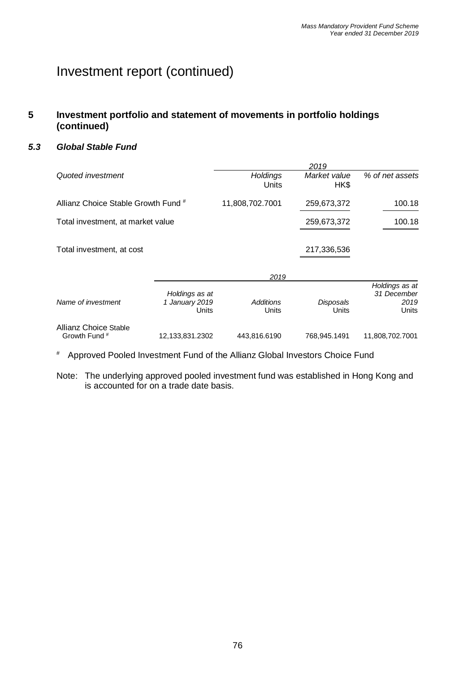#### **5 Investment portfolio and statement of movements in portfolio holdings (continued)**

#### *5.3 Global Stable Fund*

|                                        |                                           |                          | 2019                 |                                                |
|----------------------------------------|-------------------------------------------|--------------------------|----------------------|------------------------------------------------|
| Quoted investment                      |                                           | <b>Holdings</b><br>Units | Market value<br>HK\$ | % of net assets                                |
| Allianz Choice Stable Growth Fund #    |                                           | 11,808,702.7001          | 259,673,372          | 100.18                                         |
| Total investment, at market value      |                                           |                          | 259,673,372          | 100.18                                         |
| Total investment, at cost              |                                           |                          | 217,336,536          |                                                |
|                                        |                                           | 2019                     |                      |                                                |
| Name of investment                     | Holdings as at<br>1 January 2019<br>Units | Additions<br>Units       | Disposals<br>Units   | Holdings as at<br>31 December<br>2019<br>Units |
| Allianz Choice Stable<br>Growth Fund # | 12,133,831.2302                           | 443,816.6190             | 768,945.1491         | 11,808,702.7001                                |

# Approved Pooled Investment Fund of the Allianz Global Investors Choice Fund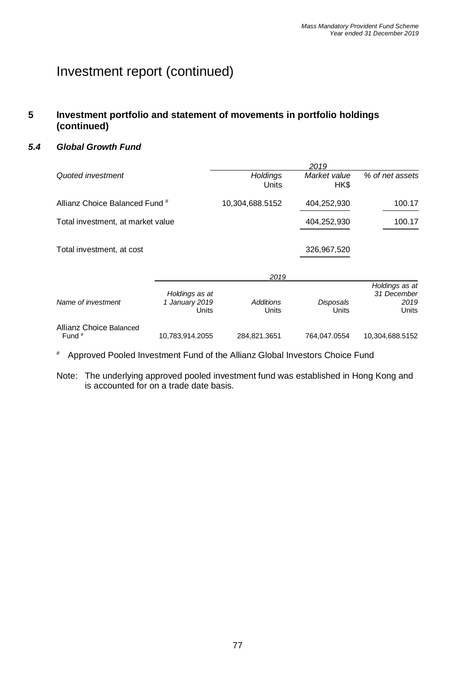#### **5 Investment portfolio and statement of movements in portfolio holdings (continued)**

#### *5.4 Global Growth Fund*

|                                              |                                           |                          | 2019                 |                                                |
|----------------------------------------------|-------------------------------------------|--------------------------|----------------------|------------------------------------------------|
| Quoted investment                            |                                           | <b>Holdings</b><br>Units | Market value<br>HK\$ | % of net assets                                |
| Allianz Choice Balanced Fund #               |                                           | 10,304,688.5152          | 404,252,930          | 100.17                                         |
| Total investment, at market value            |                                           |                          | 404,252,930          | 100.17                                         |
| Total investment, at cost                    |                                           |                          | 326,967,520          |                                                |
|                                              |                                           | 2019                     |                      |                                                |
| Name of investment                           | Holdings as at<br>1 January 2019<br>Units | Additions<br>Units       | Disposals<br>Units   | Holdings as at<br>31 December<br>2019<br>Units |
| Allianz Choice Balanced<br>Fund <sup>#</sup> | 10,783,914.2055                           | 284,821.3651             | 764.047.0554         | 10,304,688.5152                                |

# Approved Pooled Investment Fund of the Allianz Global Investors Choice Fund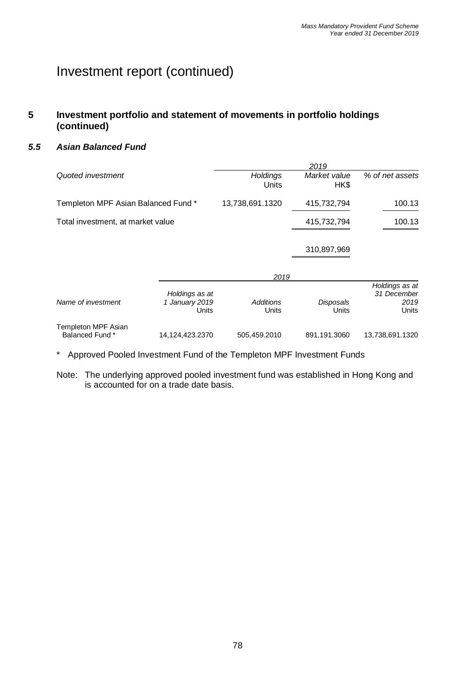#### **5 Investment portfolio and statement of movements in portfolio holdings (continued)**

#### *5.5 Asian Balanced Fund*

|                                        |                                           |                           | 2019                 |                                                |
|----------------------------------------|-------------------------------------------|---------------------------|----------------------|------------------------------------------------|
| Quoted investment                      |                                           | Holdings<br>Units         | Market value<br>HK\$ | % of net assets                                |
| Templeton MPF Asian Balanced Fund *    |                                           | 13,738,691.1320           | 415,732,794          | 100.13                                         |
| Total investment, at market value      |                                           |                           | 415,732,794          | 100.13                                         |
|                                        |                                           |                           | 310,897,969          |                                                |
|                                        |                                           | 2019                      |                      |                                                |
| Name of investment                     | Holdings as at<br>1 January 2019<br>Units | <b>Additions</b><br>Units | Disposals<br>Units   | Holdings as at<br>31 December<br>2019<br>Units |
| Templeton MPF Asian<br>Balanced Fund * | 14,124,423.2370                           | 505,459.2010              | 891,191.3060         | 13,738,691.1320                                |

\* Approved Pooled Investment Fund of the Templeton MPF Investment Funds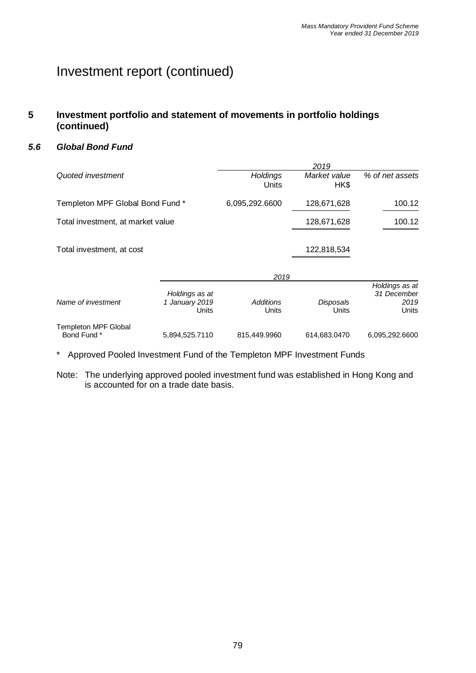#### **5 Investment portfolio and statement of movements in portfolio holdings (continued)**

#### *5.6 Global Bond Fund*

|                                            |                                           |                           | 2019                 |                                                |
|--------------------------------------------|-------------------------------------------|---------------------------|----------------------|------------------------------------------------|
| Quoted investment                          |                                           | <b>Holdings</b><br>Units  | Market value<br>HK\$ | % of net assets                                |
| Templeton MPF Global Bond Fund *           |                                           | 6,095,292.6600            | 128,671,628          | 100.12                                         |
| Total investment, at market value          |                                           |                           | 128,671,628          | 100.12                                         |
| Total investment, at cost                  |                                           |                           | 122,818,534          |                                                |
|                                            |                                           | 2019                      |                      |                                                |
| Name of investment                         | Holdings as at<br>1 January 2019<br>Units | <b>Additions</b><br>Units | Disposals<br>Units   | Holdings as at<br>31 December<br>2019<br>Units |
| <b>Templeton MPF Global</b><br>Bond Fund * | 5,894,525.7110                            | 815,449.9960              | 614,683.0470         | 6,095,292.6600                                 |
|                                            |                                           |                           |                      |                                                |

\* Approved Pooled Investment Fund of the Templeton MPF Investment Funds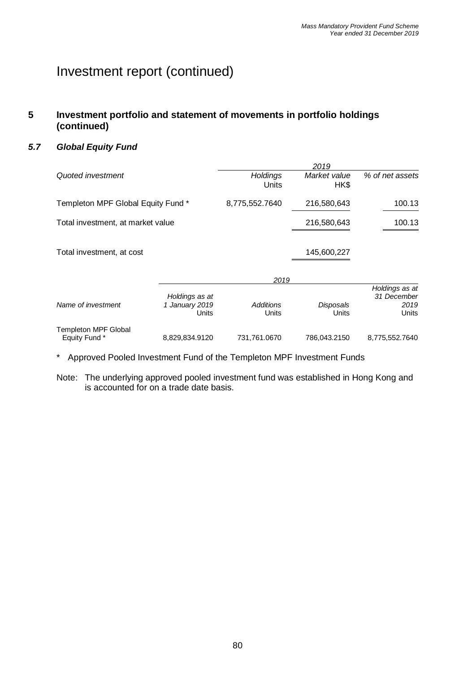#### **5 Investment portfolio and statement of movements in portfolio holdings (continued)**

#### *5.7 Global Equity Fund*

|                                       |                                           |                           | 2019                 |                                                |
|---------------------------------------|-------------------------------------------|---------------------------|----------------------|------------------------------------------------|
| Quoted investment                     |                                           | <b>Holdings</b><br>Units  | Market value<br>HK\$ | % of net assets                                |
| Templeton MPF Global Equity Fund *    |                                           | 8,775,552.7640            | 216,580,643          | 100.13                                         |
| Total investment, at market value     |                                           |                           | 216,580,643          | 100.13                                         |
| Total investment, at cost             |                                           |                           | 145,600,227          |                                                |
|                                       |                                           | 2019                      |                      |                                                |
| Name of investment                    | Holdings as at<br>1 January 2019<br>Units | <b>Additions</b><br>Units | Disposals<br>Units   | Holdings as at<br>31 December<br>2019<br>Units |
| Templeton MPF Global<br>Equity Fund * | 8,829,834.9120                            | 731,761.0670              | 786,043.2150         | 8,775,552.7640                                 |

\* Approved Pooled Investment Fund of the Templeton MPF Investment Funds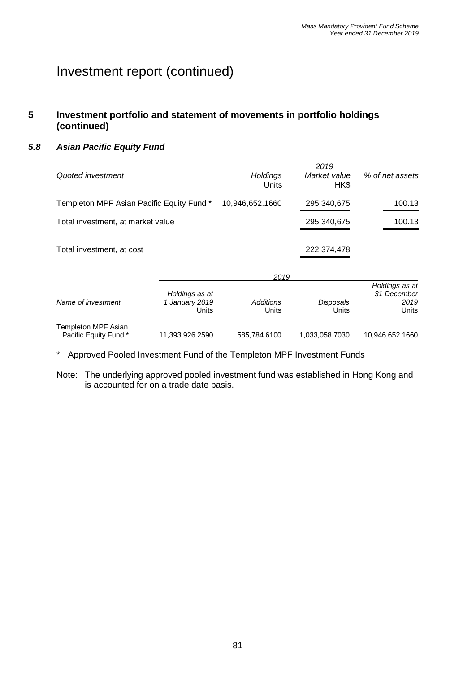#### **5 Investment portfolio and statement of movements in portfolio holdings (continued)**

#### *5.8 Asian Pacific Equity Fund*

|                                              |                                           |                           | 2019                      |                                                |
|----------------------------------------------|-------------------------------------------|---------------------------|---------------------------|------------------------------------------------|
| Quoted investment                            |                                           | <b>Holdings</b><br>Units  | Market value<br>HK\$      | % of net assets                                |
| Templeton MPF Asian Pacific Equity Fund *    |                                           | 10,946,652.1660           | 295,340,675               | 100.13                                         |
| Total investment, at market value            |                                           |                           | 295,340,675               | 100.13                                         |
| Total investment, at cost                    |                                           |                           | 222,374,478               |                                                |
|                                              |                                           | 2019                      |                           |                                                |
| Name of investment                           | Holdings as at<br>1 January 2019<br>Units | <b>Additions</b><br>Units | <b>Disposals</b><br>Units | Holdings as at<br>31 December<br>2019<br>Units |
| Templeton MPF Asian<br>Pacific Equity Fund * | 11,393,926.2590                           | 585,784.6100              | 1,033,058.7030            | 10,946,652.1660                                |

\* Approved Pooled Investment Fund of the Templeton MPF Investment Funds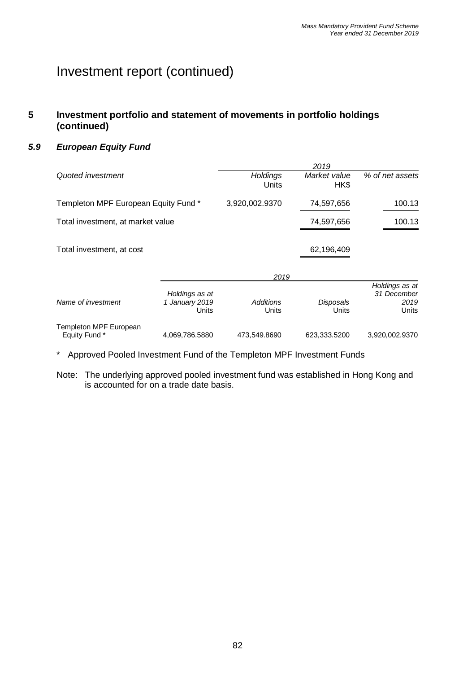#### **5 Investment portfolio and statement of movements in portfolio holdings (continued)**

#### *5.9 European Equity Fund*

|                                         |                                           | 2019                      |                      |                                                |  |  |  |
|-----------------------------------------|-------------------------------------------|---------------------------|----------------------|------------------------------------------------|--|--|--|
| Quoted investment                       |                                           | <b>Holdings</b><br>Units  | Market value<br>HK\$ | % of net assets                                |  |  |  |
| Templeton MPF European Equity Fund*     |                                           | 3,920,002.9370            | 74,597,656           | 100.13                                         |  |  |  |
| Total investment, at market value       |                                           |                           | 74,597,656           | 100.13                                         |  |  |  |
| Total investment, at cost               |                                           |                           | 62,196,409           |                                                |  |  |  |
|                                         |                                           | 2019                      |                      |                                                |  |  |  |
| Name of investment                      | Holdings as at<br>1 January 2019<br>Units | <b>Additions</b><br>Units | Disposals<br>Units   | Holdings as at<br>31 December<br>2019<br>Units |  |  |  |
| Templeton MPF European<br>Equity Fund * | 4,069,786.5880                            | 473,549.8690              | 623,333.5200         | 3,920,002.9370                                 |  |  |  |

\* Approved Pooled Investment Fund of the Templeton MPF Investment Funds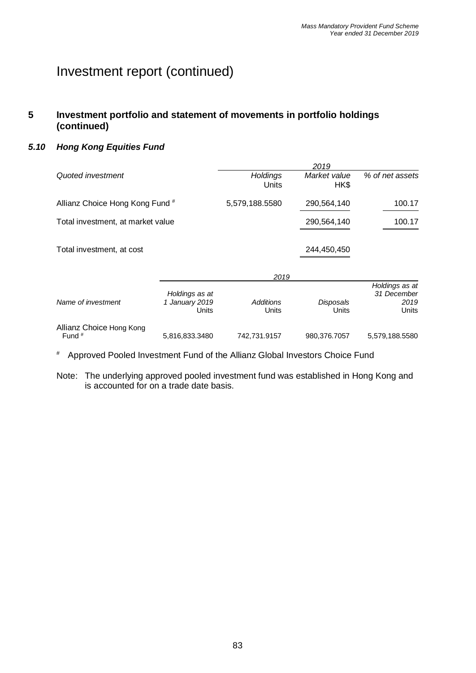#### **5 Investment portfolio and statement of movements in portfolio holdings (continued)**

#### *5.10 Hong Kong Equities Fund*

|                                      |                                           | 2019                      |                      |                                                |  |  |  |  |
|--------------------------------------|-------------------------------------------|---------------------------|----------------------|------------------------------------------------|--|--|--|--|
| Quoted investment                    |                                           | <b>Holdings</b><br>Units  | Market value<br>HK\$ | % of net assets                                |  |  |  |  |
| Allianz Choice Hong Kong Fund #      |                                           | 5,579,188.5580            | 290,564,140          | 100.17                                         |  |  |  |  |
| Total investment, at market value    |                                           |                           | 290,564,140          | 100.17                                         |  |  |  |  |
| Total investment, at cost            |                                           |                           | 244,450,450          |                                                |  |  |  |  |
|                                      |                                           | 2019                      |                      |                                                |  |  |  |  |
| Name of investment                   | Holdings as at<br>1 January 2019<br>Units | <b>Additions</b><br>Units | Disposals<br>Units   | Holdings as at<br>31 December<br>2019<br>Units |  |  |  |  |
| Allianz Choice Hong Kong<br>Fund $#$ | 5,816,833.3480                            | 742,731.9157              | 980,376.7057         | 5,579,188.5580                                 |  |  |  |  |

# Approved Pooled Investment Fund of the Allianz Global Investors Choice Fund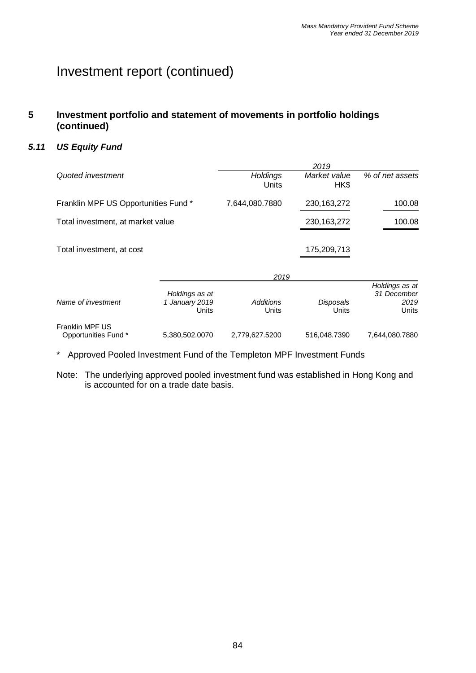#### **5 Investment portfolio and statement of movements in portfolio holdings (continued)**

#### *5.11 US Equity Fund*

|                                        |                                           | 2019                     |                      |                                                |  |  |  |
|----------------------------------------|-------------------------------------------|--------------------------|----------------------|------------------------------------------------|--|--|--|
| Quoted investment                      |                                           | <b>Holdings</b><br>Units | Market value<br>HK\$ | % of net assets                                |  |  |  |
| Franklin MPF US Opportunities Fund *   |                                           | 7,644,080.7880           | 230, 163, 272        | 100.08                                         |  |  |  |
| Total investment, at market value      |                                           |                          | 230, 163, 272        | 100.08                                         |  |  |  |
| Total investment, at cost              |                                           |                          | 175,209,713          |                                                |  |  |  |
|                                        |                                           | 2019                     |                      |                                                |  |  |  |
| Name of investment                     | Holdings as at<br>1 January 2019<br>Units | Additions<br>Units       | Disposals<br>Units   | Holdings as at<br>31 December<br>2019<br>Units |  |  |  |
| Franklin MPF US<br>Opportunities Fund* | 5,380,502.0070                            | 2,779,627.5200           | 516,048.7390         | 7,644,080.7880                                 |  |  |  |

\* Approved Pooled Investment Fund of the Templeton MPF Investment Funds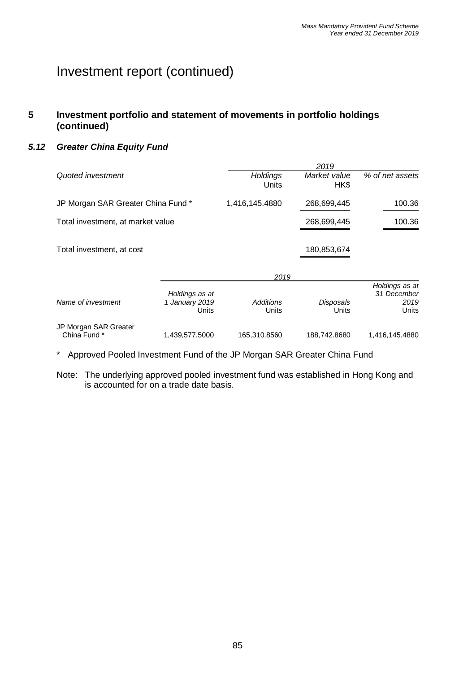#### **5 Investment portfolio and statement of movements in portfolio holdings (continued)**

#### *5.12 Greater China Equity Fund*

|                                       |                                           | 2019                      |                           |                                                |  |  |  |  |
|---------------------------------------|-------------------------------------------|---------------------------|---------------------------|------------------------------------------------|--|--|--|--|
| Quoted investment                     |                                           | <b>Holdings</b><br>Units  | Market value<br>HK\$      | % of net assets                                |  |  |  |  |
| JP Morgan SAR Greater China Fund *    |                                           | 1,416,145.4880            | 268,699,445               | 100.36                                         |  |  |  |  |
| Total investment, at market value     |                                           |                           | 268,699,445               | 100.36                                         |  |  |  |  |
| Total investment, at cost             |                                           |                           | 180,853,674               |                                                |  |  |  |  |
|                                       |                                           | 2019                      |                           |                                                |  |  |  |  |
| Name of investment                    | Holdings as at<br>1 January 2019<br>Units | <b>Additions</b><br>Units | <b>Disposals</b><br>Units | Holdings as at<br>31 December<br>2019<br>Units |  |  |  |  |
| JP Morgan SAR Greater<br>China Fund * | 1,439,577.5000                            | 165,310.8560              | 188,742.8680              | 1,416,145.4880                                 |  |  |  |  |

\* Approved Pooled Investment Fund of the JP Morgan SAR Greater China Fund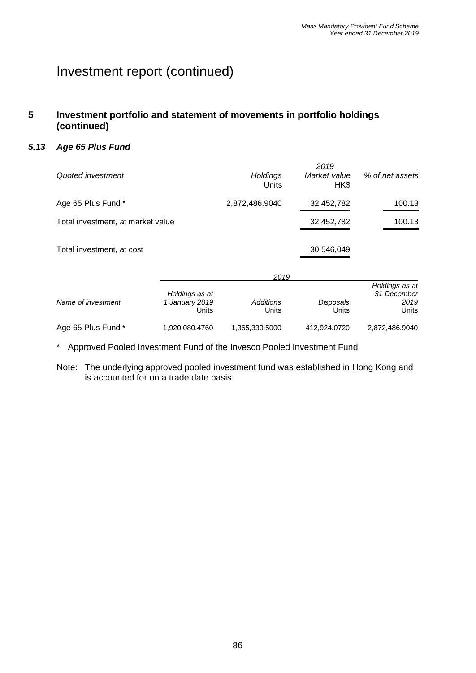#### **5 Investment portfolio and statement of movements in portfolio holdings (continued)**

#### *5.13 Age 65 Plus Fund*

|                                   |                                           | 2019                      |                      |                                                |  |  |  |  |
|-----------------------------------|-------------------------------------------|---------------------------|----------------------|------------------------------------------------|--|--|--|--|
| Quoted investment                 |                                           | <b>Holdings</b><br>Units  | Market value<br>HK\$ | % of net assets                                |  |  |  |  |
| Age 65 Plus Fund *                |                                           | 2,872,486.9040            | 32,452,782           | 100.13                                         |  |  |  |  |
| Total investment, at market value |                                           |                           | 32,452,782           | 100.13                                         |  |  |  |  |
| Total investment, at cost         |                                           |                           | 30,546,049           |                                                |  |  |  |  |
|                                   |                                           | 2019                      |                      |                                                |  |  |  |  |
| Name of investment                | Holdings as at<br>1 January 2019<br>Units | <b>Additions</b><br>Units | Disposals<br>Units   | Holdings as at<br>31 December<br>2019<br>Units |  |  |  |  |
| Age 65 Plus Fund *                | 1,920,080.4760                            | 1,365,330.5000            | 412,924.0720         | 2,872,486.9040                                 |  |  |  |  |

\* Approved Pooled Investment Fund of the Invesco Pooled Investment Fund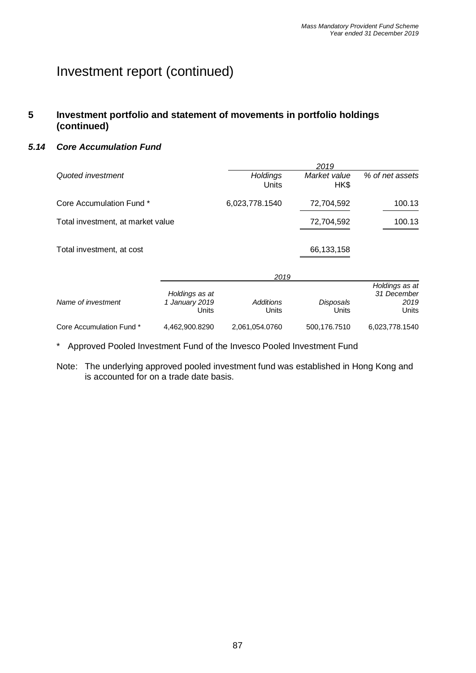#### **5 Investment portfolio and statement of movements in portfolio holdings (continued)**

#### *5.14 Core Accumulation Fund*

|                                   |                                           | 2019                      |                      |                                                |  |  |  |
|-----------------------------------|-------------------------------------------|---------------------------|----------------------|------------------------------------------------|--|--|--|
| Quoted investment                 |                                           | <b>Holdings</b><br>Units  | Market value<br>HK\$ | % of net assets                                |  |  |  |
| Core Accumulation Fund *          |                                           | 6,023,778.1540            | 72,704,592           | 100.13                                         |  |  |  |
| Total investment, at market value |                                           |                           | 72,704,592           | 100.13                                         |  |  |  |
| Total investment, at cost         |                                           |                           | 66,133,158           |                                                |  |  |  |
|                                   |                                           | 2019                      |                      |                                                |  |  |  |
| Name of investment                | Holdings as at<br>1 January 2019<br>Units | <b>Additions</b><br>Units | Disposals<br>Units   | Holdings as at<br>31 December<br>2019<br>Units |  |  |  |
| Core Accumulation Fund *          | 4,462,900.8290                            | 2,061,054.0760            | 500,176.7510         | 6,023,778.1540                                 |  |  |  |

\* Approved Pooled Investment Fund of the Invesco Pooled Investment Fund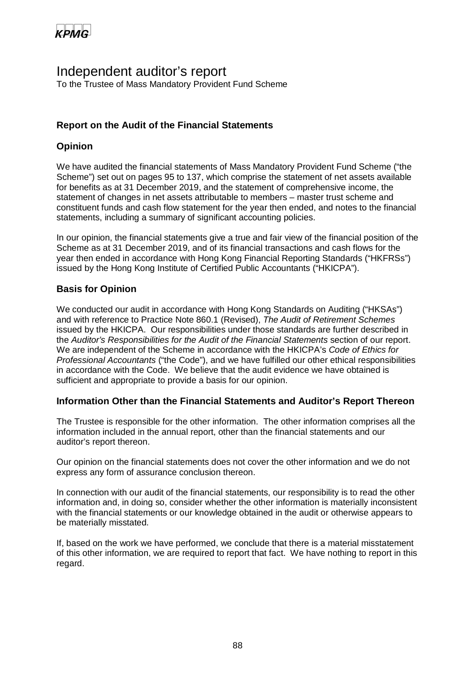

### Independent auditor's report

To the Trustee of Mass Mandatory Provident Fund Scheme

#### **Report on the Audit of the Financial Statements**

#### **Opinion**

We have audited the financial statements of Mass Mandatory Provident Fund Scheme ("the Scheme") set out on pages 95 to 137, which comprise the statement of net assets available for benefits as at 31 December 2019, and the statement of comprehensive income, the statement of changes in net assets attributable to members – master trust scheme and constituent funds and cash flow statement for the year then ended, and notes to the financial statements, including a summary of significant accounting policies.

In our opinion, the financial statements give a true and fair view of the financial position of the Scheme as at 31 December 2019, and of its financial transactions and cash flows for the year then ended in accordance with Hong Kong Financial Reporting Standards ("HKFRSs") issued by the Hong Kong Institute of Certified Public Accountants ("HKICPA").

#### **Basis for Opinion**

We conducted our audit in accordance with Hong Kong Standards on Auditing ("HKSAs") and with reference to Practice Note 860.1 (Revised), *The Audit of Retirement Schemes* issued by the HKICPA. Our responsibilities under those standards are further described in the *Auditor's Responsibilities for the Audit of the Financial Statements* section of our report. We are independent of the Scheme in accordance with the HKICPA's *Code of Ethics for Professional Accountants* ("the Code"), and we have fulfilled our other ethical responsibilities in accordance with the Code. We believe that the audit evidence we have obtained is sufficient and appropriate to provide a basis for our opinion.

#### **Information Other than the Financial Statements and Auditor's Report Thereon**

The Trustee is responsible for the other information. The other information comprises all the information included in the annual report, other than the financial statements and our auditor's report thereon.

Our opinion on the financial statements does not cover the other information and we do not express any form of assurance conclusion thereon.

In connection with our audit of the financial statements, our responsibility is to read the other information and, in doing so, consider whether the other information is materially inconsistent with the financial statements or our knowledge obtained in the audit or otherwise appears to be materially misstated.

If, based on the work we have performed, we conclude that there is a material misstatement of this other information, we are required to report that fact. We have nothing to report in this regard.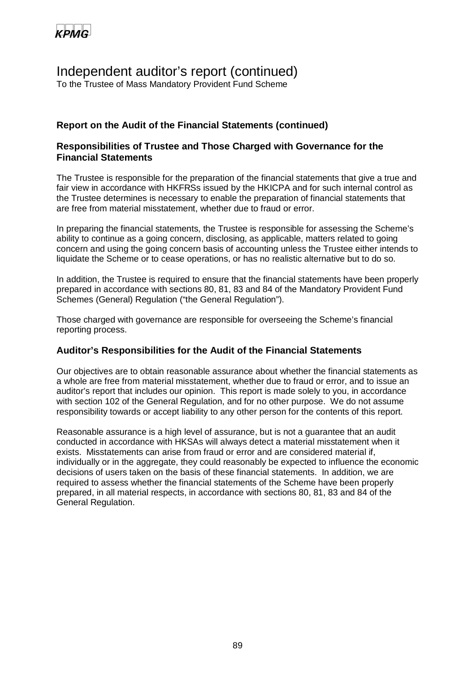

### Independent auditor's report (continued)

To the Trustee of Mass Mandatory Provident Fund Scheme

#### **Report on the Audit of the Financial Statements (continued)**

#### **Responsibilities of Trustee and Those Charged with Governance for the Financial Statements**

The Trustee is responsible for the preparation of the financial statements that give a true and fair view in accordance with HKFRSs issued by the HKICPA and for such internal control as the Trustee determines is necessary to enable the preparation of financial statements that are free from material misstatement, whether due to fraud or error.

In preparing the financial statements, the Trustee is responsible for assessing the Scheme's ability to continue as a going concern, disclosing, as applicable, matters related to going concern and using the going concern basis of accounting unless the Trustee either intends to liquidate the Scheme or to cease operations, or has no realistic alternative but to do so.

In addition, the Trustee is required to ensure that the financial statements have been properly prepared in accordance with sections 80, 81, 83 and 84 of the Mandatory Provident Fund Schemes (General) Regulation ("the General Regulation").

Those charged with governance are responsible for overseeing the Scheme's financial reporting process.

#### **Auditor's Responsibilities for the Audit of the Financial Statements**

Our objectives are to obtain reasonable assurance about whether the financial statements as a whole are free from material misstatement, whether due to fraud or error, and to issue an auditor's report that includes our opinion. This report is made solely to you, in accordance with section 102 of the General Regulation, and for no other purpose. We do not assume responsibility towards or accept liability to any other person for the contents of this report.

Reasonable assurance is a high level of assurance, but is not a guarantee that an audit conducted in accordance with HKSAs will always detect a material misstatement when it exists. Misstatements can arise from fraud or error and are considered material if, individually or in the aggregate, they could reasonably be expected to influence the economic decisions of users taken on the basis of these financial statements. In addition, we are required to assess whether the financial statements of the Scheme have been properly prepared, in all material respects, in accordance with sections 80, 81, 83 and 84 of the General Regulation.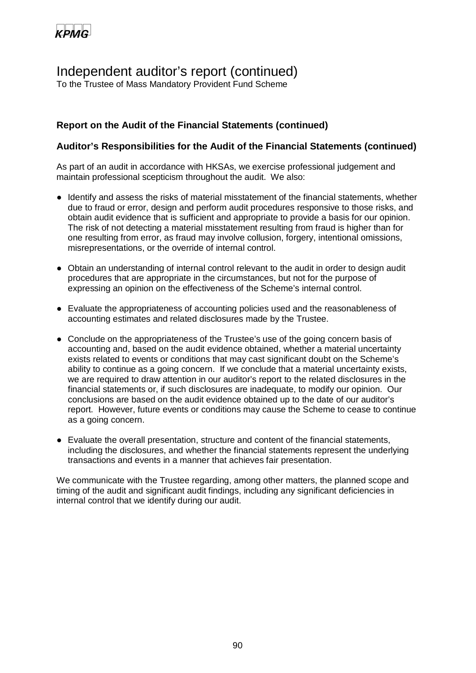

### Independent auditor's report (continued)

To the Trustee of Mass Mandatory Provident Fund Scheme

#### **Report on the Audit of the Financial Statements (continued)**

#### **Auditor's Responsibilities for the Audit of the Financial Statements (continued)**

As part of an audit in accordance with HKSAs, we exercise professional judgement and maintain professional scepticism throughout the audit. We also:

- Identify and assess the risks of material misstatement of the financial statements, whether due to fraud or error, design and perform audit procedures responsive to those risks, and obtain audit evidence that is sufficient and appropriate to provide a basis for our opinion. The risk of not detecting a material misstatement resulting from fraud is higher than for one resulting from error, as fraud may involve collusion, forgery, intentional omissions, misrepresentations, or the override of internal control.
- Obtain an understanding of internal control relevant to the audit in order to design audit procedures that are appropriate in the circumstances, but not for the purpose of expressing an opinion on the effectiveness of the Scheme's internal control.
- Evaluate the appropriateness of accounting policies used and the reasonableness of accounting estimates and related disclosures made by the Trustee.
- Conclude on the appropriateness of the Trustee's use of the going concern basis of accounting and, based on the audit evidence obtained, whether a material uncertainty exists related to events or conditions that may cast significant doubt on the Scheme's ability to continue as a going concern. If we conclude that a material uncertainty exists, we are required to draw attention in our auditor's report to the related disclosures in the financial statements or, if such disclosures are inadequate, to modify our opinion. Our conclusions are based on the audit evidence obtained up to the date of our auditor's report. However, future events or conditions may cause the Scheme to cease to continue as a going concern.
- Evaluate the overall presentation, structure and content of the financial statements, including the disclosures, and whether the financial statements represent the underlying transactions and events in a manner that achieves fair presentation.

We communicate with the Trustee regarding, among other matters, the planned scope and timing of the audit and significant audit findings, including any significant deficiencies in internal control that we identify during our audit.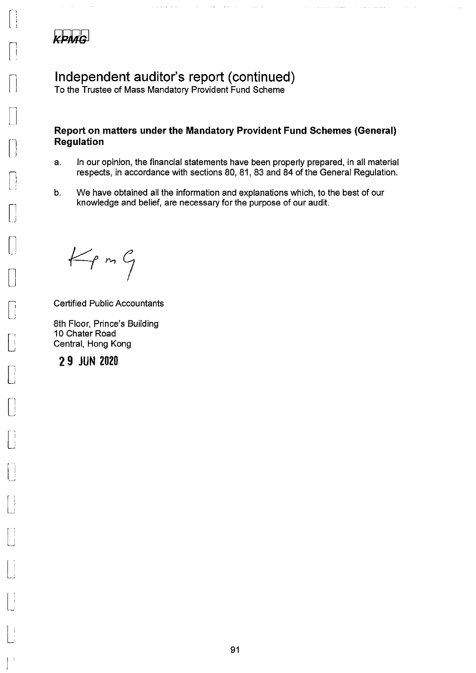

 $\sim$  121

## Independent auditor's report (continued)

To the Trustee of Mass Mandatory Provident Fund Scheme

المالية المتمامين

 $\sim$ 

التواصيف المقدا

المولين المرتبط والزناد

وستشاء والأرواد

#### Report on matters under the Mandatory Provident Fund Schemes (General) Regulation

- In our opinion, the financial statements have been properly prepared, in all material  $a<sub>r</sub>$ respects, in accordance with sections 80, 81, 83 and 84 of the General Regulation.
- We have obtained all the information and explanations which, to the best of our  $b<sub>1</sub>$ knowledge and belief, are necessary for the purpose of our audit.

 $K_{\text{P}}$  on  $G$ 

**Certified Public Accountants** 

8th Floor, Prince's Building 10 Chater Road Central, Hong Kong

29 JUN 2020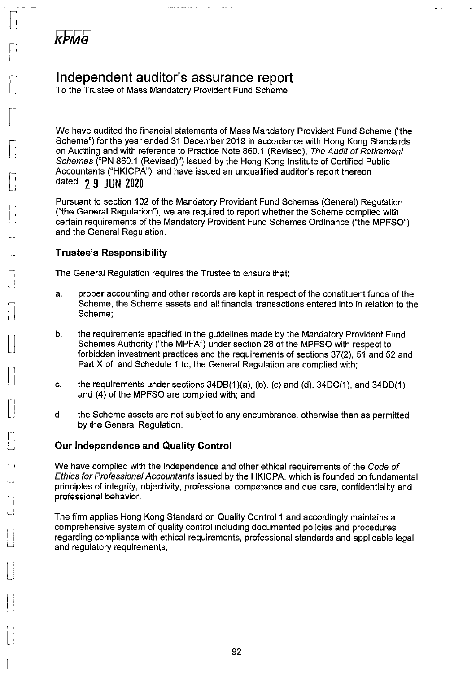

## Independent auditor's assurance report

المساوية والمرواة والمحافظ للمصادر

To the Trustee of Mass Mandatory Provident Fund Scheme

We have audited the financial statements of Mass Mandatory Provident Fund Scheme ("the Scheme") for the year ended 31 December 2019 in accordance with Hong Kong Standards on Auditing and with reference to Practice Note 860.1 (Revised), The Audit of Retirement Schemes ("PN 860.1 (Revised)") issued by the Hong Kong Institute of Certified Public Accountants ("HKICPA"), and have issued an unqualified auditor's report thereon dated 2 9 JUN 2020

ووار ووارد المتابعة فالمتابع الصطفية

Pursuant to section 102 of the Mandatory Provident Fund Schemes (General) Requiation ("the General Regulation"), we are required to report whether the Scheme complied with certain requirements of the Mandatory Provident Fund Schemes Ordinance ("the MPFSO") and the General Regulation.

#### **Trustee's Responsibility**

The General Regulation requires the Trustee to ensure that:

- proper accounting and other records are kept in respect of the constituent funds of the a. Scheme, the Scheme assets and all financial transactions entered into in relation to the Scheme:
- the requirements specified in the quidelines made by the Mandatory Provident Fund  $b.$ Schemes Authority ("the MPFA") under section 28 of the MPFSO with respect to forbidden investment practices and the requirements of sections 37(2), 51 and 52 and Part X of, and Schedule 1 to, the General Regulation are complied with:
- c. the requirements under sections  $34DB(1)(a)$ , (b), (c) and (d),  $34DC(1)$ , and  $34DD(1)$ and (4) of the MPFSO are complied with; and
- the Scheme assets are not subject to any encumbrance, otherwise than as permitted d. by the General Regulation.

#### **Our Independence and Quality Control**

We have complied with the independence and other ethical requirements of the Code of Ethics for Professional Accountants issued by the HKICPA, which is founded on fundamental principles of integrity, objectivity, professional competence and due care, confidentiality and professional behavior.

The firm applies Hong Kong Standard on Quality Control 1 and accordingly maintains a comprehensive system of quality control including documented policies and procedures regarding compliance with ethical requirements, professional standards and applicable legal and regulatory requirements.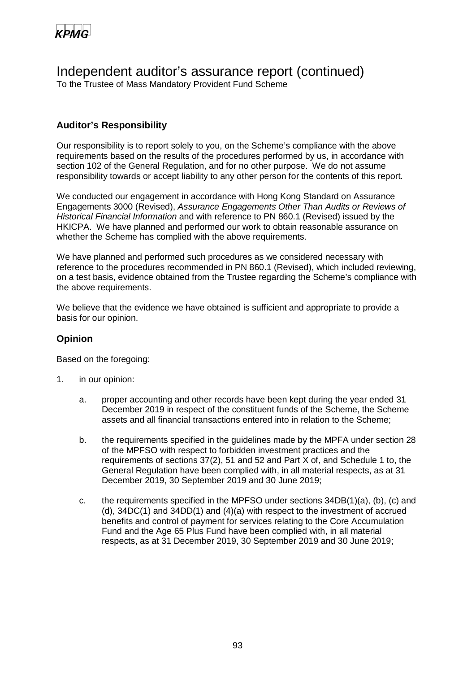

### Independent auditor's assurance report (continued)

To the Trustee of Mass Mandatory Provident Fund Scheme

#### **Auditor's Responsibility**

Our responsibility is to report solely to you, on the Scheme's compliance with the above requirements based on the results of the procedures performed by us, in accordance with section 102 of the General Regulation, and for no other purpose. We do not assume responsibility towards or accept liability to any other person for the contents of this report.

We conducted our engagement in accordance with Hong Kong Standard on Assurance Engagements 3000 (Revised), *Assurance Engagements Other Than Audits or Reviews of Historical Financial Information* and with reference to PN 860.1 (Revised) issued by the HKICPA. We have planned and performed our work to obtain reasonable assurance on whether the Scheme has complied with the above requirements.

We have planned and performed such procedures as we considered necessary with reference to the procedures recommended in PN 860.1 (Revised), which included reviewing, on a test basis, evidence obtained from the Trustee regarding the Scheme's compliance with the above requirements.

We believe that the evidence we have obtained is sufficient and appropriate to provide a basis for our opinion.

#### **Opinion**

Based on the foregoing:

- 1. in our opinion:
	- a. proper accounting and other records have been kept during the year ended 31 December 2019 in respect of the constituent funds of the Scheme, the Scheme assets and all financial transactions entered into in relation to the Scheme;
	- b. the requirements specified in the guidelines made by the MPFA under section 28 of the MPFSO with respect to forbidden investment practices and the requirements of sections 37(2), 51 and 52 and Part X of, and Schedule 1 to, the General Regulation have been complied with, in all material respects, as at 31 December 2019, 30 September 2019 and 30 June 2019;
	- c. the requirements specified in the MPFSO under sections 34DB(1)(a), (b), (c) and (d), 34DC(1) and 34DD(1) and (4)(a) with respect to the investment of accrued benefits and control of payment for services relating to the Core Accumulation Fund and the Age 65 Plus Fund have been complied with, in all material respects, as at 31 December 2019, 30 September 2019 and 30 June 2019;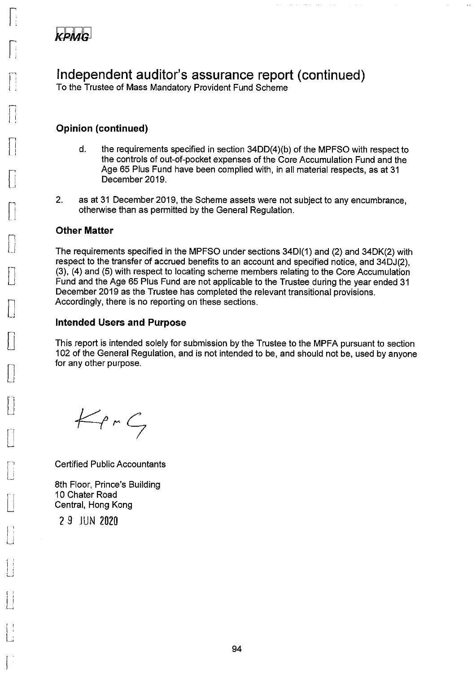

Independent auditor's assurance report (continued)

To the Trustee of Mass Mandatory Provident Fund Scheme

#### **Opinion (continued)**

 $\mathsf{d}$ . the requirements specified in section 34DD(4)(b) of the MPFSO with respect to the controls of out-of-pocket expenses of the Core Accumulation Fund and the Age 65 Plus Fund have been complied with, in all material respects, as at 31 December 2019.

 $\mathcal{L}_{\mathcal{F}}$  , and  $\mathcal{L}_{\mathcal{F}}$ 

 $\sim$  and  $\sim$   $\sim$ 

 $2.$ as at 31 December 2019, the Scheme assets were not subject to any encumbrance, otherwise than as permitted by the General Regulation.

#### **Other Matter**

The requirements specified in the MPFSO under sections 34D(1) and (2) and 34DK(2) with respect to the transfer of accrued benefits to an account and specified notice, and 34DJ(2). (3), (4) and (5) with respect to locating scheme members relating to the Core Accumulation Fund and the Age 65 Plus Fund are not applicable to the Trustee during the year ended 31 December 2019 as the Trustee has completed the relevant transitional provisions. Accordingly, there is no reporting on these sections.

#### **Intended Users and Purpose**

This report is intended solely for submission by the Trustee to the MPFA pursuant to section 102 of the General Regulation, and is not intended to be, and should not be, used by anyone for any other purpose.

 $KprG$ 

**Certified Public Accountants** 

8th Floor, Prince's Building 10 Chater Road Central, Hong Kong

2 9 JUN 2020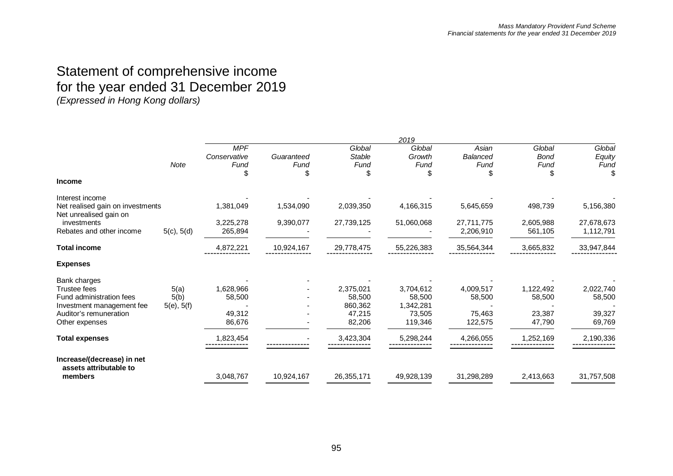### Statement of comprehensive income for the year ended 31 December 2019 *(Expressed in Hong Kong dollars)*

|                                                            |             |                                          |                         |                                 | 2019                     |                           |                               |                          |
|------------------------------------------------------------|-------------|------------------------------------------|-------------------------|---------------------------------|--------------------------|---------------------------|-------------------------------|--------------------------|
|                                                            | <b>Note</b> | <b>MPF</b><br>Conservative<br>Fund<br>\$ | Guaranteed<br>Fund<br>S | Global<br><b>Stable</b><br>Fund | Global<br>Growth<br>Fund | Asian<br>Balanced<br>Fund | Global<br><b>Bond</b><br>Fund | Global<br>Equity<br>Fund |
| <b>Income</b>                                              |             |                                          |                         |                                 |                          |                           |                               |                          |
| Interest income                                            |             |                                          |                         |                                 |                          |                           |                               |                          |
| Net realised gain on investments<br>Net unrealised gain on |             | 1,381,049                                | 1,534,090               | 2,039,350                       | 4,166,315                | 5,645,659                 | 498,739                       | 5,156,380                |
| investments                                                |             | 3,225,278                                | 9,390,077               | 27,739,125                      | 51,060,068               | 27,711,775                | 2,605,988                     | 27,678,673               |
| Rebates and other income                                   | 5(c), 5(d)  | 265,894                                  |                         |                                 |                          | 2,206,910                 | 561,105                       | 1,112,791                |
| <b>Total income</b>                                        |             | 4,872,221                                | 10,924,167              | 29,778,475                      | 55,226,383               | 35,564,344                | 3,665,832                     | 33,947,844               |
| <b>Expenses</b>                                            |             |                                          |                         |                                 |                          |                           |                               |                          |
| Bank charges                                               |             |                                          |                         |                                 |                          |                           |                               |                          |
| Trustee fees                                               | 5(a)        | 1,628,966                                |                         | 2,375,021                       | 3,704,612                | 4,009,517                 | 1,122,492                     | 2,022,740                |
| Fund administration fees<br>Investment management fee      | 5(b)        | 58,500                                   |                         | 58,500<br>860.362               | 58.500<br>1,342,281      | 58,500                    | 58,500                        | 58,500                   |
| Auditor's remuneration                                     | 5(e), 5(f)  | 49,312                                   |                         | 47,215                          | 73,505                   | 75,463                    | 23,387                        | 39,327                   |
| Other expenses                                             |             | 86,676                                   |                         | 82,206                          | 119,346                  | 122,575                   | 47,790                        | 69,769                   |
| <b>Total expenses</b>                                      |             | 1,823,454                                |                         | 3,423,304                       | 5,298,244                | 4,266,055                 | 1,252,169                     | 2,190,336                |
| Increase/(decrease) in net<br>assets attributable to       |             |                                          |                         |                                 |                          |                           |                               |                          |
| members                                                    |             | 3,048,767                                | 10,924,167              | 26,355,171                      | 49,928,139               | 31,298,289                | 2,413,663                     | 31,757,508               |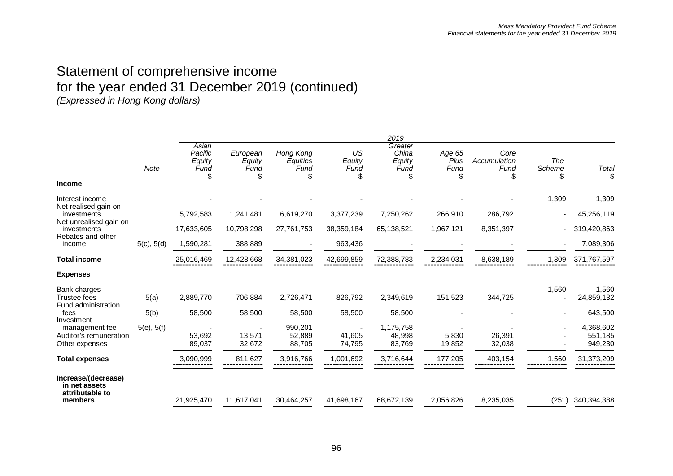### Statement of comprehensive income for the year ended 31 December 2019 (continued) *(Expressed in Hong Kong dollars)*

*2019 Note Asian Pacific Equity Fund European Equity Fund Hong Kong Equities Fund US Equity Fund Greater China Equity Fund Age 65 Plus Fund Core Accumulation Fund The Scheme Total* \$ \$ \$ \$ \$ \$ \$ \$ \$ **Income** Interest income - - - - - - - 1,309 1,309 Net realised gain on<br>investments investments 5,792,583 1,241,481 6,619,270 3,377,239 7,250,262 266,910 286,792 - 45,256,119 Net unrealised gain on<br>investments investments 17,633,605 10,798,298 27,761,753 38,359,184 65,138,521 1,967,121 8,351,397 - 319,420,863 Rebates and other<br>income income 5(c), 5(d) 1,590,281 388,889 - 963,436 - - - 7,089,306 **Total income** 25,016,469 12,428,668 34,381,023 42,699,859 72,388,783 2,234,031 8,638,189 1,309 371,767,597 ------------- ------------- ------------- ------------- ------------- ------------- ------------- ------------- ------------- **Expenses** Bank charges - - - - - - - 1,560 1,560 Trustee fees 5(a) 2,889,770 706,884 2,726,471 826,792 2,349,619 151,523 344,725 - 24,859,132 Fund administration fees 5(b) 58,500 58,500 58,500 58,500 58,500 - - - 643,500 Investment<br>management fee management fee 5(e), 5(f) - - 990,201 - 1,175,758 - - 4,368,602 Auditor's remuneration and the control to the state of the state of the state of the state of the state of the<br>Cther expenses and the state of the state of the state of the state of the state of the state of the state of<br> Other expenses 89,037 32,672 88,705 74,795 83,769 19,852 32,038 - 949,230 **Total expenses** 3,090,999 811,627 3,916,766 1,001,692 3,716,644 177,205 403,154 1,560 31,373,209 ------------- ------------- ------------- ------------- ------------- ------------- ------------- ------------- ------------- **Increase/(decrease) in net assets attributable to members** 21,925,470 11,617,041 30,464,257 41,698,167 68,672,139 2,056,826 8,235,035 (251) 340,394,388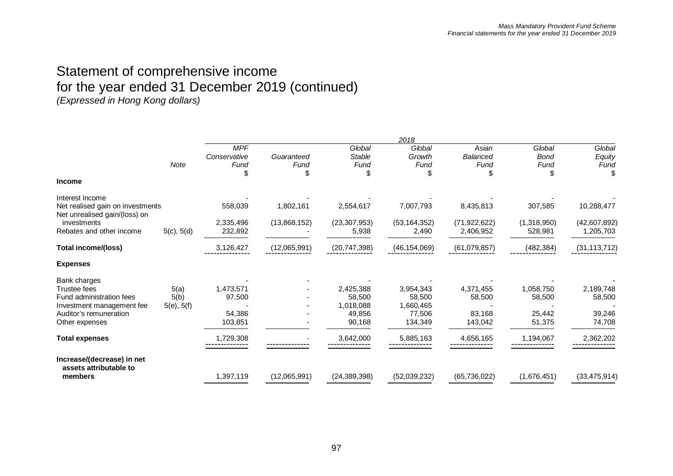### Statement of comprehensive income for the year ended 31 December 2019 (continued) *(Expressed in Hong Kong dollars)*

|                                                                   |             |                                         |                         |                                 | 2018                     |                           |                               |                          |
|-------------------------------------------------------------------|-------------|-----------------------------------------|-------------------------|---------------------------------|--------------------------|---------------------------|-------------------------------|--------------------------|
|                                                                   | <b>Note</b> | <b>MPF</b><br>Conservative<br>Fund<br>S | Guaranteed<br>Fund<br>S | Global<br><b>Stable</b><br>Fund | Global<br>Growth<br>Fund | Asian<br>Balanced<br>Fund | Global<br><b>Bond</b><br>Fund | Global<br>Equity<br>Fund |
| <b>Income</b>                                                     |             |                                         |                         |                                 |                          |                           |                               |                          |
| Interest income                                                   |             |                                         |                         |                                 |                          |                           |                               |                          |
| Net realised gain on investments<br>Net unrealised gain/(loss) on |             | 558,039                                 | 1,802,161               | 2,554,617                       | 7,007,793                | 8,435,813                 | 307,585                       | 10,288,477               |
| investments                                                       |             | 2,335,496                               | (13,868,152)            | (23, 307, 953)                  | (53, 164, 352)           | (71, 922, 622)            | (1,318,950)                   | (42,607,892)             |
| Rebates and other income                                          | 5(c), 5(d)  | 232,892                                 |                         | 5,938                           | 2,490                    | 2,406,952                 | 528,981                       | 1,205,703                |
| <b>Total income/(loss)</b>                                        |             | 3,126,427                               | (12,065,991)            | (20, 747, 398)                  | (46, 154, 069)           | (61,079,857)              | (482, 384)                    | (31, 113, 712)           |
| <b>Expenses</b>                                                   |             |                                         |                         |                                 |                          |                           |                               |                          |
| Bank charges                                                      |             |                                         |                         |                                 |                          |                           |                               |                          |
| <b>Trustee fees</b>                                               | 5(a)        | 1,473,571                               |                         | 2,425,388                       | 3,954,343                | 4,371,455                 | 1,058,750                     | 2,189,748                |
| Fund administration fees                                          | 5(b)        | 97,500                                  |                         | 58,500                          | 58,500                   | 58,500                    | 58,500                        | 58,500                   |
| Investment management fee<br>Auditor's remuneration               | 5(e), 5(f)  | 54,386                                  |                         | 1,018,088<br>49,856             | 1,660,465<br>77,506      | 83,168                    | 25,442                        | 39,246                   |
| Other expenses                                                    |             | 103,851                                 |                         | 90,168                          | 134,349                  | 143,042                   | 51,375                        | 74,708                   |
| <b>Total expenses</b>                                             |             | 1,729,308                               |                         | 3,642,000                       | 5,885,163                | 4,656,165                 | 1,194,067                     | 2,362,202                |
| Increase/(decrease) in net<br>assets attributable to              |             |                                         |                         |                                 |                          |                           |                               |                          |
| members                                                           |             | 1,397,119                               | (12,065,991)            | (24, 389, 398)                  | (52,039,232)             | (65, 736, 022)            | (1,676,451)                   | (33, 475, 914)           |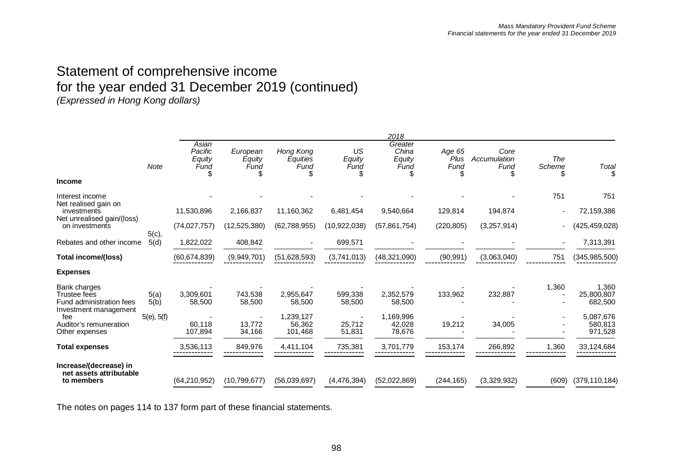### Statement of comprehensive income for the year ended 31 December 2019 (continued) *(Expressed in Hong Kong dollars)*

*2018 Note Asian Pacific Equity Fund European Equity Fund Hong Kong Equities Fund US Equity Fund Greater China Equity Fund Age 65 Plus Fund Core Accumulation Fund The Scheme Total* \$ \$ \$ \$ \$ \$ \$ \$ \$ **Income** Interest income and the set of the set of the set of the set of the set of the set of the set of the set of the set of the set of the set of the set of the set of the set of the set of the set of the set of the set of the Net realised gain on<br>investments investments 11,530,896 2,166,837 11,160,362 6,481,454 9,540,664 129,814 194,874 - 72,159,386 Net unrealised gain/(loss)<br>on investments on investments (74,027,757) (12,525,380) (62,788,955) (10,922,038) (57,861,754) (220,805) (3,257,914) - (425,459,028) Rebates and other income  $5(c),$ <br> $5(d)$ 5(d) 1,822,022 408,842 - 699,571 - - - - 7,313,391 **Total income/(loss)** (60,674,839) (9,949,701) (51,628,593) (3,741,013) (48,321,090) (90,991) (3,063,040) <sup>751</sup> (345,985,500) ------------- ------------- ------------- ------------- ------------- ------------- ------------- ------------- ------------- **Expenses** Bank charges - - - - - - - 1,360 1,360 Trustee fees 5(a) 3,309,601 743,538 2,955,647 599,338 2,352,579 133,962 232,887 - 25,800,807 Fund administration fees 5(b) 58,500 58,500 58,500 58,500 58,500 - - - 682,500 Investment management fee 5(e), 5(f) - - 1,239,127 - 1,169,996 - - - 5,087,676 Auditor's remuneration and increase the control of the control of the control of the control of the control of<br>Cther expenses control of the control of the control of the control of the control of the control of the contr<br> Other expenses 107,894 34,166 101,468 51,831 78,676 - - 971,528 **Total expenses** 3,536,113 849,976 4,411,104 735,381 3,701,779 153,174 266,892 1,360 33,124,684 ------------- ------------- ------------- ------------- ------------- ------------- ------------- ------------- ------------- **Increase/(decrease) in net assets attributable to members** (64,210,952) (10,799,677) (56,039,697) (4,476,394) (52,022,869) (244,165) (3,329,932) (609) (379,110,184)

The notes on pages 114 to 137 form part of these financial statements.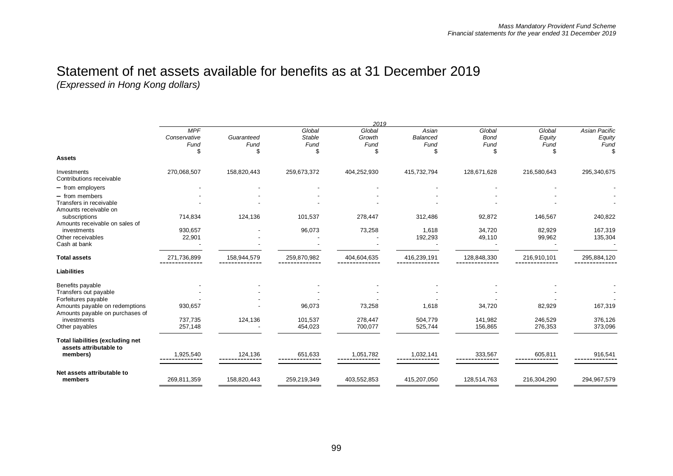|                                                                        |                                    |                    |                                 | 2019                     |                                        |                               |                                |                                        |
|------------------------------------------------------------------------|------------------------------------|--------------------|---------------------------------|--------------------------|----------------------------------------|-------------------------------|--------------------------------|----------------------------------------|
|                                                                        | <b>MPF</b><br>Conservative<br>Fund | Guaranteed<br>Fund | Global<br><b>Stable</b><br>Fund | Global<br>Growth<br>Fund | Asian<br><b>Balanced</b><br>Fund<br>\$ | Global<br><b>Bond</b><br>Fund | Global<br>Equity<br>Fund<br>\$ | <b>Asian Pacific</b><br>Equity<br>Fund |
| <b>Assets</b>                                                          |                                    |                    |                                 |                          |                                        |                               |                                |                                        |
| Investments<br>Contributions receivable                                | 270,068,507                        | 158,820,443        | 259,673,372                     | 404,252,930              | 415,732,794                            | 128,671,628                   | 216,580,643                    | 295,340,675                            |
| - from employers                                                       |                                    |                    |                                 |                          |                                        |                               |                                |                                        |
| $-$ from members<br>Transfers in receivable<br>Amounts receivable on   |                                    |                    |                                 |                          |                                        |                               |                                |                                        |
| subscriptions<br>Amounts receivable on sales of                        | 714,834                            | 124,136            | 101,537                         | 278,447                  | 312,486                                | 92,872                        | 146,567                        | 240,822                                |
| investments<br>Other receivables<br>Cash at bank                       | 930,657<br>22,901                  |                    | 96,073                          | 73,258                   | 1,618<br>192,293                       | 34,720<br>49,110              | 82,929<br>99,962               | 167,319<br>135,304                     |
| <b>Total assets</b>                                                    | 271,736,899                        | 158,944,579        | 259,870,982                     | 404,604,635              | 416,239,191                            | 128,848,330                   | 216,910,101                    | 295,884,120                            |
| <b>Liabilities</b>                                                     |                                    |                    |                                 |                          |                                        |                               |                                |                                        |
| Benefits payable<br>Transfers out payable<br>Forfeitures payable       |                                    |                    |                                 |                          |                                        |                               |                                |                                        |
| Amounts payable on redemptions<br>Amounts payable on purchases of      | 930,657                            |                    | 96,073                          | 73,258                   | 1,618                                  | 34,720                        | 82,929                         | 167,319                                |
| investments<br>Other payables                                          | 737,735<br>257,148                 | 124,136            | 101,537<br>454,023              | 278,447<br>700,077       | 504,779<br>525,744                     | 141,982<br>156,865            | 246,529<br>276,353             | 376,126<br>373,096                     |
| Total liabilities (excluding net<br>assets attributable to<br>members) | 1,925,540<br>-----------           | 124,136            | 651,633                         | 1,051,782                | 1,032,141                              | 333,567                       | 605,811                        | 916,541                                |
| Net assets attributable to<br>members                                  | 269,811,359                        | 158,820,443        | 259,219,349                     | 403,552,853              | 415,207,050                            | 128,514,763                   | 216,304,290                    | 294,967,579                            |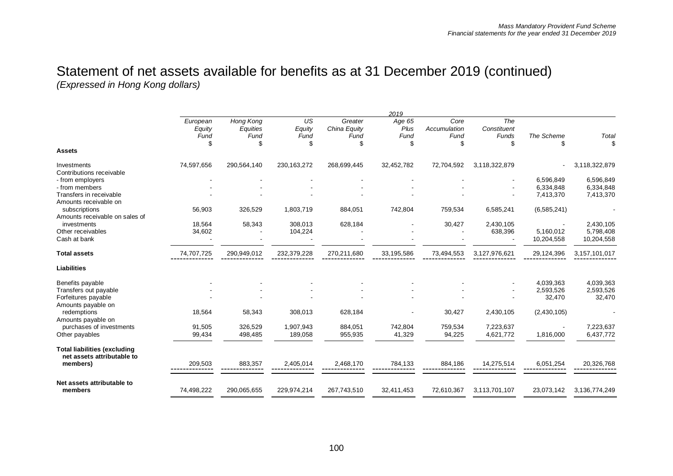|                                                                    |                                  |                                     |                            |                                       | 2019                         |                                   |                                   |                   |                        |
|--------------------------------------------------------------------|----------------------------------|-------------------------------------|----------------------------|---------------------------------------|------------------------------|-----------------------------------|-----------------------------------|-------------------|------------------------|
|                                                                    | European<br>Equity<br>Fund<br>\$ | Hong Kong<br>Equities<br>Fund<br>\$ | US<br>Equity<br>Fund<br>\$ | Greater<br>China Equity<br>Fund<br>\$ | Age 65<br>Plus<br>Fund<br>\$ | Core<br>Accumulation<br>Fund<br>S | The<br>Constituent<br>Funds<br>\$ | The Scheme<br>\$. | Total<br>\$            |
| <b>Assets</b>                                                      |                                  |                                     |                            |                                       |                              |                                   |                                   |                   |                        |
| Investments<br>Contributions receivable                            | 74,597,656                       | 290,564,140                         | 230, 163, 272              | 268,699,445                           | 32,452,782                   | 72,704,592                        | 3,118,322,879                     |                   | 3,118,322,879          |
| - from employers                                                   |                                  |                                     |                            |                                       |                              |                                   |                                   | 6,596,849         | 6,596,849              |
| - from members                                                     |                                  |                                     |                            |                                       |                              |                                   |                                   | 6,334,848         | 6,334,848              |
| Transfers in receivable<br>Amounts receivable on                   |                                  |                                     |                            |                                       |                              |                                   |                                   | 7,413,370         | 7,413,370              |
| subscriptions                                                      | 56,903                           | 326,529                             | 1,803,719                  | 884,051                               | 742,804                      | 759,534                           | 6,585,241                         | (6, 585, 241)     |                        |
| Amounts receivable on sales of<br>investments<br>Other receivables | 18,564<br>34,602                 | 58,343                              | 308,013<br>104,224         | 628,184                               |                              | 30,427                            | 2,430,105<br>638,396              | 5,160,012         | 2,430,105<br>5,798,408 |
| Cash at bank                                                       |                                  |                                     |                            |                                       |                              |                                   |                                   | 10,204,558        | 10,204,558             |
| <b>Total assets</b>                                                | 74,707,725                       | 290,949,012                         | 232,379,228                | 270,211,680                           | 33, 195, 586                 | 73,494,553                        | 3,127,976,621                     | 29,124,396        | 3,157,101,017          |
| <b>Liabilities</b>                                                 |                                  |                                     |                            |                                       |                              |                                   |                                   |                   |                        |
| Benefits payable                                                   |                                  |                                     |                            |                                       |                              |                                   |                                   | 4,039,363         | 4,039,363              |
| Transfers out payable                                              |                                  |                                     |                            |                                       |                              |                                   |                                   | 2,593,526         | 2,593,526              |
| Forfeitures payable                                                |                                  |                                     |                            |                                       |                              |                                   |                                   | 32,470            | 32,470                 |
| Amounts payable on<br>redemptions                                  | 18,564                           | 58,343                              | 308,013                    | 628,184                               |                              | 30,427                            | 2,430,105                         | (2,430,105)       |                        |
| Amounts payable on                                                 |                                  |                                     |                            |                                       |                              |                                   |                                   |                   |                        |
| purchases of investments<br>Other payables                         | 91,505<br>99,434                 | 326,529<br>498,485                  | 1,907,943<br>189,058       | 884,051<br>955,935                    | 742,804<br>41,329            | 759,534<br>94,225                 | 7,223,637<br>4,621,772            | 1,816,000         | 7,223,637<br>6,437,772 |
| <b>Total liabilities (excluding</b><br>net assets attributable to  |                                  |                                     |                            |                                       |                              |                                   |                                   |                   |                        |
| members)                                                           | 209,503                          | 883,357                             | 2,405,014                  | 2,468,170                             | 784,133                      | 884,186                           | 14,275,514                        | 6,051,254         | 20,326,768             |
| Net assets attributable to                                         |                                  |                                     |                            |                                       |                              |                                   |                                   |                   |                        |
| members                                                            | 74,498,222                       | 290,065,655                         | 229,974,214                | 267,743,510                           | 32,411,453                   | 72,610,367                        | 3,113,701,107                     | 23,073,142        | 3,136,774,249          |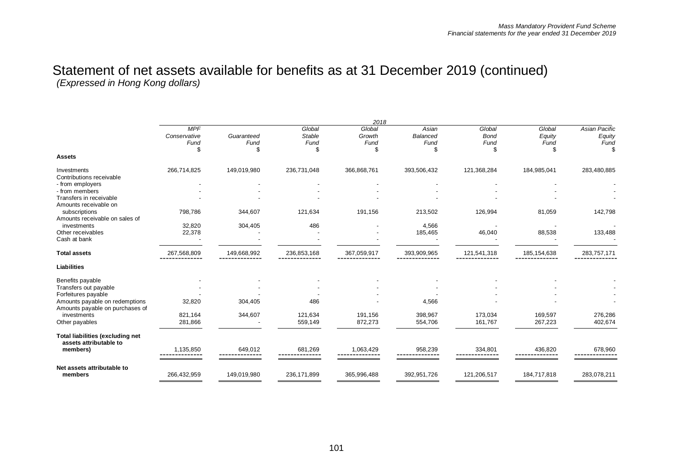|                                                                   |                                    |                         |                                 | 2018                           |                                       |                                    |                          |                                              |
|-------------------------------------------------------------------|------------------------------------|-------------------------|---------------------------------|--------------------------------|---------------------------------------|------------------------------------|--------------------------|----------------------------------------------|
|                                                                   | <b>MPF</b><br>Conservative<br>Fund | Guaranteed<br>Fund<br>S | Global<br><b>Stable</b><br>Fund | Global<br>Growth<br>Fund<br>\$ | Asian<br><b>Balanced</b><br>Fund<br>S | Global<br><b>Bond</b><br>Fund<br>S | Global<br>Equity<br>Fund | <b>Asian Pacific</b><br>Equity<br>Fund<br>.T |
| <b>Assets</b>                                                     |                                    |                         |                                 |                                |                                       |                                    |                          |                                              |
| Investments                                                       | 266,714,825                        | 149,019,980             | 236,731,048                     | 366,868,761                    | 393,506,432                           | 121,368,284                        | 184,985,041              | 283,480,885                                  |
| Contributions receivable                                          |                                    |                         |                                 |                                |                                       |                                    |                          |                                              |
| - from employers                                                  |                                    |                         |                                 |                                |                                       |                                    |                          |                                              |
| - from members                                                    |                                    |                         |                                 |                                |                                       |                                    |                          |                                              |
| Transfers in receivable<br>Amounts receivable on                  |                                    |                         |                                 |                                |                                       |                                    |                          |                                              |
| subscriptions<br>Amounts receivable on sales of                   | 798,786                            | 344,607                 | 121,634                         | 191,156                        | 213,502                               | 126,994                            | 81,059                   | 142,798                                      |
| investments                                                       | 32,820                             | 304,405                 | 486                             |                                | 4,566                                 |                                    |                          |                                              |
| Other receivables                                                 | 22,378                             |                         |                                 |                                | 185,465                               | 46,040                             | 88,538                   | 133,488                                      |
| Cash at bank                                                      |                                    |                         |                                 |                                |                                       |                                    |                          |                                              |
| <b>Total assets</b>                                               | 267,568,809                        | 149,668,992             | 236,853,168                     | 367,059,917                    | 393,909,965                           | 121,541,318                        | 185, 154, 638            | 283,757,171                                  |
| <b>Liabilities</b>                                                |                                    |                         |                                 |                                |                                       |                                    |                          |                                              |
| Benefits payable                                                  |                                    |                         |                                 |                                |                                       |                                    |                          |                                              |
| Transfers out payable<br>Forfeitures payable                      |                                    |                         |                                 |                                |                                       |                                    |                          |                                              |
| Amounts payable on redemptions<br>Amounts payable on purchases of | 32,820                             | 304,405                 | 486                             |                                | 4,566                                 |                                    |                          |                                              |
| investments                                                       | 821,164                            | 344,607                 | 121.634                         | 191,156                        | 398,967                               | 173,034                            | 169,597                  | 276,286                                      |
| Other payables                                                    | 281,866                            |                         | 559,149                         | 872,273                        | 554,706                               | 161,767                            | 267,223                  | 402,674                                      |
| <b>Total liabilities (excluding net</b><br>assets attributable to |                                    |                         |                                 |                                |                                       |                                    |                          |                                              |
| members)                                                          | 1,135,850                          | 649,012                 | 681,269                         | 1,063,429                      | 958,239                               | 334,801                            | 436,820                  | 678,960                                      |
| Net assets attributable to                                        |                                    |                         |                                 |                                |                                       |                                    |                          |                                              |
| members                                                           | 266,432,959                        | 149,019,980             | 236,171,899                     | 365,996,488                    | 392,951,726                           | 121,206,517                        | 184,717,818              | 283,078,211                                  |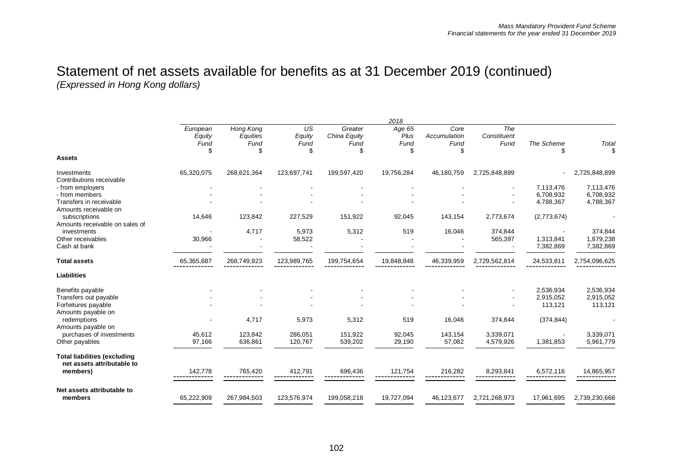|                                                                   |                            |                               |                      |                                 | 2018                   |                              |                            |                        |                        |
|-------------------------------------------------------------------|----------------------------|-------------------------------|----------------------|---------------------------------|------------------------|------------------------------|----------------------------|------------------------|------------------------|
|                                                                   | European<br>Equity<br>Fund | Hong Kong<br>Equities<br>Fund | US<br>Equity<br>Fund | Greater<br>China Equity<br>Fund | Age 65<br>Plus<br>Fund | Core<br>Accumulation<br>Fund | The<br>Constituent<br>Fund | The Scheme             | Total                  |
| <b>Assets</b>                                                     | \$                         | \$                            | \$                   | \$                              | S                      | \$                           |                            | \$                     | \$                     |
| Investments<br>Contributions receivable                           | 65,320,075                 | 268,621,364                   | 123,697,741          | 199,597,420                     | 19,756,284             | 46,180,759                   | 2,725,848,899              |                        | 2,725,848,899          |
| - from employers                                                  |                            |                               |                      |                                 |                        |                              |                            | 7,113,476              | 7,113,476              |
| - from members                                                    |                            |                               |                      |                                 |                        |                              |                            | 6,708,932              | 6,708,932              |
| Transfers in receivable<br>Amounts receivable on                  |                            |                               |                      |                                 |                        |                              |                            | 4,788,367              | 4,788,367              |
| subscriptions                                                     | 14,646                     | 123,842                       | 227,529              | 151,922                         | 92,045                 | 143,154                      | 2,773,674                  | (2,773,674)            |                        |
| Amounts receivable on sales of<br>investments                     |                            | 4,717                         | 5,973                | 5,312                           | 519                    | 16,046                       | 374,844                    |                        | 374,844                |
| Other receivables<br>Cash at bank                                 | 30,966                     |                               | 58,522               |                                 |                        |                              | 565,397                    | 1,313,841<br>7,382,869 | 1,879,238<br>7,382,869 |
| <b>Total assets</b>                                               | 65,365,687                 | 268,749,923                   | 123,989,765          | 199,754,654                     | 19,848,848             | 46,339,959                   | 2,729,562,814              | 24,533,811             | 2,754,096,625          |
| <b>Liabilities</b>                                                |                            |                               |                      |                                 |                        |                              |                            |                        |                        |
| Benefits payable                                                  |                            |                               |                      |                                 |                        |                              |                            | 2,536,934              | 2,536,934              |
| Transfers out payable                                             |                            |                               |                      |                                 |                        |                              |                            | 2,915,052              | 2,915,052              |
| Forfeitures payable                                               |                            |                               |                      |                                 |                        |                              |                            | 113,121                | 113,121                |
| Amounts payable on                                                |                            |                               |                      |                                 |                        |                              |                            |                        |                        |
| redemptions                                                       |                            | 4,717                         | 5,973                | 5,312                           | 519                    | 16,046                       | 374,844                    | (374, 844)             |                        |
| Amounts payable on                                                | 45,612                     | 123,842                       | 286,051              | 151,922                         | 92,045                 | 143,154                      | 3,339,071                  |                        | 3,339,071              |
| purchases of investments<br>Other payables                        | 97,166                     | 636,861                       | 120,767              | 539,202                         | 29,190                 | 57,082                       | 4,579,926                  | 1,381,853              | 5,961,779              |
| <b>Total liabilities (excluding</b><br>net assets attributable to |                            |                               |                      |                                 |                        |                              |                            |                        |                        |
| members)                                                          | 142.778                    | 765,420                       | 412,791              | 696,436                         | 121.754                | 216,282                      | 8.293.841                  | 6,572,116              | 14.865.957             |
| Net assets attributable to                                        |                            |                               |                      |                                 |                        |                              |                            |                        |                        |
| members                                                           | 65,222,909                 | 267,984,503                   | 123,576,974          | 199,058,218                     | 19,727,094             | 46,123,677                   | 2,721,268,973              | 17,961,695             | 2,739,230,668          |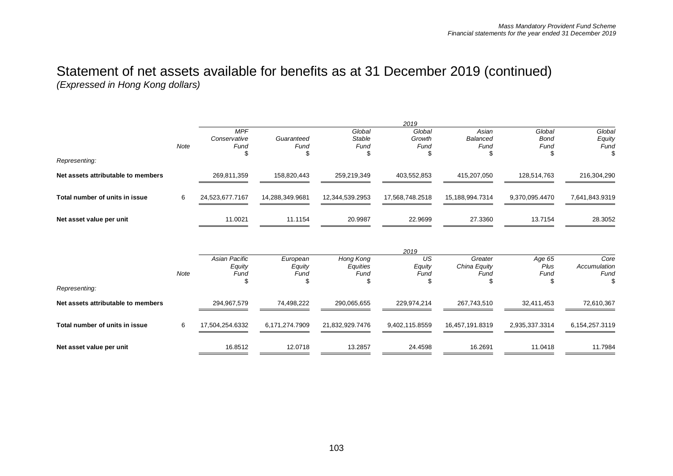|                                    |      |                 |                 |                 | 2019            |                 |                |                |
|------------------------------------|------|-----------------|-----------------|-----------------|-----------------|-----------------|----------------|----------------|
|                                    |      | <b>MPF</b>      |                 | Global          | Global          | Asian           | Global         | Global         |
|                                    |      | Conservative    | Guaranteed      | Stable          | Growth          | Balanced        | <b>Bond</b>    | Equity         |
|                                    | Note | Fund            | Fund            | Fund            | Fund            | Fund            | Fund           | Fund           |
|                                    |      |                 |                 | Æ               | D               | S               |                | \$             |
| Representing:                      |      |                 |                 |                 |                 |                 |                |                |
| Net assets attributable to members |      | 269,811,359     | 158,820,443     | 259.219.349     | 403,552,853     | 415,207,050     | 128,514,763    | 216,304,290    |
|                                    |      |                 |                 |                 |                 |                 |                |                |
| Total number of units in issue     | 6    | 24,523,677.7167 | 14,288,349.9681 | 12,344,539.2953 | 17,568,748.2518 | 15,188,994.7314 | 9.370.095.4470 | 7,641,843.9319 |
|                                    |      |                 |                 |                 |                 |                 |                |                |
| Net asset value per unit           |      | 11.0021         | 11.1154         | 20.9987         | 22.9699         | 27.3360         | 13.7154        | 28.3052        |
|                                    |      |                 |                 |                 |                 |                 |                |                |
|                                    |      |                 |                 |                 |                 |                 |                |                |

|                                    |      |                 |                |                 | 2019           |                 |                |                |
|------------------------------------|------|-----------------|----------------|-----------------|----------------|-----------------|----------------|----------------|
|                                    |      | Asian Pacific   | European       | Hong Kong       | US             | Greater         | Age 65         | Core           |
|                                    |      | Equity          | Equity         | Equities        | Equity         | China Equity    | Plus           | Accumulation   |
|                                    | Note | Fund            | Fund           | Fund            | Fund           | Fund            | Fund           | Fund           |
|                                    |      |                 |                |                 |                |                 |                |                |
| Representing:                      |      |                 |                |                 |                |                 |                |                |
| Net assets attributable to members |      | 294,967,579     | 74.498.222     | 290,065,655     | 229,974,214    | 267,743,510     | 32,411,453     | 72,610,367     |
|                                    |      |                 |                |                 |                |                 |                |                |
| Total number of units in issue     | 6    | 17,504,254.6332 | 6,171,274.7909 | 21,832,929.7476 | 9,402,115.8559 | 16,457,191.8319 | 2,935,337.3314 | 6,154,257.3119 |
|                                    |      |                 |                |                 |                |                 |                |                |
| Net asset value per unit           |      | 16.8512         | 12.0718        | 13.2857         | 24.4598        | 16.2691         | 11.0418        | 11.7984        |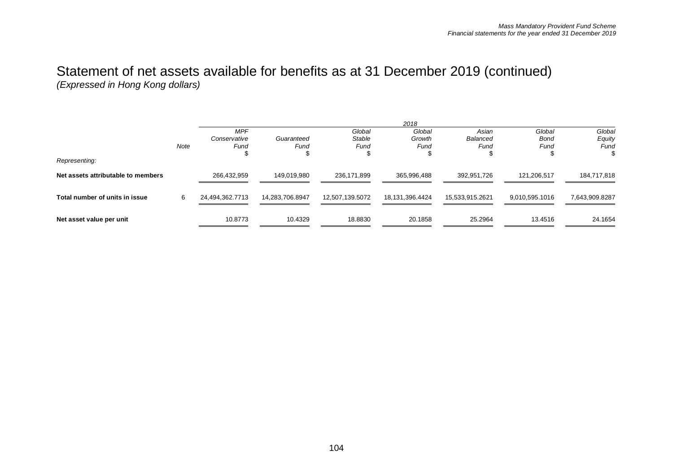|   | <b>MPF</b>      |                 |                 |                 |                 |                |                |
|---|-----------------|-----------------|-----------------|-----------------|-----------------|----------------|----------------|
|   |                 |                 | Global          | Global          | Asian           | Global         | Global         |
|   | Conservative    | Guaranteed      | <b>Stable</b>   | Growth          | Balanced        | Bond           | Equity         |
|   | Fund            | Fund            | Fund            | Fund            | Fund            | Fund           | Fund           |
|   |                 |                 |                 |                 |                 |                |                |
|   |                 |                 |                 |                 |                 |                |                |
|   | 266,432,959     | 149,019,980     | 236,171,899     | 365,996,488     | 392,951,726     | 121,206,517    | 184,717,818    |
|   |                 |                 |                 |                 |                 |                |                |
| 6 | 24,494,362.7713 | 14,283,706.8947 | 12,507,139.5072 | 18,131,396.4424 | 15,533,915.2621 | 9,010,595.1016 | 7,643,909.8287 |
|   |                 |                 |                 |                 |                 |                |                |
|   | 10.8773         | 10.4329         | 18.8830         | 20.1858         | 25.2964         | 13.4516        | 24.1654        |
|   | Note            |                 |                 |                 |                 |                |                |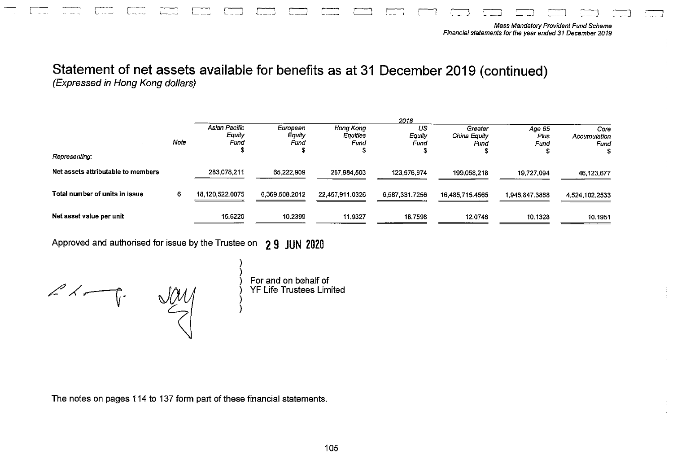|                                    |      | 2018                            |                            |                                      |                      |                                 |                        |                              |
|------------------------------------|------|---------------------------------|----------------------------|--------------------------------------|----------------------|---------------------------------|------------------------|------------------------------|
|                                    | Note | Asian Pacific<br>Equity<br>Fund | European<br>Equity<br>Fund | Hong Kong<br><b>Equities</b><br>Fund | US<br>Equity<br>Fund | Greater<br>China Equity<br>Fund | Age 65<br>Pius<br>Fund | Core<br>Accumulation<br>Fund |
| Representing:                      |      |                                 |                            |                                      |                      |                                 |                        |                              |
| Net assets attributable to members |      | 283,078,211                     | 65.222.909                 | 267,984,503                          | 123.576.974          | 199.058.218                     | 19.727.094             | 46, 123, 677                 |
| Total number of units in issue     | 6.   | 18,120,522,0075                 | 6.369.508.2012             | 22,457,911.0326                      | 6.587.331.7256       | 16,485,715,4565                 | 1,946,847,3868         | 4.524.102.2533               |
| Net asset value per unit           |      | 15.6220                         | 10.2399                    | 11.9327                              | 18.7598              | 12.0746                         | 10.1328                | 10.1951                      |

Approved and authorised for issue by the Trustee on 29 JUN 2020

 $\angle \leftarrow \leftarrow$ 

 $\frac{1}{2}$ 

) For and on behalf of<br>) YF Life Trustees Limited

The notes on pages 114 to 137 form part of these financial statements.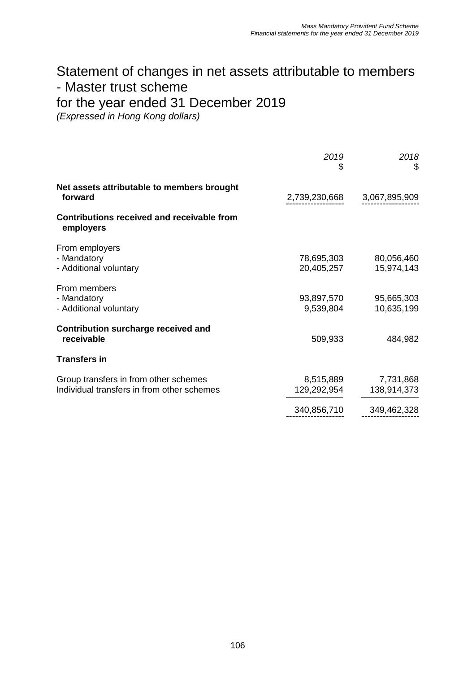## Statement of changes in net assets attributable to members - Master trust scheme for the year ended 31 December 2019

*(Expressed in Hong Kong dollars)*

|                                                                                     | 2019<br>\$               | 2018<br>\$               |
|-------------------------------------------------------------------------------------|--------------------------|--------------------------|
| Net assets attributable to members brought<br>forward                               | 2,739,230,668            | 3,067,895,909            |
| Contributions received and receivable from<br>employers                             |                          |                          |
| From employers<br>- Mandatory<br>- Additional voluntary                             | 78,695,303<br>20,405,257 | 80,056,460<br>15,974,143 |
| From members<br>- Mandatory<br>- Additional voluntary                               | 93,897,570<br>9,539,804  | 95,665,303<br>10,635,199 |
| <b>Contribution surcharge received and</b><br>receivable                            | 509,933                  | 484,982                  |
| <b>Transfers in</b>                                                                 |                          |                          |
| Group transfers in from other schemes<br>Individual transfers in from other schemes | 8,515,889<br>129,292,954 | 7,731,868<br>138,914,373 |
|                                                                                     | 340,856,710              | 349,462,328              |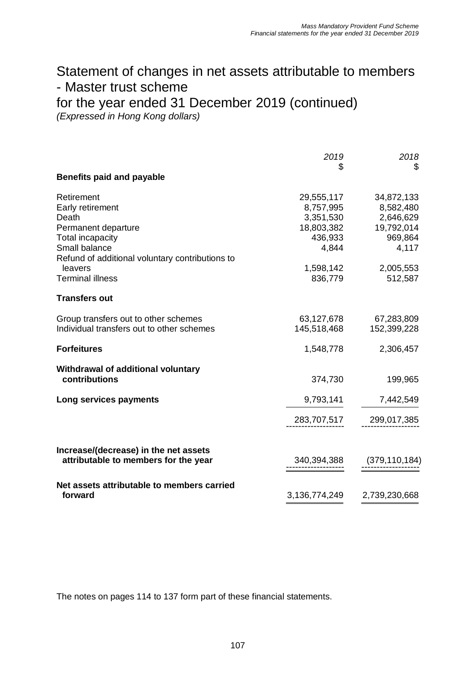## Statement of changes in net assets attributable to members - Master trust scheme for the year ended 31 December 2019 (continued)

*(Expressed in Hong Kong dollars)*

| <b>Benefits paid and payable</b>                                                                                                                                                             | 2019<br>\$                                                                                     | 2018<br>\$                                                                                     |
|----------------------------------------------------------------------------------------------------------------------------------------------------------------------------------------------|------------------------------------------------------------------------------------------------|------------------------------------------------------------------------------------------------|
| Retirement<br>Early retirement<br>Death<br>Permanent departure<br>Total incapacity<br>Small balance<br>Refund of additional voluntary contributions to<br>leavers<br><b>Terminal illness</b> | 29,555,117<br>8,757,995<br>3,351,530<br>18,803,382<br>436,933<br>4,844<br>1,598,142<br>836,779 | 34,872,133<br>8,582,480<br>2,646,629<br>19,792,014<br>969,864<br>4,117<br>2,005,553<br>512,587 |
| <b>Transfers out</b>                                                                                                                                                                         |                                                                                                |                                                                                                |
| Group transfers out to other schemes<br>Individual transfers out to other schemes                                                                                                            | 63,127,678<br>145,518,468                                                                      | 67,283,809<br>152,399,228                                                                      |
| <b>Forfeitures</b>                                                                                                                                                                           | 1,548,778                                                                                      | 2,306,457                                                                                      |
| Withdrawal of additional voluntary<br>contributions                                                                                                                                          | 374,730                                                                                        | 199,965                                                                                        |
| Long services payments                                                                                                                                                                       | 9,793,141<br>283,707,517                                                                       | 7,442,549<br>299,017,385                                                                       |
| Increase/(decrease) in the net assets<br>attributable to members for the year                                                                                                                | 340,394,388                                                                                    | (379, 110, 184)                                                                                |
| Net assets attributable to members carried<br>forward                                                                                                                                        | 3,136,774,249                                                                                  | 2,739,230,668                                                                                  |

The notes on pages 114 to 137 form part of these financial statements.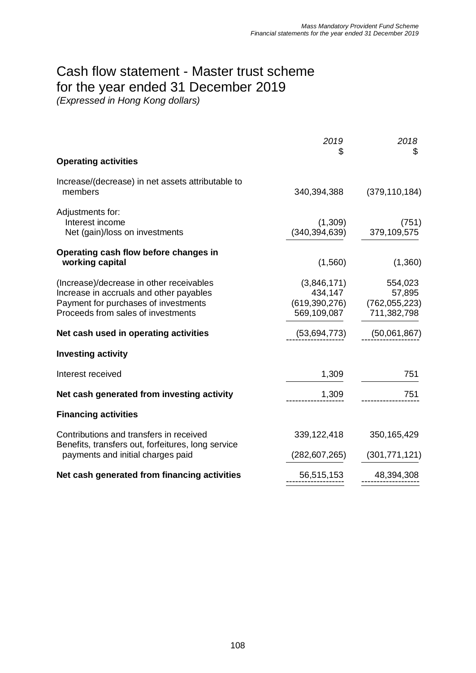# Cash flow statement - Master trust scheme for the year ended 31 December 2019

|                                                                                                                                                                   | 2019<br>S                             | 2018<br>\$                                                          |
|-------------------------------------------------------------------------------------------------------------------------------------------------------------------|---------------------------------------|---------------------------------------------------------------------|
| <b>Operating activities</b>                                                                                                                                       |                                       |                                                                     |
| Increase/(decrease) in net assets attributable to<br>members                                                                                                      | 340,394,388                           | (379, 110, 184)                                                     |
| Adjustments for:<br>Interest income<br>Net (gain)/loss on investments                                                                                             | (1,309)<br>(340, 394, 639)            | (751)<br>379,109,575                                                |
| Operating cash flow before changes in<br>working capital                                                                                                          | (1,560)                               | (1,360)                                                             |
| (Increase)/decrease in other receivables<br>Increase in accruals and other payables<br>Payment for purchases of investments<br>Proceeds from sales of investments | (3,846,171)<br>434,147<br>569,109,087 | 554,023<br>57,895<br>$(619,390,276)$ $(762,055,223)$<br>711,382,798 |
| Net cash used in operating activities                                                                                                                             | (53,694,773)                          | (50,061,867)                                                        |
| <b>Investing activity</b>                                                                                                                                         |                                       |                                                                     |
| Interest received                                                                                                                                                 | 1,309                                 | 751                                                                 |
| Net cash generated from investing activity                                                                                                                        | 1,309                                 | 751                                                                 |
| <b>Financing activities</b>                                                                                                                                       |                                       |                                                                     |
| Contributions and transfers in received                                                                                                                           | 339,122,418                           | 350, 165, 429                                                       |
| Benefits, transfers out, forfeitures, long service<br>payments and initial charges paid                                                                           | (282,607,265)                         | (301, 771, 121)                                                     |
| Net cash generated from financing activities                                                                                                                      | 56,515,153                            | 48,394,308                                                          |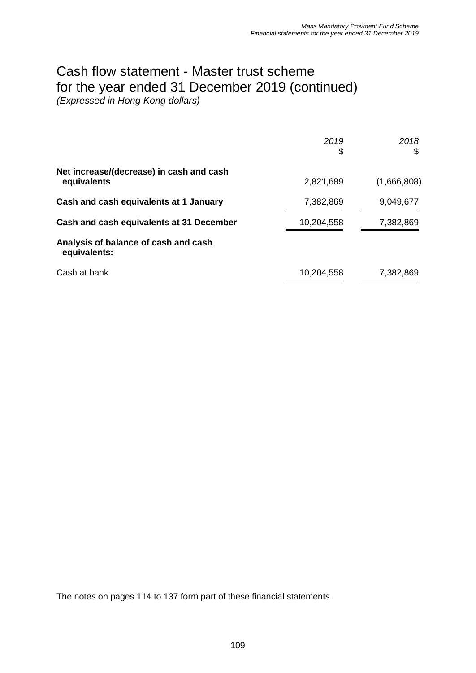# Cash flow statement - Master trust scheme for the year ended 31 December 2019 (continued)

*(Expressed in Hong Kong dollars)*

|                                                         | 2019<br>\$ | 2018<br>\$  |
|---------------------------------------------------------|------------|-------------|
| Net increase/(decrease) in cash and cash<br>equivalents | 2,821,689  | (1,666,808) |
| Cash and cash equivalents at 1 January                  | 7,382,869  | 9,049,677   |
| Cash and cash equivalents at 31 December                | 10,204,558 | 7,382,869   |
| Analysis of balance of cash and cash<br>equivalents:    |            |             |
| Cash at bank                                            | 10,204,558 | 7,382,869   |

The notes on pages 114 to 137 form part of these financial statements.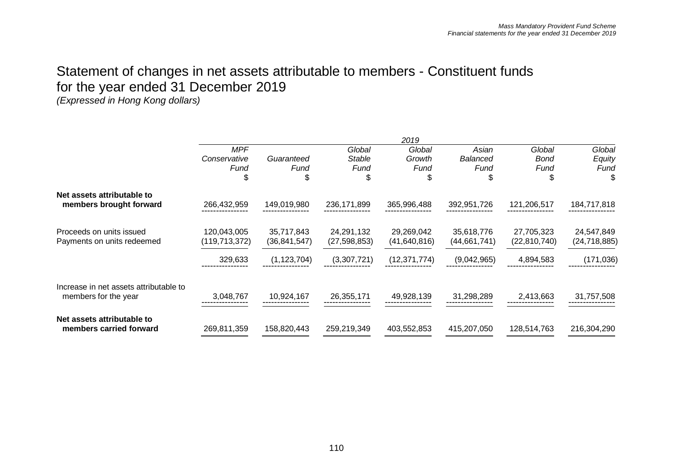## Statement of changes in net assets attributable to members - Constituent funds for the year ended 31 December 2019

|                                        |                 |               |                | 2019           |                |                |                |
|----------------------------------------|-----------------|---------------|----------------|----------------|----------------|----------------|----------------|
|                                        | <b>MPF</b>      |               | Global         | Global         | Asian          | Global         | Global         |
|                                        | Conservative    | Guaranteed    | Stable         | Growth         | Balanced       | <b>Bond</b>    | Equity         |
|                                        | Fund            | Fund          | Fund           | Fund           | Fund           | Fund           | Fund           |
|                                        |                 | \$            | ß.             |                | \$             | \$             | S              |
| Net assets attributable to             |                 |               |                |                |                |                |                |
| members brought forward                | 266,432,959     | 149,019,980   | 236, 171, 899  | 365,996,488    | 392,951,726    | 121,206,517    | 184,717,818    |
| Proceeds on units issued               | 120,043,005     | 35,717,843    | 24,291,132     | 29,269,042     | 35,618,776     | 27,705,323     | 24,547,849     |
| Payments on units redeemed             | (119, 713, 372) | (36,841,547)  | (27, 598, 853) | (41, 640, 816) | (44, 661, 741) | (22, 810, 740) | (24, 718, 885) |
|                                        | 329,633         | (1, 123, 704) | (3,307,721)    | (12, 371, 774) | (9,042,965)    | 4,894,583      | (171, 036)     |
| Increase in net assets attributable to |                 |               |                |                |                |                |                |
| members for the year                   | 3,048,767       | 10,924,167    | 26,355,171     | 49,928,139     | 31,298,289     | 2,413,663      | 31,757,508     |
| Net assets attributable to             |                 |               |                |                |                |                |                |
| members carried forward                | 269,811,359     | 158,820,443   | 259,219,349    | 403,552,853    | 415,207,050    | 128,514,763    | 216,304,290    |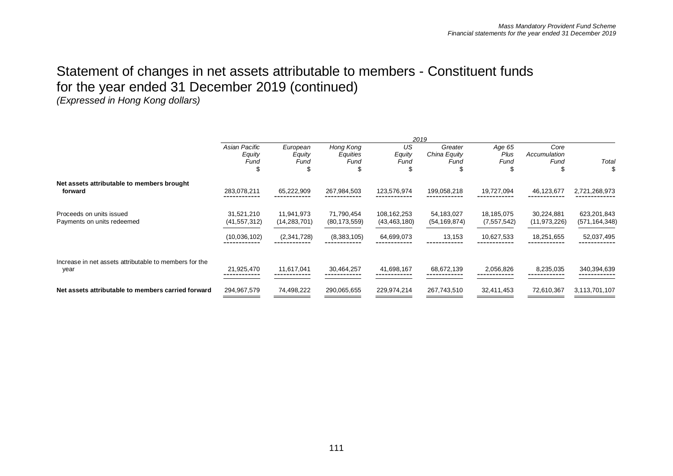## Statement of changes in net assets attributable to members - Constituent funds for the year ended 31 December 2019 (continued)

|                                                                |                                 |                              |                               |                               | 2019                            |                              |                              |                                |
|----------------------------------------------------------------|---------------------------------|------------------------------|-------------------------------|-------------------------------|---------------------------------|------------------------------|------------------------------|--------------------------------|
|                                                                | Asian Pacific<br>Equity<br>Fund | European<br>Equity<br>Fund   | Hong Kong<br>Equities<br>Fund | US<br>Equity<br>Fund          | Greater<br>China Equity<br>Fund | Age 65<br>Plus<br>Fund<br>J. | Core<br>Accumulation<br>Fund | Total                          |
| Net assets attributable to members brought<br>forward          | 283,078,211                     | 65,222,909                   | 267,984,503                   | 123,576,974                   | 199,058,218                     | 19,727,094                   | 46,123,677                   | 2,721,268,973                  |
| Proceeds on units issued<br>Payments on units redeemed         | 31,521,210<br>(41, 557, 312)    | 11,941,973<br>(14, 283, 701) | 71,790,454<br>(80, 173, 559)  | 108,162,253<br>(43, 463, 180) | 54,183,027<br>(54, 169, 874)    | 18,185,075<br>(7, 557, 542)  | 30,224,881<br>(11, 973, 226) | 623,201,843<br>(571, 164, 348) |
|                                                                | (10,036,102)                    | (2,341,728)                  | (8,383,105)                   | 64,699,073                    | 13,153                          | 10,627,533                   | 18,251,655                   | 52,037,495                     |
| Increase in net assets attributable to members for the<br>year | 21,925,470                      | 11,617,041                   | 30,464,257                    | 41,698,167                    | 68,672,139                      | 2,056,826                    | 8,235,035                    | 340,394,639                    |
| Net assets attributable to members carried forward             | 294,967,579                     | 74,498,222                   | 290,065,655                   | 229,974,214                   | 267,743,510                     | 32,411,453                   | 72,610,367                   | 3,113,701,107                  |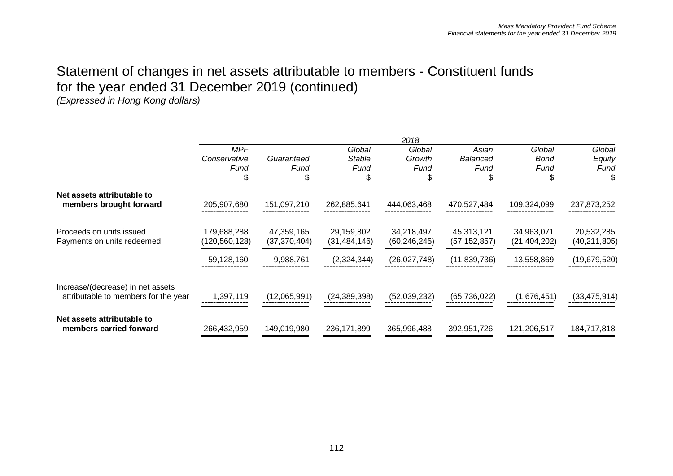## Statement of changes in net assets attributable to members - Constituent funds for the year ended 31 December 2019 (continued)

|                                                                           |               |              |                | 2018           |                |                |                |
|---------------------------------------------------------------------------|---------------|--------------|----------------|----------------|----------------|----------------|----------------|
|                                                                           | <b>MPF</b>    |              | Global         | Global         | Asian          | Global         | Global         |
|                                                                           | Conservative  | Guaranteed   | Stable         | Growth         | Balanced       | <b>Bond</b>    | Equity         |
|                                                                           | Fund          | Fund         | Fund           | Fund           | Fund           | Fund           | Fund           |
|                                                                           |               | \$           |                |                |                | \$             | Ъ              |
| Net assets attributable to                                                |               |              |                |                |                |                |                |
| members brought forward                                                   | 205,907,680   | 151,097,210  | 262,885,641    | 444,063,468    | 470,527,484    | 109,324,099    | 237,873,252    |
| Proceeds on units issued                                                  | 179,688,288   | 47,359,165   | 29,159,802     | 34,218,497     | 45,313,121     | 34,963,071     | 20,532,285     |
| Payments on units redeemed                                                | (120,560,128) | (37,370,404) | (31, 484, 146) | (60, 246, 245) | (57, 152, 857) | (21, 404, 202) | (40, 211, 805) |
|                                                                           | 59,128,160    | 9,988,761    | (2,324,344)    | (26,027,748)   | (11,839,736)   | 13,558,869     | (19,679,520)   |
| Increase/(decrease) in net assets<br>attributable to members for the year | 1,397,119     | (12,065,991) | (24, 389, 398) | (52,039,232)   | (65, 736, 022) | (1,676,451)    | (33, 475, 914) |
|                                                                           |               |              |                |                |                |                |                |
| Net assets attributable to<br>members carried forward                     | 266,432,959   | 149,019,980  | 236,171,899    | 365,996,488    | 392,951,726    | 121,206,517    | 184,717,818    |
|                                                                           |               |              |                |                |                |                |                |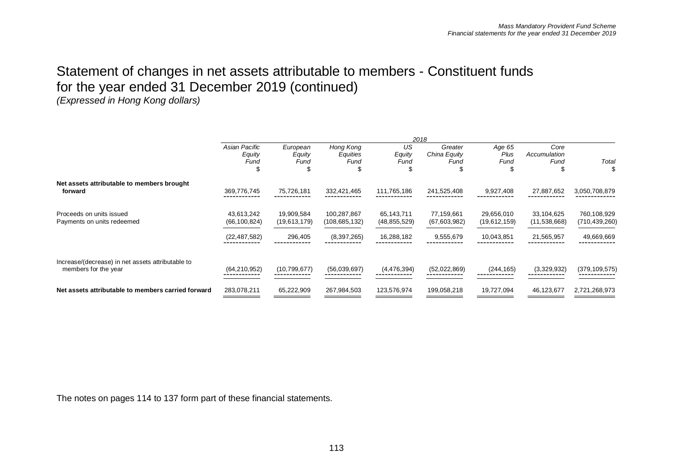## Statement of changes in net assets attributable to members - Constituent funds for the year ended 31 December 2019 (continued)

*(Expressed in Hong Kong dollars)*

|                                                                           |                                 |                            |                                |                              | 2018                            |                            |                              |                                |
|---------------------------------------------------------------------------|---------------------------------|----------------------------|--------------------------------|------------------------------|---------------------------------|----------------------------|------------------------------|--------------------------------|
|                                                                           | Asian Pacific<br>Equity<br>Fund | European<br>Equity<br>Fund | Hong Kong<br>Equities<br>Fund  | US<br>Equity<br>Fund         | Greater<br>China Equity<br>Fund | Age 65<br>Plus<br>Fund     | Core<br>Accumulation<br>Fund | Total                          |
| Net assets attributable to members brought<br>forward                     | 369,776,745                     | 75,726,181                 | 332,421,465                    | 111,765,186                  | 241,525,408                     | 9,927,408                  | 27,887,652                   | 3,050,708,879                  |
| Proceeds on units issued<br>Payments on units redeemed                    | 43,613,242<br>(66, 100, 824)    | 19,909,584<br>(19,613,179) | 100,287,867<br>(108, 685, 132) | 65,143,711<br>(48, 855, 529) | 77,159,661<br>(67,603,982)      | 29,656,010<br>(19,612,159) | 33,104,625<br>(11,538,668)   | 760,108,929<br>(710, 439, 260) |
|                                                                           | (22, 487, 582)                  | 296,405                    | (8,397,265)                    | 16,288,182                   | 9,555,679                       | 10,043,851                 | 21,565,957                   | 49,669,669                     |
| Increase/(decrease) in net assets attributable to<br>members for the year | (64, 210, 952)                  | (10,799,677)               | (56,039,697)                   | (4,476,394)                  | (52,022,869)                    | (244, 165)                 | (3,329,932)                  | (379, 109, 575)                |
| Net assets attributable to members carried forward                        | 283,078,211                     | 65,222,909                 | 267,984,503                    | 123,576,974                  | 199,058,218                     | 19,727,094                 | 46,123,677                   | 2,721,268,973                  |

The notes on pages 114 to 137 form part of these financial statements.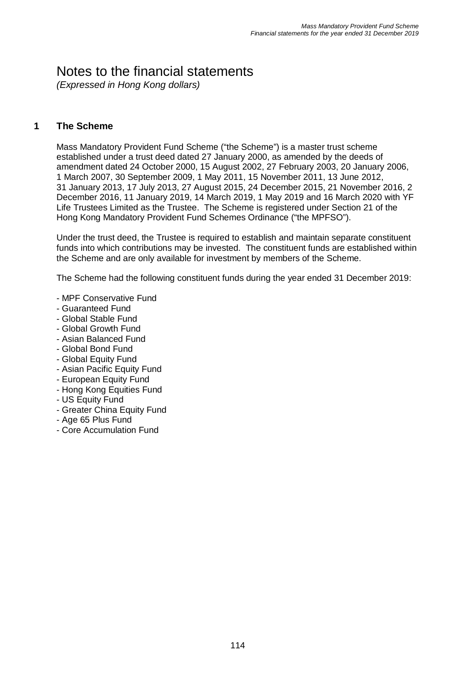## Notes to the financial statements

*(Expressed in Hong Kong dollars)*

### **1 The Scheme**

Mass Mandatory Provident Fund Scheme ("the Scheme") is a master trust scheme established under a trust deed dated 27 January 2000, as amended by the deeds of amendment dated 24 October 2000, 15 August 2002, 27 February 2003, 20 January 2006, 1 March 2007, 30 September 2009, 1 May 2011, 15 November 2011, 13 June 2012, 31 January 2013, 17 July 2013, 27 August 2015, 24 December 2015, 21 November 2016, 2 December 2016, 11 January 2019, 14 March 2019, 1 May 2019 and 16 March 2020 with YF Life Trustees Limited as the Trustee. The Scheme is registered under Section 21 of the Hong Kong Mandatory Provident Fund Schemes Ordinance ("the MPFSO").

Under the trust deed, the Trustee is required to establish and maintain separate constituent funds into which contributions may be invested. The constituent funds are established within the Scheme and are only available for investment by members of the Scheme.

The Scheme had the following constituent funds during the year ended 31 December 2019:

- MPF Conservative Fund
- Guaranteed Fund
- Global Stable Fund
- Global Growth Fund
- Asian Balanced Fund
- Global Bond Fund
- Global Equity Fund
- Asian Pacific Equity Fund
- European Equity Fund
- Hong Kong Equities Fund
- US Equity Fund
- Greater China Equity Fund
- Age 65 Plus Fund
- Core Accumulation Fund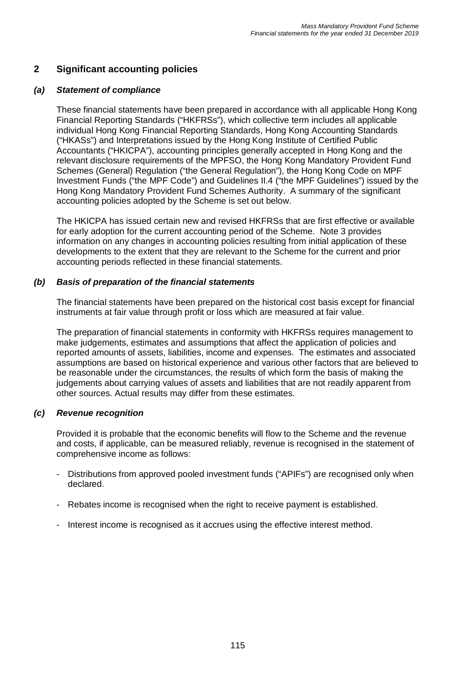## **2 Significant accounting policies**

#### *(a) Statement of compliance*

These financial statements have been prepared in accordance with all applicable Hong Kong Financial Reporting Standards ("HKFRSs"), which collective term includes all applicable individual Hong Kong Financial Reporting Standards, Hong Kong Accounting Standards ("HKASs") and Interpretations issued by the Hong Kong Institute of Certified Public Accountants ("HKICPA"), accounting principles generally accepted in Hong Kong and the relevant disclosure requirements of the MPFSO, the Hong Kong Mandatory Provident Fund Schemes (General) Regulation ("the General Regulation"), the Hong Kong Code on MPF Investment Funds ("the MPF Code") and Guidelines II.4 ("the MPF Guidelines") issued by the Hong Kong Mandatory Provident Fund Schemes Authority. A summary of the significant accounting policies adopted by the Scheme is set out below.

The HKICPA has issued certain new and revised HKFRSs that are first effective or available for early adoption for the current accounting period of the Scheme. Note 3 provides information on any changes in accounting policies resulting from initial application of these developments to the extent that they are relevant to the Scheme for the current and prior accounting periods reflected in these financial statements.

#### *(b) Basis of preparation of the financial statements*

The financial statements have been prepared on the historical cost basis except for financial instruments at fair value through profit or loss which are measured at fair value.

The preparation of financial statements in conformity with HKFRSs requires management to make judgements, estimates and assumptions that affect the application of policies and reported amounts of assets, liabilities, income and expenses. The estimates and associated assumptions are based on historical experience and various other factors that are believed to be reasonable under the circumstances, the results of which form the basis of making the judgements about carrying values of assets and liabilities that are not readily apparent from other sources. Actual results may differ from these estimates.

#### *(c) Revenue recognition*

Provided it is probable that the economic benefits will flow to the Scheme and the revenue and costs, if applicable, can be measured reliably, revenue is recognised in the statement of comprehensive income as follows:

- Distributions from approved pooled investment funds ("APIFs") are recognised only when declared.
- Rebates income is recognised when the right to receive payment is established.
- Interest income is recognised as it accrues using the effective interest method.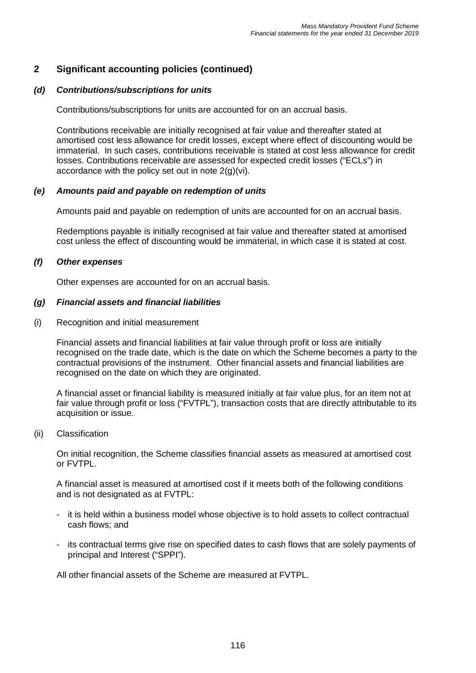#### *(d) Contributions/subscriptions for units*

Contributions/subscriptions for units are accounted for on an accrual basis.

Contributions receivable are initially recognised at fair value and thereafter stated at amortised cost less allowance for credit losses, except where effect of discounting would be immaterial. In such cases, contributions receivable is stated at cost less allowance for credit losses. Contributions receivable are assessed for expected credit losses ("ECLs") in accordance with the policy set out in note  $2(q)(vi)$ .

#### *(e) Amounts paid and payable on redemption of units*

Amounts paid and payable on redemption of units are accounted for on an accrual basis.

Redemptions payable is initially recognised at fair value and thereafter stated at amortised cost unless the effect of discounting would be immaterial, in which case it is stated at cost.

#### *(f) Other expenses*

Other expenses are accounted for on an accrual basis.

#### *(g) Financial assets and financial liabilities*

(i) Recognition and initial measurement

Financial assets and financial liabilities at fair value through profit or loss are initially recognised on the trade date, which is the date on which the Scheme becomes a party to the contractual provisions of the instrument. Other financial assets and financial liabilities are recognised on the date on which they are originated.

A financial asset or financial liability is measured initially at fair value plus, for an item not at fair value through profit or loss ("FVTPL"), transaction costs that are directly attributable to its acquisition or issue.

#### (ii) Classification

On initial recognition, the Scheme classifies financial assets as measured at amortised cost or FVTPL.

A financial asset is measured at amortised cost if it meets both of the following conditions and is not designated as at FVTPL:

- it is held within a business model whose objective is to hold assets to collect contractual cash flows; and
- its contractual terms give rise on specified dates to cash flows that are solely payments of principal and Interest ("SPPI").

All other financial assets of the Scheme are measured at FVTPL.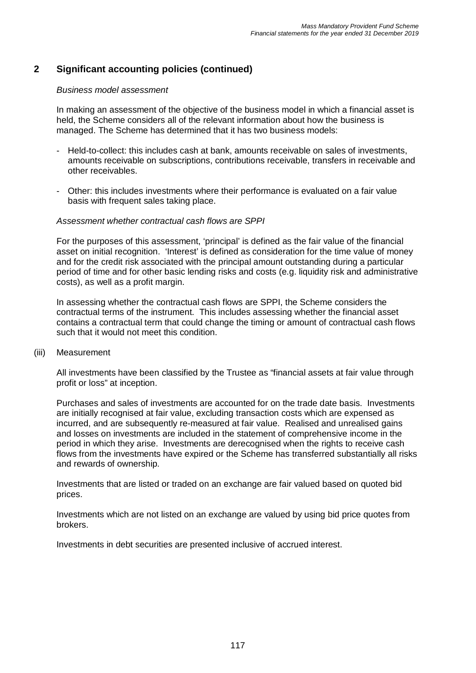#### *Business model assessment*

In making an assessment of the objective of the business model in which a financial asset is held, the Scheme considers all of the relevant information about how the business is managed. The Scheme has determined that it has two business models:

- Held-to-collect: this includes cash at bank, amounts receivable on sales of investments, amounts receivable on subscriptions, contributions receivable, transfers in receivable and other receivables.
- Other: this includes investments where their performance is evaluated on a fair value basis with frequent sales taking place.

#### *Assessment whether contractual cash flows are SPPI*

For the purposes of this assessment, 'principal' is defined as the fair value of the financial asset on initial recognition. 'Interest' is defined as consideration for the time value of money and for the credit risk associated with the principal amount outstanding during a particular period of time and for other basic lending risks and costs (e.g. liquidity risk and administrative costs), as well as a profit margin.

In assessing whether the contractual cash flows are SPPI, the Scheme considers the contractual terms of the instrument. This includes assessing whether the financial asset contains a contractual term that could change the timing or amount of contractual cash flows such that it would not meet this condition.

(iii) Measurement

All investments have been classified by the Trustee as "financial assets at fair value through profit or loss" at inception.

Purchases and sales of investments are accounted for on the trade date basis. Investments are initially recognised at fair value, excluding transaction costs which are expensed as incurred, and are subsequently re-measured at fair value. Realised and unrealised gains and losses on investments are included in the statement of comprehensive income in the period in which they arise. Investments are derecognised when the rights to receive cash flows from the investments have expired or the Scheme has transferred substantially all risks and rewards of ownership.

Investments that are listed or traded on an exchange are fair valued based on quoted bid prices.

Investments which are not listed on an exchange are valued by using bid price quotes from brokers.

Investments in debt securities are presented inclusive of accrued interest.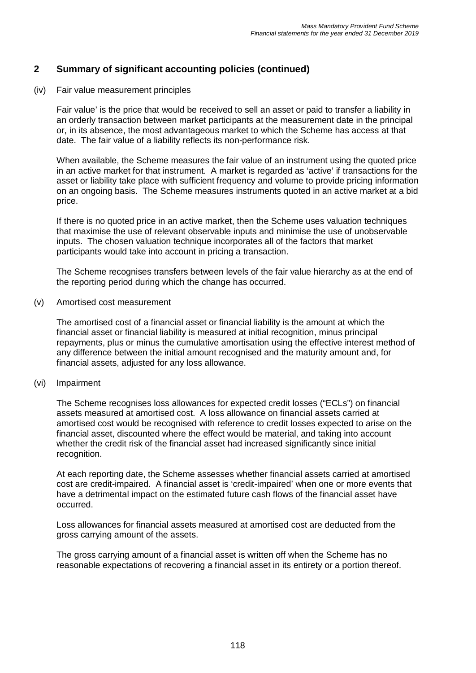## **2 Summary of significant accounting policies (continued)**

(iv) Fair value measurement principles

Fair value' is the price that would be received to sell an asset or paid to transfer a liability in an orderly transaction between market participants at the measurement date in the principal or, in its absence, the most advantageous market to which the Scheme has access at that date. The fair value of a liability reflects its non-performance risk.

When available, the Scheme measures the fair value of an instrument using the quoted price in an active market for that instrument. A market is regarded as 'active' if transactions for the asset or liability take place with sufficient frequency and volume to provide pricing information on an ongoing basis. The Scheme measures instruments quoted in an active market at a bid price.

If there is no quoted price in an active market, then the Scheme uses valuation techniques that maximise the use of relevant observable inputs and minimise the use of unobservable inputs. The chosen valuation technique incorporates all of the factors that market participants would take into account in pricing a transaction.

The Scheme recognises transfers between levels of the fair value hierarchy as at the end of the reporting period during which the change has occurred.

(v) Amortised cost measurement

The amortised cost of a financial asset or financial liability is the amount at which the financial asset or financial liability is measured at initial recognition, minus principal repayments, plus or minus the cumulative amortisation using the effective interest method of any difference between the initial amount recognised and the maturity amount and, for financial assets, adjusted for any loss allowance.

(vi) Impairment

The Scheme recognises loss allowances for expected credit losses ("ECLs") on financial assets measured at amortised cost. A loss allowance on financial assets carried at amortised cost would be recognised with reference to credit losses expected to arise on the financial asset, discounted where the effect would be material, and taking into account whether the credit risk of the financial asset had increased significantly since initial recognition.

At each reporting date, the Scheme assesses whether financial assets carried at amortised cost are credit-impaired. A financial asset is 'credit-impaired' when one or more events that have a detrimental impact on the estimated future cash flows of the financial asset have occurred.

Loss allowances for financial assets measured at amortised cost are deducted from the gross carrying amount of the assets.

The gross carrying amount of a financial asset is written off when the Scheme has no reasonable expectations of recovering a financial asset in its entirety or a portion thereof.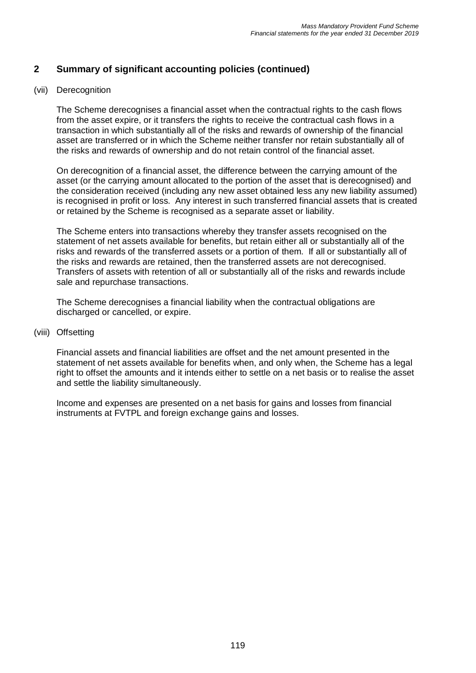## **2 Summary of significant accounting policies (continued)**

#### (vii) Derecognition

The Scheme derecognises a financial asset when the contractual rights to the cash flows from the asset expire, or it transfers the rights to receive the contractual cash flows in a transaction in which substantially all of the risks and rewards of ownership of the financial asset are transferred or in which the Scheme neither transfer nor retain substantially all of the risks and rewards of ownership and do not retain control of the financial asset.

On derecognition of a financial asset, the difference between the carrying amount of the asset (or the carrying amount allocated to the portion of the asset that is derecognised) and the consideration received (including any new asset obtained less any new liability assumed) is recognised in profit or loss. Any interest in such transferred financial assets that is created or retained by the Scheme is recognised as a separate asset or liability.

The Scheme enters into transactions whereby they transfer assets recognised on the statement of net assets available for benefits, but retain either all or substantially all of the risks and rewards of the transferred assets or a portion of them. If all or substantially all of the risks and rewards are retained, then the transferred assets are not derecognised. Transfers of assets with retention of all or substantially all of the risks and rewards include sale and repurchase transactions.

The Scheme derecognises a financial liability when the contractual obligations are discharged or cancelled, or expire.

#### (viii) Offsetting

Financial assets and financial liabilities are offset and the net amount presented in the statement of net assets available for benefits when, and only when, the Scheme has a legal right to offset the amounts and it intends either to settle on a net basis or to realise the asset and settle the liability simultaneously.

Income and expenses are presented on a net basis for gains and losses from financial instruments at FVTPL and foreign exchange gains and losses.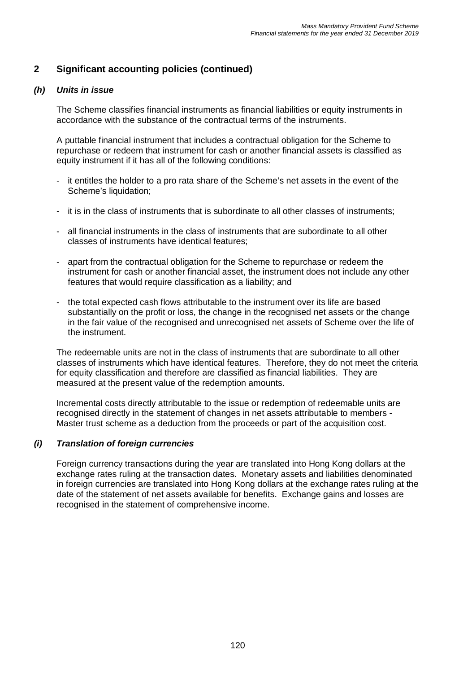#### *(h) Units in issue*

The Scheme classifies financial instruments as financial liabilities or equity instruments in accordance with the substance of the contractual terms of the instruments.

A puttable financial instrument that includes a contractual obligation for the Scheme to repurchase or redeem that instrument for cash or another financial assets is classified as equity instrument if it has all of the following conditions:

- it entitles the holder to a pro rata share of the Scheme's net assets in the event of the Scheme's liquidation;
- it is in the class of instruments that is subordinate to all other classes of instruments;
- all financial instruments in the class of instruments that are subordinate to all other classes of instruments have identical features;
- apart from the contractual obligation for the Scheme to repurchase or redeem the instrument for cash or another financial asset, the instrument does not include any other features that would require classification as a liability; and
- the total expected cash flows attributable to the instrument over its life are based substantially on the profit or loss, the change in the recognised net assets or the change in the fair value of the recognised and unrecognised net assets of Scheme over the life of the instrument.

The redeemable units are not in the class of instruments that are subordinate to all other classes of instruments which have identical features. Therefore, they do not meet the criteria for equity classification and therefore are classified as financial liabilities. They are measured at the present value of the redemption amounts.

Incremental costs directly attributable to the issue or redemption of redeemable units are recognised directly in the statement of changes in net assets attributable to members - Master trust scheme as a deduction from the proceeds or part of the acquisition cost.

#### *(i) Translation of foreign currencies*

Foreign currency transactions during the year are translated into Hong Kong dollars at the exchange rates ruling at the transaction dates. Monetary assets and liabilities denominated in foreign currencies are translated into Hong Kong dollars at the exchange rates ruling at the date of the statement of net assets available for benefits. Exchange gains and losses are recognised in the statement of comprehensive income.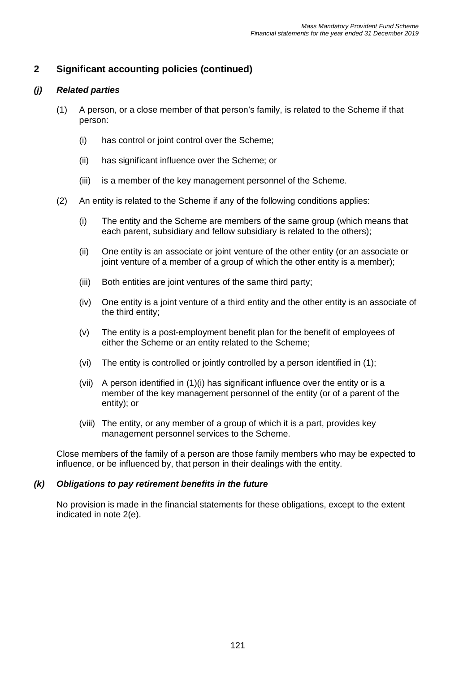#### *(j) Related parties*

- (1) A person, or a close member of that person's family, is related to the Scheme if that person:
	- (i) has control or joint control over the Scheme;
	- (ii) has significant influence over the Scheme; or
	- (iii) is a member of the key management personnel of the Scheme.
- (2) An entity is related to the Scheme if any of the following conditions applies:
	- (i) The entity and the Scheme are members of the same group (which means that each parent, subsidiary and fellow subsidiary is related to the others);
	- (ii) One entity is an associate or joint venture of the other entity (or an associate or joint venture of a member of a group of which the other entity is a member);
	- (iii) Both entities are joint ventures of the same third party;
	- (iv) One entity is a joint venture of a third entity and the other entity is an associate of the third entity;
	- (v) The entity is a post-employment benefit plan for the benefit of employees of either the Scheme or an entity related to the Scheme;
	- (vi) The entity is controlled or jointly controlled by a person identified in (1);
	- (vii) A person identified in (1)(i) has significant influence over the entity or is a member of the key management personnel of the entity (or of a parent of the entity); or
	- (viii) The entity, or any member of a group of which it is a part, provides key management personnel services to the Scheme.

Close members of the family of a person are those family members who may be expected to influence, or be influenced by, that person in their dealings with the entity.

#### *(k) Obligations to pay retirement benefits in the future*

No provision is made in the financial statements for these obligations, except to the extent indicated in note 2(e).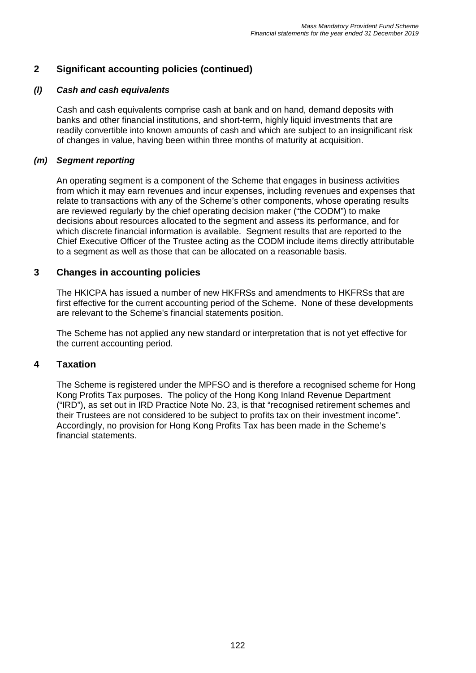#### *(l) Cash and cash equivalents*

Cash and cash equivalents comprise cash at bank and on hand, demand deposits with banks and other financial institutions, and short-term, highly liquid investments that are readily convertible into known amounts of cash and which are subject to an insignificant risk of changes in value, having been within three months of maturity at acquisition.

#### *(m) Segment reporting*

An operating segment is a component of the Scheme that engages in business activities from which it may earn revenues and incur expenses, including revenues and expenses that relate to transactions with any of the Scheme's other components, whose operating results are reviewed regularly by the chief operating decision maker ("the CODM") to make decisions about resources allocated to the segment and assess its performance, and for which discrete financial information is available. Segment results that are reported to the Chief Executive Officer of the Trustee acting as the CODM include items directly attributable to a segment as well as those that can be allocated on a reasonable basis.

## **3 Changes in accounting policies**

The HKICPA has issued a number of new HKFRSs and amendments to HKFRSs that are first effective for the current accounting period of the Scheme. None of these developments are relevant to the Scheme's financial statements position.

The Scheme has not applied any new standard or interpretation that is not yet effective for the current accounting period.

## **4 Taxation**

The Scheme is registered under the MPFSO and is therefore a recognised scheme for Hong Kong Profits Tax purposes. The policy of the Hong Kong Inland Revenue Department ("IRD"), as set out in IRD Practice Note No. 23, is that "recognised retirement schemes and their Trustees are not considered to be subject to profits tax on their investment income". Accordingly, no provision for Hong Kong Profits Tax has been made in the Scheme's financial statements.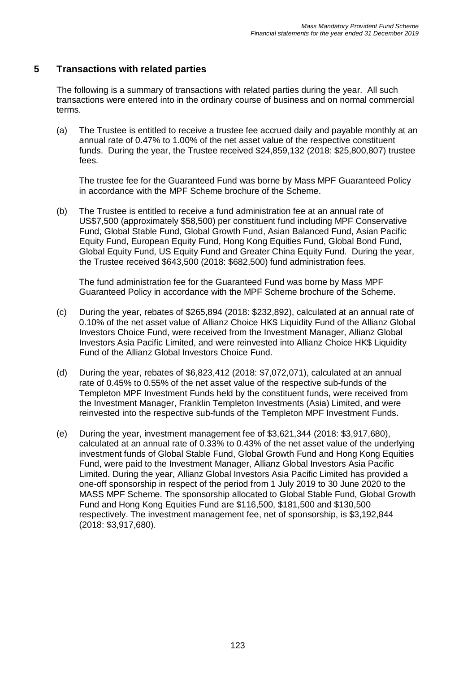## **5 Transactions with related parties**

The following is a summary of transactions with related parties during the year. All such transactions were entered into in the ordinary course of business and on normal commercial terms.

(a) The Trustee is entitled to receive a trustee fee accrued daily and payable monthly at an annual rate of 0.47% to 1.00% of the net asset value of the respective constituent funds. During the year, the Trustee received \$24,859,132 (2018: \$25,800,807) trustee fees.

The trustee fee for the Guaranteed Fund was borne by Mass MPF Guaranteed Policy in accordance with the MPF Scheme brochure of the Scheme.

(b) The Trustee is entitled to receive a fund administration fee at an annual rate of US\$7,500 (approximately \$58,500) per constituent fund including MPF Conservative Fund, Global Stable Fund, Global Growth Fund, Asian Balanced Fund, Asian Pacific Equity Fund, European Equity Fund, Hong Kong Equities Fund, Global Bond Fund, Global Equity Fund, US Equity Fund and Greater China Equity Fund. During the year, the Trustee received \$643,500 (2018: \$682,500) fund administration fees.

The fund administration fee for the Guaranteed Fund was borne by Mass MPF Guaranteed Policy in accordance with the MPF Scheme brochure of the Scheme.

- (c) During the year, rebates of \$265,894 (2018: \$232,892), calculated at an annual rate of 0.10% of the net asset value of Allianz Choice HK\$ Liquidity Fund of the Allianz Global Investors Choice Fund, were received from the Investment Manager, Allianz Global Investors Asia Pacific Limited, and were reinvested into Allianz Choice HK\$ Liquidity Fund of the Allianz Global Investors Choice Fund.
- (d) During the year, rebates of \$6,823,412 (2018: \$7,072,071), calculated at an annual rate of 0.45% to 0.55% of the net asset value of the respective sub-funds of the Templeton MPF Investment Funds held by the constituent funds, were received from the Investment Manager, Franklin Templeton Investments (Asia) Limited, and were reinvested into the respective sub-funds of the Templeton MPF Investment Funds.
- (e) During the year, investment management fee of \$3,621,344 (2018: \$3,917,680), calculated at an annual rate of 0.33% to 0.43% of the net asset value of the underlying investment funds of Global Stable Fund, Global Growth Fund and Hong Kong Equities Fund, were paid to the Investment Manager, Allianz Global Investors Asia Pacific Limited. During the year, Allianz Global Investors Asia Pacific Limited has provided a one-off sponsorship in respect of the period from 1 July 2019 to 30 June 2020 to the MASS MPF Scheme. The sponsorship allocated to Global Stable Fund, Global Growth Fund and Hong Kong Equities Fund are \$116,500, \$181,500 and \$130,500 respectively. The investment management fee, net of sponsorship, is \$3,192,844 (2018: \$3,917,680).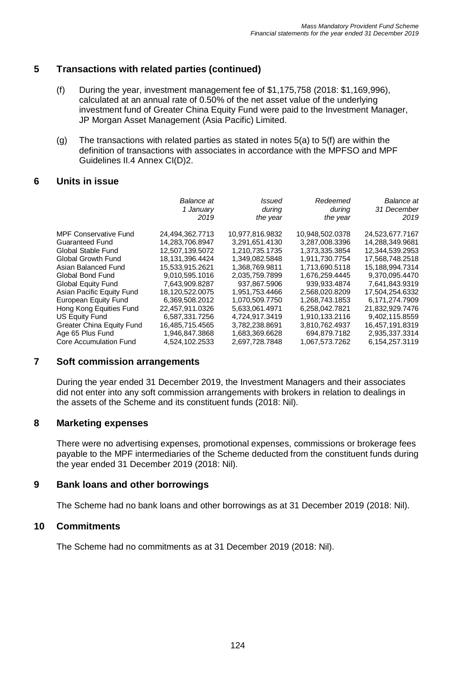## **5 Transactions with related parties (continued)**

- (f) During the year, investment management fee of \$1,175,758 (2018: \$1,169,996), calculated at an annual rate of 0.50% of the net asset value of the underlying investment fund of Greater China Equity Fund were paid to the Investment Manager, JP Morgan Asset Management (Asia Pacific) Limited.
- (g) The transactions with related parties as stated in notes 5(a) to 5(f) are within the definition of transactions with associates in accordance with the MPFSO and MPF Guidelines II.4 Annex CI(D)2.

#### **6 Units in issue**

|                              | Balance at<br>1 January<br>2019 | Issued<br>during<br>the year | Redeemed<br>during<br>the year | <b>Balance</b> at<br>31 December<br>2019 |
|------------------------------|---------------------------------|------------------------------|--------------------------------|------------------------------------------|
|                              |                                 |                              |                                |                                          |
| <b>MPF Conservative Fund</b> | 24,494,362.7713                 | 10,977,816.9832              | 10,948,502.0378                | 24,523,677.7167                          |
| <b>Guaranteed Fund</b>       | 14.283.706.8947                 | 3.291.651.4130               | 3,287,008.3396                 | 14,288,349.9681                          |
| Global Stable Fund           | 12,507,139.5072                 | 1,210,735.1735               | 1,373,335.3854                 | 12,344,539.2953                          |
| <b>Global Growth Fund</b>    | 18,131,396.4424                 | 1,349,082.5848               | 1,911,730.7754                 | 17,568,748.2518                          |
| Asian Balanced Fund          | 15,533,915.2621                 | 1,368,769.9811               | 1,713,690.5118                 | 15,188,994.7314                          |
| Global Bond Fund             | 9,010,595.1016                  | 2,035,759.7899               | 1,676,259.4445                 | 9,370,095.4470                           |
| <b>Global Equity Fund</b>    | 7,643,909.8287                  | 937,867.5906                 | 939,933.4874                   | 7,641,843.9319                           |
| Asian Pacific Equity Fund    | 18.120,522.0075                 | 1.951.753.4466               | 2.568.020.8209                 | 17.504.254.6332                          |
| European Equity Fund         | 6,369,508.2012                  | 1,070,509.7750               | 1,268,743.1853                 | 6,171,274.7909                           |
| Hong Kong Equities Fund      | 22,457,911.0326                 | 5.633.061.4971               | 6.258.042.7821                 | 21.832.929.7476                          |
| US Equity Fund               | 6,587,331.7256                  | 4,724,917.3419               | 1,910,133.2116                 | 9,402,115.8559                           |
| Greater China Equity Fund    | 16.485.715.4565                 | 3.782.238.8691               | 3.810.762.4937                 | 16.457.191.8319                          |
| Age 65 Plus Fund             | 1.946.847.3868                  | 1.683.369.6628               | 694.879.7182                   | 2,935,337.3314                           |
| Core Accumulation Fund       | 4,524,102.2533                  | 2,697,728.7848               | 1,067,573.7262                 | 6,154,257.3119                           |

#### **7 Soft commission arrangements**

During the year ended 31 December 2019, the Investment Managers and their associates did not enter into any soft commission arrangements with brokers in relation to dealings in the assets of the Scheme and its constituent funds (2018: Nil).

#### **8 Marketing expenses**

There were no advertising expenses, promotional expenses, commissions or brokerage fees payable to the MPF intermediaries of the Scheme deducted from the constituent funds during the year ended 31 December 2019 (2018: Nil).

#### **9 Bank loans and other borrowings**

The Scheme had no bank loans and other borrowings as at 31 December 2019 (2018: Nil).

#### **10 Commitments**

The Scheme had no commitments as at 31 December 2019 (2018: Nil).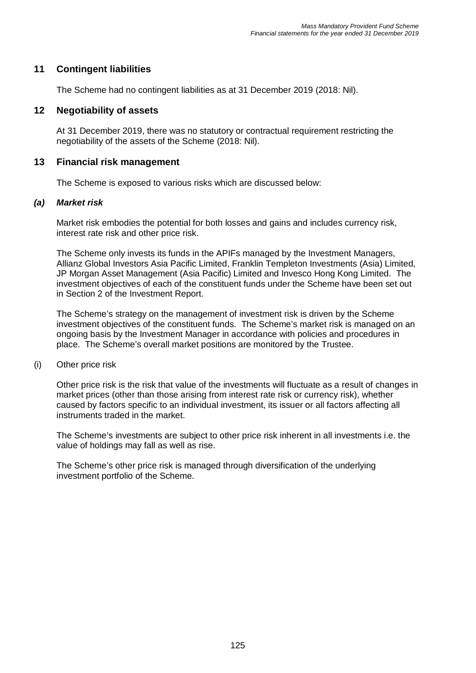### **11 Contingent liabilities**

The Scheme had no contingent liabilities as at 31 December 2019 (2018: Nil).

#### **12 Negotiability of assets**

At 31 December 2019, there was no statutory or contractual requirement restricting the negotiability of the assets of the Scheme (2018: Nil).

#### **13 Financial risk management**

The Scheme is exposed to various risks which are discussed below:

#### *(a) Market risk*

Market risk embodies the potential for both losses and gains and includes currency risk, interest rate risk and other price risk.

The Scheme only invests its funds in the APIFs managed by the Investment Managers, Allianz Global Investors Asia Pacific Limited, Franklin Templeton Investments (Asia) Limited, JP Morgan Asset Management (Asia Pacific) Limited and Invesco Hong Kong Limited. The investment objectives of each of the constituent funds under the Scheme have been set out in Section 2 of the Investment Report.

The Scheme's strategy on the management of investment risk is driven by the Scheme investment objectives of the constituent funds. The Scheme's market risk is managed on an ongoing basis by the Investment Manager in accordance with policies and procedures in place. The Scheme's overall market positions are monitored by the Trustee.

(i) Other price risk

Other price risk is the risk that value of the investments will fluctuate as a result of changes in market prices (other than those arising from interest rate risk or currency risk), whether caused by factors specific to an individual investment, its issuer or all factors affecting all instruments traded in the market.

The Scheme's investments are subject to other price risk inherent in all investments i.e. the value of holdings may fall as well as rise.

The Scheme's other price risk is managed through diversification of the underlying investment portfolio of the Scheme.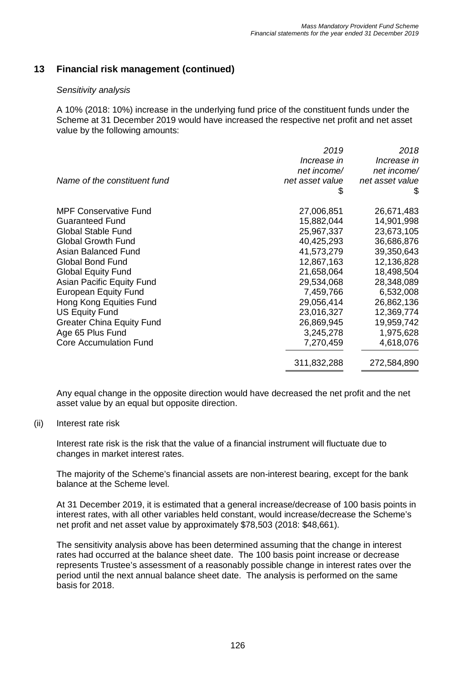#### *Sensitivity analysis*

A 10% (2018: 10%) increase in the underlying fund price of the constituent funds under the Scheme at 31 December 2019 would have increased the respective net profit and net asset value by the following amounts:

|                                  | 2019            | 2018            |
|----------------------------------|-----------------|-----------------|
|                                  | Increase in     | Increase in     |
|                                  | net income/     | net income/     |
| Name of the constituent fund     | net asset value | net asset value |
|                                  | \$              | \$              |
| <b>MPF Conservative Fund</b>     | 27,006,851      | 26,671,483      |
| <b>Guaranteed Fund</b>           | 15,882,044      | 14,901,998      |
| <b>Global Stable Fund</b>        | 25,967,337      | 23,673,105      |
| <b>Global Growth Fund</b>        | 40,425,293      | 36,686,876      |
| Asian Balanced Fund              | 41,573,279      | 39,350,643      |
| <b>Global Bond Fund</b>          | 12,867,163      | 12,136,828      |
| <b>Global Equity Fund</b>        | 21,658,064      | 18,498,504      |
| Asian Pacific Equity Fund        | 29,534,068      | 28,348,089      |
| <b>European Equity Fund</b>      | 7,459,766       | 6,532,008       |
| Hong Kong Equities Fund          | 29,056,414      | 26,862,136      |
| <b>US Equity Fund</b>            | 23,016,327      | 12,369,774      |
| <b>Greater China Equity Fund</b> | 26,869,945      | 19,959,742      |
| Age 65 Plus Fund                 | 3,245,278       | 1,975,628       |
| <b>Core Accumulation Fund</b>    | 7,270,459       | 4,618,076       |
|                                  | 311,832,288     | 272,584,890     |

Any equal change in the opposite direction would have decreased the net profit and the net asset value by an equal but opposite direction.

#### (ii) Interest rate risk

Interest rate risk is the risk that the value of a financial instrument will fluctuate due to changes in market interest rates.

The majority of the Scheme's financial assets are non-interest bearing, except for the bank balance at the Scheme level.

At 31 December 2019, it is estimated that a general increase/decrease of 100 basis points in interest rates, with all other variables held constant, would increase/decrease the Scheme's net profit and net asset value by approximately \$78,503 (2018: \$48,661).

The sensitivity analysis above has been determined assuming that the change in interest rates had occurred at the balance sheet date. The 100 basis point increase or decrease represents Trustee's assessment of a reasonably possible change in interest rates over the period until the next annual balance sheet date. The analysis is performed on the same basis for 2018.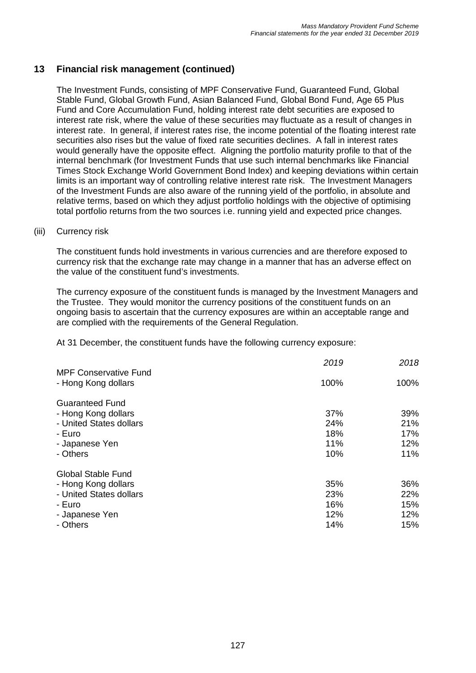The Investment Funds, consisting of MPF Conservative Fund, Guaranteed Fund, Global Stable Fund, Global Growth Fund, Asian Balanced Fund, Global Bond Fund, Age 65 Plus Fund and Core Accumulation Fund, holding interest rate debt securities are exposed to interest rate risk, where the value of these securities may fluctuate as a result of changes in interest rate. In general, if interest rates rise, the income potential of the floating interest rate securities also rises but the value of fixed rate securities declines. A fall in interest rates would generally have the opposite effect. Aligning the portfolio maturity profile to that of the internal benchmark (for Investment Funds that use such internal benchmarks like Financial Times Stock Exchange World Government Bond Index) and keeping deviations within certain limits is an important way of controlling relative interest rate risk. The Investment Managers of the Investment Funds are also aware of the running yield of the portfolio, in absolute and relative terms, based on which they adjust portfolio holdings with the objective of optimising total portfolio returns from the two sources i.e. running yield and expected price changes.

#### (iii) Currency risk

The constituent funds hold investments in various currencies and are therefore exposed to currency risk that the exchange rate may change in a manner that has an adverse effect on the value of the constituent fund's investments.

The currency exposure of the constituent funds is managed by the Investment Managers and the Trustee. They would monitor the currency positions of the constituent funds on an ongoing basis to ascertain that the currency exposures are within an acceptable range and are complied with the requirements of the General Regulation.

At 31 December, the constituent funds have the following currency exposure:

| <b>MPF Conservative Fund</b> | 2019 | 2018 |
|------------------------------|------|------|
| - Hong Kong dollars          | 100% | 100% |
| <b>Guaranteed Fund</b>       |      |      |
| - Hong Kong dollars          | 37%  | 39%  |
| - United States dollars      | 24%  | 21%  |
| - Euro                       | 18%  | 17%  |
| - Japanese Yen               | 11%  | 12%  |
| - Others                     | 10%  | 11%  |
| <b>Global Stable Fund</b>    |      |      |
| - Hong Kong dollars          | 35%  | 36%  |
| - United States dollars      | 23%  | 22%  |
| - Euro                       | 16%  | 15%  |
| - Japanese Yen               | 12%  | 12%  |
| - Others                     | 14%  | 15%  |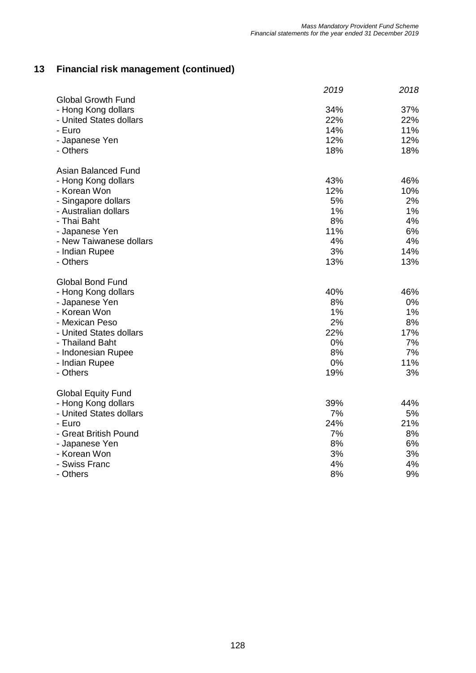|                                                  | 2019 | 2018 |
|--------------------------------------------------|------|------|
| <b>Global Growth Fund</b><br>- Hong Kong dollars | 34%  | 37%  |
| - United States dollars                          | 22%  | 22%  |
| - Euro                                           | 14%  | 11%  |
| - Japanese Yen                                   | 12%  | 12%  |
| - Others                                         | 18%  | 18%  |
|                                                  |      |      |
| Asian Balanced Fund                              |      |      |
| - Hong Kong dollars                              | 43%  | 46%  |
| - Korean Won                                     | 12%  | 10%  |
| - Singapore dollars                              | 5%   | 2%   |
| - Australian dollars                             | 1%   | 1%   |
| - Thai Baht                                      | 8%   | 4%   |
| - Japanese Yen                                   | 11%  | 6%   |
| - New Taiwanese dollars                          | 4%   | 4%   |
| - Indian Rupee                                   | 3%   | 14%  |
| - Others                                         | 13%  | 13%  |
| <b>Global Bond Fund</b>                          |      |      |
| - Hong Kong dollars                              | 40%  | 46%  |
| - Japanese Yen                                   | 8%   | 0%   |
| - Korean Won                                     | 1%   | 1%   |
| - Mexican Peso                                   | 2%   | 8%   |
| - United States dollars                          | 22%  | 17%  |
| - Thailand Baht                                  | 0%   | 7%   |
| - Indonesian Rupee                               | 8%   | 7%   |
| - Indian Rupee                                   | 0%   | 11%  |
| - Others                                         | 19%  | 3%   |
| <b>Global Equity Fund</b>                        |      |      |
| - Hong Kong dollars                              | 39%  | 44%  |
| - United States dollars                          | 7%   | 5%   |
| - Euro                                           | 24%  | 21%  |
| - Great British Pound                            | 7%   | 8%   |
| - Japanese Yen                                   | 8%   | 6%   |
| - Korean Won                                     | 3%   | 3%   |
| - Swiss Franc                                    | 4%   | 4%   |
| - Others                                         | 8%   | 9%   |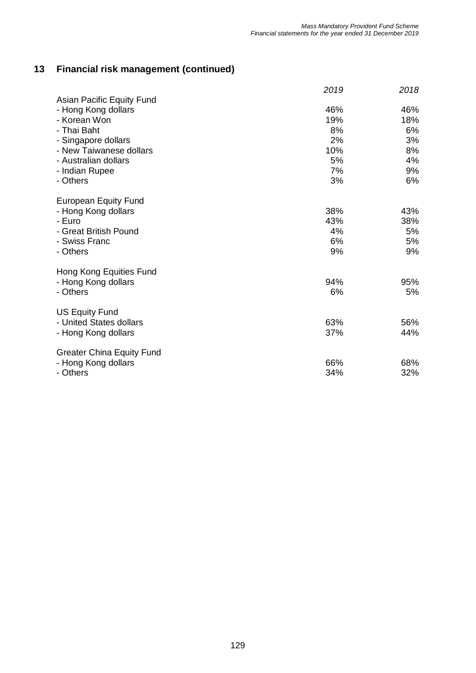|                                  | 2019 | 2018 |
|----------------------------------|------|------|
| Asian Pacific Equity Fund        |      |      |
| - Hong Kong dollars              | 46%  | 46%  |
| - Korean Won                     | 19%  | 18%  |
| - Thai Baht                      | 8%   | 6%   |
| - Singapore dollars              | 2%   | 3%   |
| - New Taiwanese dollars          | 10%  | 8%   |
| - Australian dollars             | 5%   | 4%   |
| - Indian Rupee                   | 7%   | 9%   |
| - Others                         | 3%   | 6%   |
| <b>European Equity Fund</b>      |      |      |
| - Hong Kong dollars              | 38%  | 43%  |
| - Euro                           | 43%  | 38%  |
| - Great British Pound            | 4%   | 5%   |
| - Swiss Franc                    | 6%   | 5%   |
| - Others                         | 9%   | 9%   |
| Hong Kong Equities Fund          |      |      |
| - Hong Kong dollars              | 94%  | 95%  |
| - Others                         | 6%   | 5%   |
| <b>US Equity Fund</b>            |      |      |
| - United States dollars          | 63%  | 56%  |
| - Hong Kong dollars              | 37%  | 44%  |
|                                  |      |      |
| <b>Greater China Equity Fund</b> |      |      |
| - Hong Kong dollars              | 66%  | 68%  |
| - Others                         | 34%  | 32%  |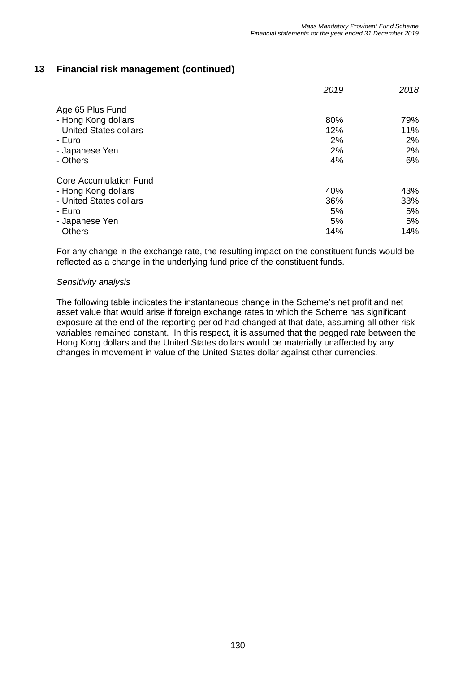|                                                                                                                  | 2019                          | 2018                          |
|------------------------------------------------------------------------------------------------------------------|-------------------------------|-------------------------------|
| Age 65 Plus Fund<br>- Hong Kong dollars<br>- United States dollars<br>- Euro<br>- Japanese Yen<br>- Others       | 80%<br>12%<br>2%<br>2%<br>4%  | 79%<br>11%<br>2%<br>2%<br>6%  |
| Core Accumulation Fund<br>- Hong Kong dollars<br>- United States dollars<br>- Euro<br>- Japanese Yen<br>- Others | 40%<br>36%<br>5%<br>5%<br>14% | 43%<br>33%<br>5%<br>5%<br>14% |

For any change in the exchange rate, the resulting impact on the constituent funds would be reflected as a change in the underlying fund price of the constituent funds.

#### *Sensitivity analysis*

The following table indicates the instantaneous change in the Scheme's net profit and net asset value that would arise if foreign exchange rates to which the Scheme has significant exposure at the end of the reporting period had changed at that date, assuming all other risk variables remained constant. In this respect, it is assumed that the pegged rate between the Hong Kong dollars and the United States dollars would be materially unaffected by any changes in movement in value of the United States dollar against other currencies.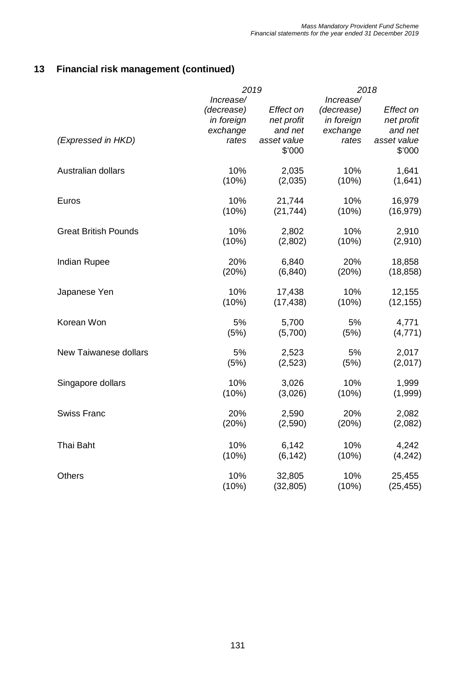|                              | 2019       |             |            | 2018        |
|------------------------------|------------|-------------|------------|-------------|
|                              | Increase/  |             | Increase/  |             |
|                              | (decrease) | Effect on   | (decrease) | Effect on   |
|                              | in foreign | net profit  | in foreign | net profit  |
|                              | exchange   | and net     | exchange   | and net     |
| (Expressed in HKD)           | rates      | asset value | rates      | asset value |
|                              |            | \$'000      |            | \$'000      |
| Australian dollars           | 10%        | 2,035       | 10%        | 1,641       |
|                              | (10%)      | (2,035)     | (10%)      | (1,641)     |
| Euros                        | 10%        | 21,744      | 10%        | 16,979      |
|                              | (10%)      | (21, 744)   | (10%)      | (16, 979)   |
| <b>Great British Pounds</b>  | 10%        | 2,802       | 10%        | 2,910       |
|                              | (10%)      | (2,802)     | (10%)      | (2,910)     |
| <b>Indian Rupee</b>          | 20%        | 6,840       | 20%        | 18,858      |
|                              | (20%)      | (6, 840)    | (20%)      | (18, 858)   |
| Japanese Yen                 | 10%        | 17,438      | 10%        | 12,155      |
|                              | (10%)      | (17, 438)   | (10%)      | (12, 155)   |
| Korean Won                   | 5%         | 5,700       | 5%         | 4,771       |
|                              | (5%)       | (5,700)     | (5%)       | (4, 771)    |
| <b>New Taiwanese dollars</b> | 5%         | 2,523       | 5%         | 2,017       |
|                              | (5%)       | (2,523)     | (5%)       | (2,017)     |
| Singapore dollars            | 10%        | 3,026       | 10%        | 1,999       |
|                              | (10%)      | (3,026)     | (10%)      | (1,999)     |
| <b>Swiss Franc</b>           | 20%        | 2,590       | 20%        | 2,082       |
|                              | (20%)      | (2,590)     | (20%)      | (2,082)     |
| Thai Baht                    | 10%        | 6,142       | 10%        | 4,242       |
|                              | (10%)      | (6, 142)    | (10%)      | (4, 242)    |
| <b>Others</b>                | 10%        | 32,805      | 10%        | 25,455      |
|                              | (10%)      | (32, 805)   | (10%)      | (25, 455)   |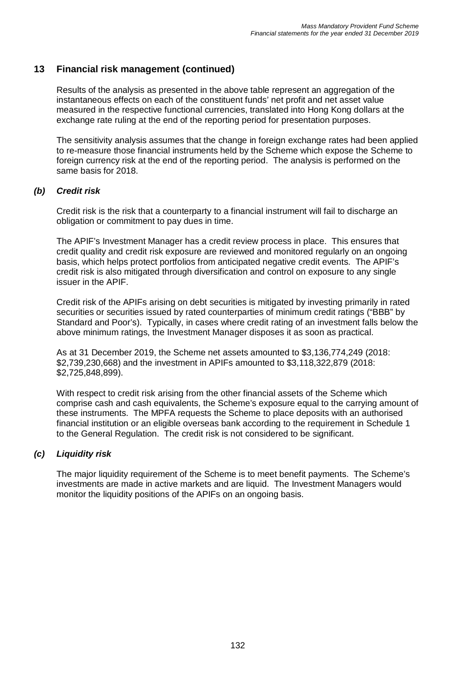Results of the analysis as presented in the above table represent an aggregation of the instantaneous effects on each of the constituent funds' net profit and net asset value measured in the respective functional currencies, translated into Hong Kong dollars at the exchange rate ruling at the end of the reporting period for presentation purposes.

The sensitivity analysis assumes that the change in foreign exchange rates had been applied to re-measure those financial instruments held by the Scheme which expose the Scheme to foreign currency risk at the end of the reporting period. The analysis is performed on the same basis for 2018.

#### *(b) Credit risk*

Credit risk is the risk that a counterparty to a financial instrument will fail to discharge an obligation or commitment to pay dues in time.

The APIF's Investment Manager has a credit review process in place. This ensures that credit quality and credit risk exposure are reviewed and monitored regularly on an ongoing basis, which helps protect portfolios from anticipated negative credit events. The APIF's credit risk is also mitigated through diversification and control on exposure to any single issuer in the APIF.

Credit risk of the APIFs arising on debt securities is mitigated by investing primarily in rated securities or securities issued by rated counterparties of minimum credit ratings ("BBB" by Standard and Poor's). Typically, in cases where credit rating of an investment falls below the above minimum ratings, the Investment Manager disposes it as soon as practical.

As at 31 December 2019, the Scheme net assets amounted to \$3,136,774,249 (2018: \$2,739,230,668) and the investment in APIFs amounted to \$3,118,322,879 (2018: \$2,725,848,899).

With respect to credit risk arising from the other financial assets of the Scheme which comprise cash and cash equivalents, the Scheme's exposure equal to the carrying amount of these instruments. The MPFA requests the Scheme to place deposits with an authorised financial institution or an eligible overseas bank according to the requirement in Schedule 1 to the General Regulation. The credit risk is not considered to be significant.

#### *(c) Liquidity risk*

The major liquidity requirement of the Scheme is to meet benefit payments. The Scheme's investments are made in active markets and are liquid. The Investment Managers would monitor the liquidity positions of the APIFs on an ongoing basis.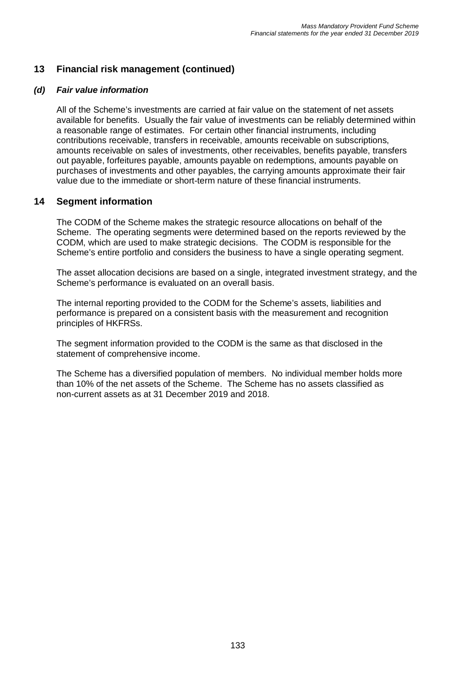#### *(d) Fair value information*

All of the Scheme's investments are carried at fair value on the statement of net assets available for benefits. Usually the fair value of investments can be reliably determined within a reasonable range of estimates. For certain other financial instruments, including contributions receivable, transfers in receivable, amounts receivable on subscriptions, amounts receivable on sales of investments, other receivables, benefits payable, transfers out payable, forfeitures payable, amounts payable on redemptions, amounts payable on purchases of investments and other payables, the carrying amounts approximate their fair value due to the immediate or short-term nature of these financial instruments.

#### **14 Segment information**

The CODM of the Scheme makes the strategic resource allocations on behalf of the Scheme. The operating segments were determined based on the reports reviewed by the CODM, which are used to make strategic decisions. The CODM is responsible for the Scheme's entire portfolio and considers the business to have a single operating segment.

The asset allocation decisions are based on a single, integrated investment strategy, and the Scheme's performance is evaluated on an overall basis.

The internal reporting provided to the CODM for the Scheme's assets, liabilities and performance is prepared on a consistent basis with the measurement and recognition principles of HKFRSs.

The segment information provided to the CODM is the same as that disclosed in the statement of comprehensive income.

The Scheme has a diversified population of members. No individual member holds more than 10% of the net assets of the Scheme. The Scheme has no assets classified as non-current assets as at 31 December 2019 and 2018.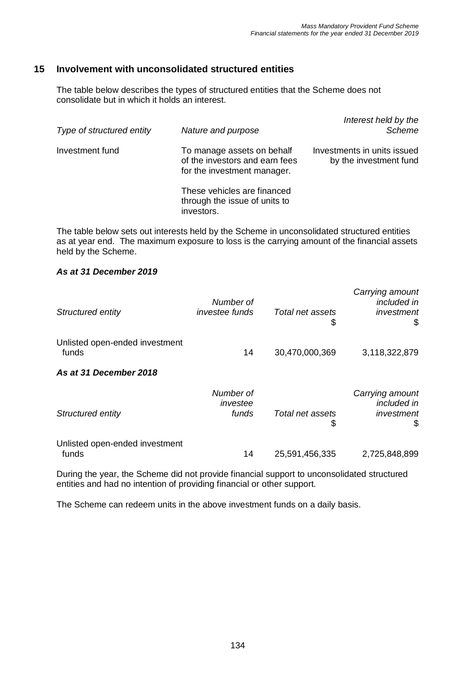### **15 Involvement with unconsolidated structured entities**

The table below describes the types of structured entities that the Scheme does not consolidate but in which it holds an interest.

| Type of structured entity | Nature and purpose                                                                          | Interest held by the<br><b>Scheme</b>                 |
|---------------------------|---------------------------------------------------------------------------------------------|-------------------------------------------------------|
| Investment fund           | To manage assets on behalf<br>of the investors and earn fees<br>for the investment manager. | Investments in units issued<br>by the investment fund |
|                           | These vehicles are financed<br>through the issue of units to<br>investors.                  |                                                       |

The table below sets out interests held by the Scheme in unconsolidated structured entities as at year end. The maximum exposure to loss is the carrying amount of the financial assets held by the Scheme.

#### *As at 31 December 2019*

| Structured entity                       | Number of<br>investee funds    | Total net assets<br>\$ | Carrying amount<br><i>included in</i><br>investment<br>\$ |
|-----------------------------------------|--------------------------------|------------------------|-----------------------------------------------------------|
| Unlisted open-ended investment<br>funds | 14                             | 30,470,000,369         | 3,118,322,879                                             |
| As at 31 December 2018                  |                                |                        |                                                           |
| Structured entity                       | Number of<br>investee<br>funds | Total net assets<br>\$ | Carrying amount<br>included in<br>investment<br>S         |
| Unlisted open-ended investment<br>funds | 14                             | 25,591,456,335         | 2,725,848,899                                             |

During the year, the Scheme did not provide financial support to unconsolidated structured entities and had no intention of providing financial or other support.

The Scheme can redeem units in the above investment funds on a daily basis.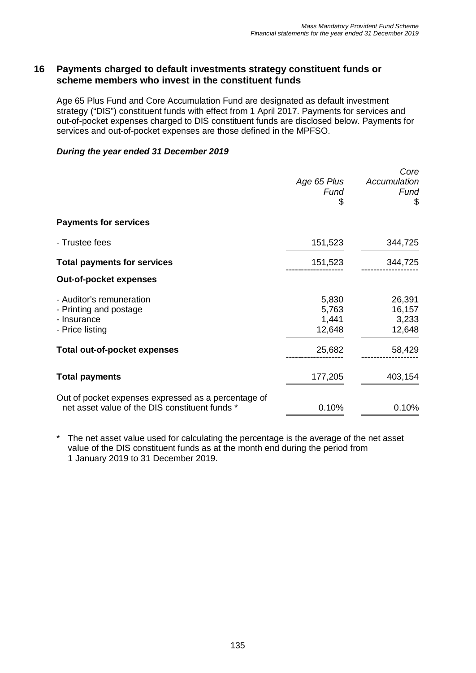#### **16 Payments charged to default investments strategy constituent funds or scheme members who invest in the constituent funds**

Age 65 Plus Fund and Core Accumulation Fund are designated as default investment strategy ("DIS") constituent funds with effect from 1 April 2017. Payments for services and out-of-pocket expenses charged to DIS constituent funds are disclosed below. Payments for services and out-of-pocket expenses are those defined in the MPFSO.

#### *During the year ended 31 December 2019*

|                                                                                                       | Age 65 Plus<br>Fund<br>\$         | Core<br>Accumulation<br>Fund<br>\$  |
|-------------------------------------------------------------------------------------------------------|-----------------------------------|-------------------------------------|
| <b>Payments for services</b>                                                                          |                                   |                                     |
| - Trustee fees                                                                                        | 151,523                           | 344,725                             |
| <b>Total payments for services</b>                                                                    | 151,523                           | 344,725                             |
| <b>Out-of-pocket expenses</b>                                                                         |                                   |                                     |
| - Auditor's remuneration<br>- Printing and postage<br>- Insurance<br>- Price listing                  | 5,830<br>5,763<br>1,441<br>12,648 | 26,391<br>16,157<br>3,233<br>12,648 |
| Total out-of-pocket expenses                                                                          | 25,682                            | 58,429                              |
| <b>Total payments</b>                                                                                 | 177,205                           | 403,154                             |
| Out of pocket expenses expressed as a percentage of<br>net asset value of the DIS constituent funds * | 0.10%                             | 0.10%                               |

The net asset value used for calculating the percentage is the average of the net asset value of the DIS constituent funds as at the month end during the period from 1 January 2019 to 31 December 2019.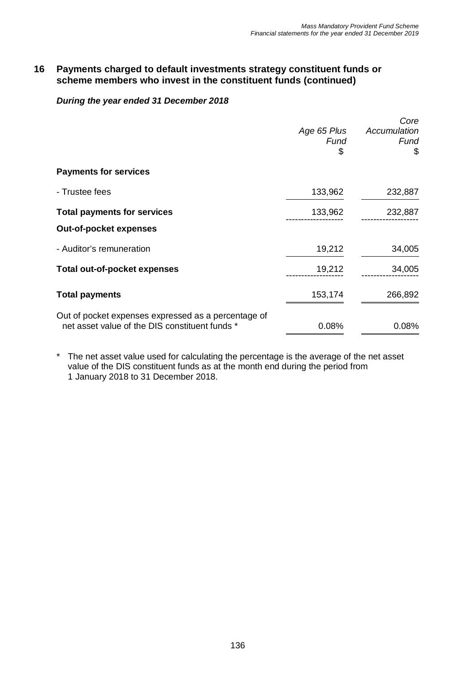#### **16 Payments charged to default investments strategy constituent funds or scheme members who invest in the constituent funds (continued)**

#### *During the year ended 31 December 2018*

|                                                     |             | Core         |
|-----------------------------------------------------|-------------|--------------|
|                                                     | Age 65 Plus | Accumulation |
|                                                     | Fund        | Fund         |
|                                                     | \$          | \$           |
| <b>Payments for services</b>                        |             |              |
| - Trustee fees                                      | 133,962     | 232,887      |
| <b>Total payments for services</b>                  | 133,962     | 232,887      |
| <b>Out-of-pocket expenses</b>                       |             |              |
| - Auditor's remuneration                            | 19,212      | 34,005       |
| Total out-of-pocket expenses                        | 19,212      | 34,005       |
| <b>Total payments</b>                               | 153,174     | 266,892      |
| Out of pocket expenses expressed as a percentage of |             |              |
| net asset value of the DIS constituent funds *      | 0.08%       | 0.08%        |

\* The net asset value used for calculating the percentage is the average of the net asset value of the DIS constituent funds as at the month end during the period from 1 January 2018 to 31 December 2018.